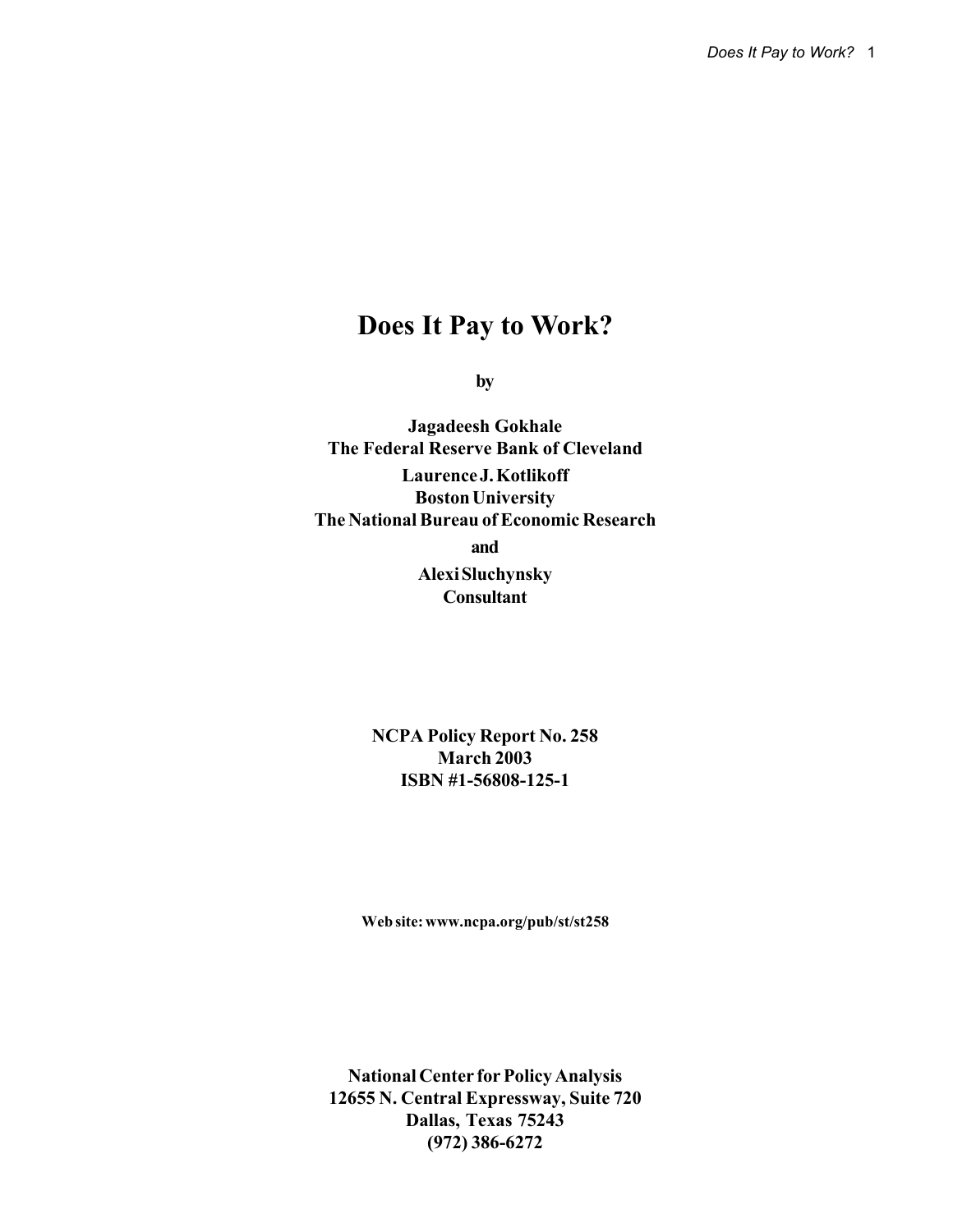# **Does It Pay to Work?**

**by**

**Jagadeesh Gokhale The Federal Reserve Bank of Cleveland Laurence J. Kotlikoff Boston University The National Bureau of Economic Research and Alexi Sluchynsky Consultant**

> **NCPA Policy Report No. 258 March 2003 ISBN #1-56808-125-1**

**Web site: www.ncpa.org/pub/st/st258**

**National Center for Policy Analysis 12655 N. Central Expressway, Suite 720 Dallas, Texas 75243 (972) 386-6272**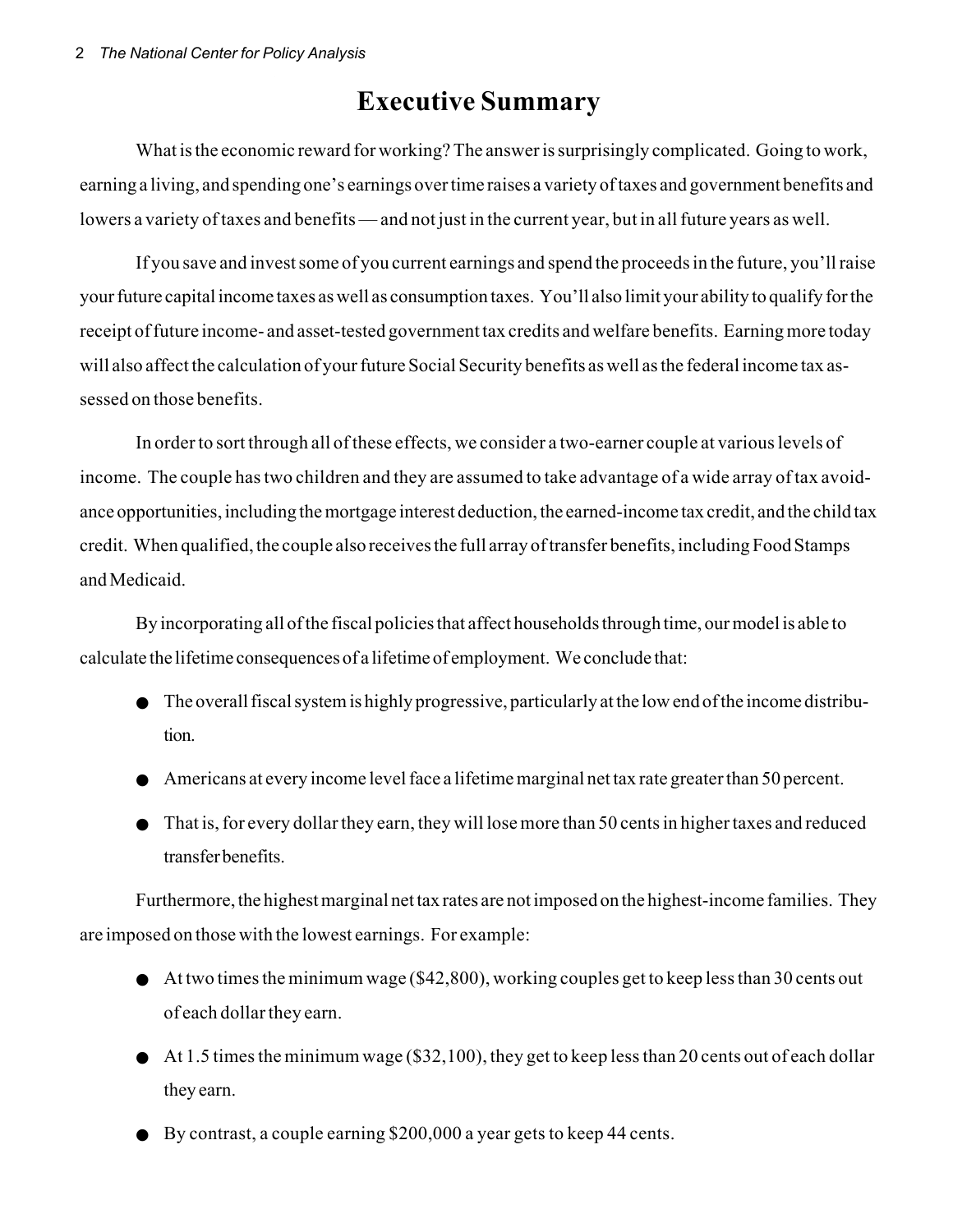# **Executive Summary**

What is the economic reward for working? The answer is surprisingly complicated. Going to work, earning a living, and spending one's earnings over time raises a variety of taxes and government benefits and lowers a variety of taxes and benefits — and not just in the current year, but in all future years as well.

If you save and invest some of you current earnings and spend the proceeds in the future, you'll raise your future capital income taxes as well as consumption taxes. You'll also limit your ability to qualify for the receipt of future income- and asset-tested government tax credits and welfare benefits. Earning more today will also affect the calculation of your future Social Security benefits as well as the federal income tax assessed on those benefits.

In order to sort through all of these effects, we consider a two-earner couple at various levels of income. The couple has two children and they are assumed to take advantage of a wide array of tax avoidance opportunities, including the mortgage interest deduction, the earned-income tax credit, and the child tax credit. When qualified, the couple also receives the full array of transfer benefits, including Food Stamps and Medicaid.

By incorporating all of the fiscal policies that affect households through time, our model is able to calculate the lifetime consequences of a lifetime of employment. We conclude that:

- The overall fiscal system is highly progressive, particularly at the low end of the income distribution.
- Americans at every income level face a lifetime marginal net tax rate greater than 50 percent.
- That is, for every dollar they earn, they will lose more than 50 cents in higher taxes and reduced transfer benefits.

Furthermore, the highest marginal net tax rates are not imposed on the highest-income families. They are imposed on those with the lowest earnings. For example:

- At two times the minimum wage (\$42,800), working couples get to keep less than 30 cents out of each dollar they earn.
- $\bullet$  At 1.5 times the minimum wage (\$32,100), they get to keep less than 20 cents out of each dollar they earn.
- By contrast, a couple earning \$200,000 a year gets to keep 44 cents.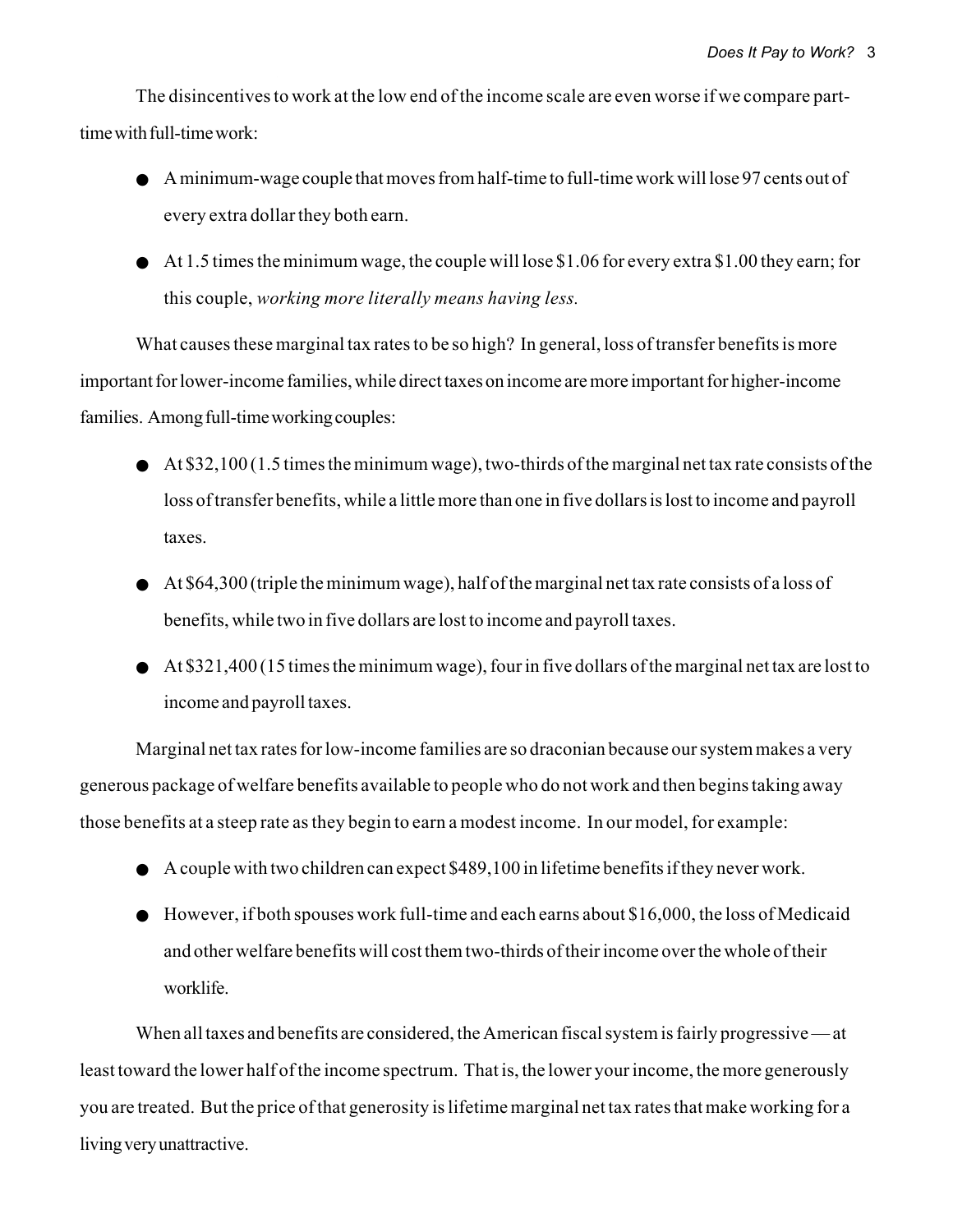The disincentives to work at the low end of the income scale are even worse if we compare parttime with full-time work:

- A minimum-wage couple that moves from half-time to full-time work will lose 97 cents out of every extra dollar they both earn.
- At 1.5 times the minimum wage, the couple will lose \$1.06 for every extra \$1.00 they earn; for this couple, *working more literally means having less.*

What causes these marginal tax rates to be so high? In general, loss of transfer benefits is more important for lower-income families, while direct taxes on income are more important for higher-income families. Among full-time working couples:

- $\blacklozenge$  At \$32,100 (1.5 times the minimum wage), two-thirds of the marginal net tax rate consists of the loss of transfer benefits, while a little more than one in five dollars is lost to income and payroll taxes.
- $\bullet$  At \$64,300 (triple the minimum wage), half of the marginal net tax rate consists of a loss of benefits, while two in five dollars are lost to income and payroll taxes.
- At \$321,400 (15 times the minimum wage), four in five dollars of the marginal net tax are lost to income and payroll taxes.

Marginal net tax rates for low-income families are so draconian because our system makes a very generous package of welfare benefits available to people who do not work and then begins taking away those benefits at a steep rate as they begin to earn a modest income. In our model, for example:

- A couple with two children can expect \$489,100 in lifetime benefits if they never work.
- $\bullet$  However, if both spouses work full-time and each earns about \$16,000, the loss of Medicaid and other welfare benefits will cost them two-thirds of their income over the whole of their worklife.

When all taxes and benefits are considered, the American fiscal system is fairly progressive — at least toward the lower half of the income spectrum. That is, the lower your income, the more generously you are treated. But the price of that generosity is lifetime marginal net tax rates that make working for a living very unattractive.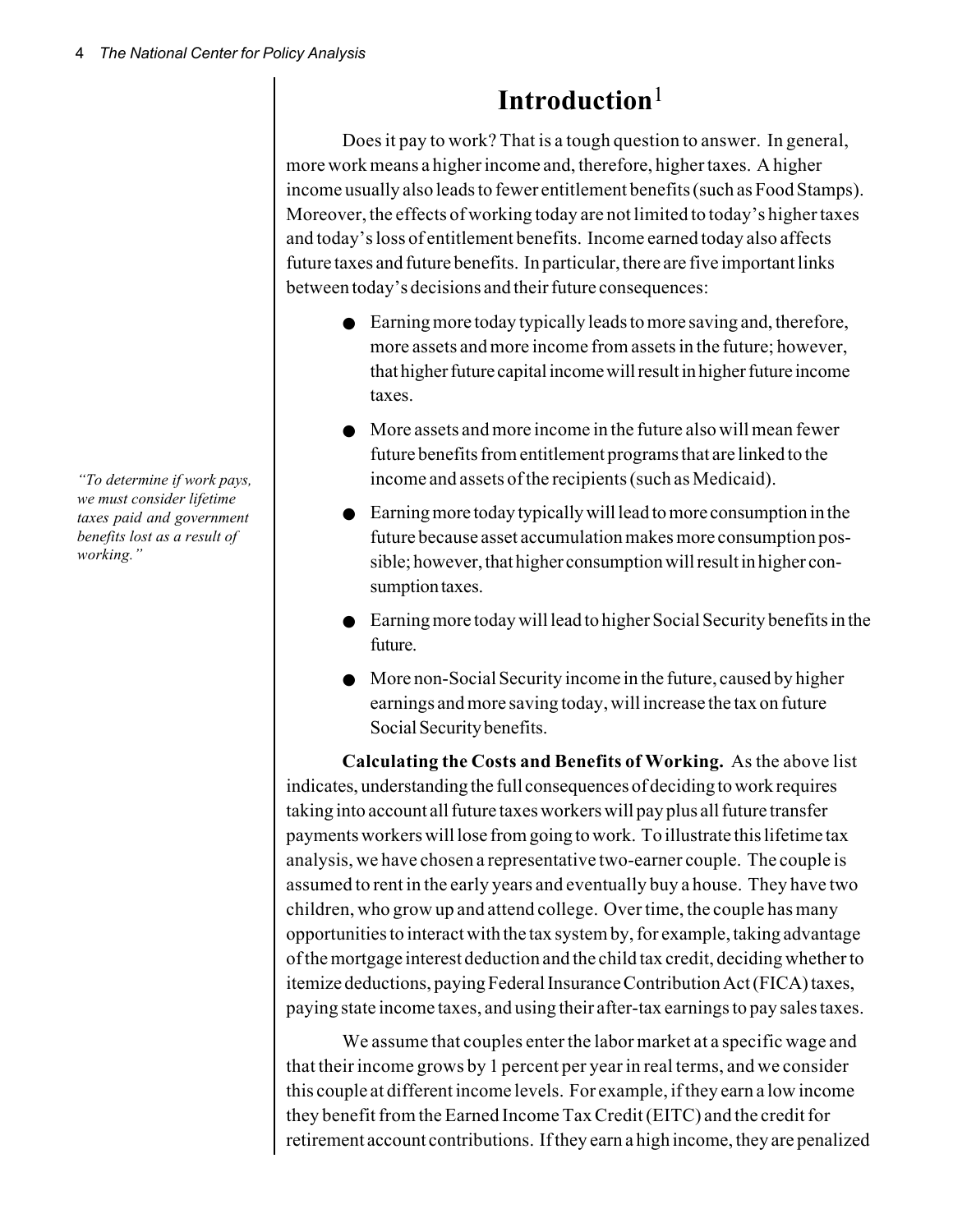**Introduction**<sup>1</sup>

Does it pay to work? That is a tough question to answer. In general, more work means a higher income and, therefore, higher taxes. A higher income usually also leads to fewer entitlement benefits (such as Food Stamps). Moreover, the effects of working today are not limited to today's higher taxes and today's loss of entitlement benefits. Income earned today also affects future taxes and future benefits. In particular, there are five important links between today's decisions and their future consequences:

- Earning more today typically leads to more saving and, therefore, more assets and more income from assets in the future; however, that higher future capital income will result in higher future income taxes.
- More assets and more income in the future also will mean fewer future benefits from entitlement programs that are linked to the income and assets of the recipients (such as Medicaid).
- Earning more today typically will lead to more consumption in the future because asset accumulation makes more consumption possible; however, that higher consumption will result in higher consumption taxes.
- Earning more today will lead to higher Social Security benefits in the future.
- More non-Social Security income in the future, caused by higher earnings and more saving today, will increase the tax on future Social Security benefits.

**Calculating the Costs and Benefits of Working.** As the above list indicates, understanding the full consequences of deciding to work requires taking into account all future taxes workers will pay plus all future transfer payments workers will lose from going to work. To illustrate this lifetime tax analysis, we have chosen a representative two-earner couple. The couple is assumed to rent in the early years and eventually buy a house. They have two children, who grow up and attend college. Over time, the couple has many opportunities to interact with the tax system by, for example, taking advantage of the mortgage interest deduction and the child tax credit, deciding whether to itemize deductions, paying Federal Insurance Contribution Act (FICA) taxes, paying state income taxes, and using their after-tax earnings to pay sales taxes.

We assume that couples enter the labor market at a specific wage and that their income grows by 1 percent per year in real terms, and we consider this couple at different income levels. For example, if they earn a low income they benefit from the Earned Income Tax Credit (EITC) and the credit for retirement account contributions. If they earn a high income, they are penalized

*"To determine if work pays, we must consider lifetime taxes paid and government benefits lost as a result of working."*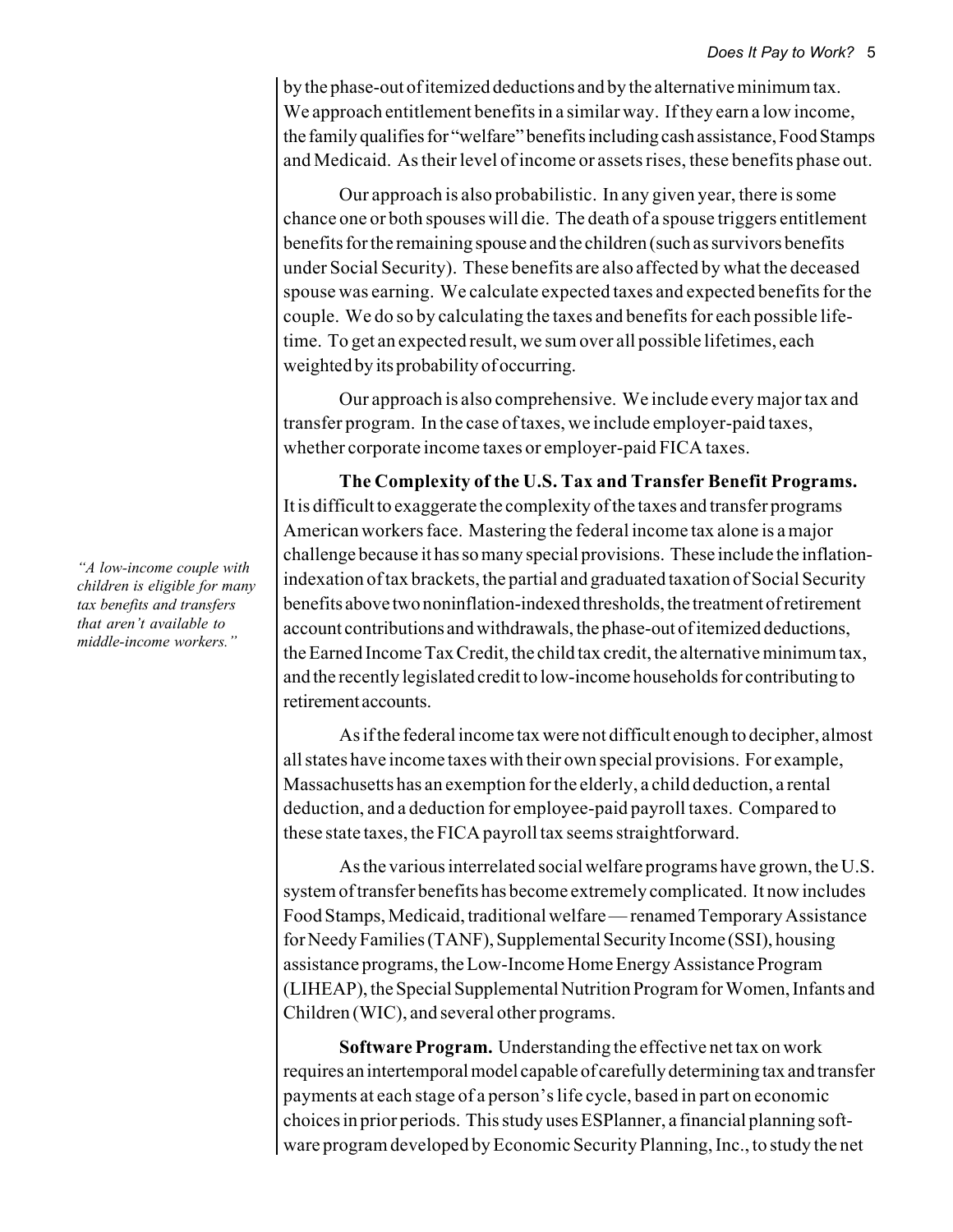by the phase-out of itemized deductions and by the alternative minimum tax. We approach entitlement benefits in a similar way. If they earn a low income, the family qualifies for "welfare" benefits including cash assistance, Food Stamps and Medicaid. As their level of income or assets rises, these benefits phase out.

Our approach is also probabilistic. In any given year, there is some chance one or both spouses will die. The death of a spouse triggers entitlement benefits for the remaining spouse and the children (such as survivors benefits under Social Security). These benefits are also affected by what the deceased spouse was earning. We calculate expected taxes and expected benefits for the couple. We do so by calculating the taxes and benefits for each possible lifetime. To get an expected result, we sum over all possible lifetimes, each weighted by its probability of occurring.

Our approach is also comprehensive. We include every major tax and transfer program. In the case of taxes, we include employer-paid taxes, whether corporate income taxes or employer-paid FICA taxes.

**The Complexity of the U.S. Tax and Transfer Benefit Programs.** It is difficult to exaggerate the complexity of the taxes and transfer programs American workers face. Mastering the federal income tax alone is a major challenge because it has so many special provisions. These include the inflationindexation of tax brackets, the partial and graduated taxation of Social Security benefits above two noninflation-indexed thresholds, the treatment of retirement account contributions and withdrawals, the phase-out of itemized deductions, the Earned Income Tax Credit, the child tax credit, the alternative minimum tax, and the recently legislated credit to low-income households for contributing to retirement accounts.

As if the federal income tax were not difficult enough to decipher, almost all states have income taxes with their own special provisions. For example, Massachusetts has an exemption for the elderly, a child deduction, a rental deduction, and a deduction for employee-paid payroll taxes. Compared to these state taxes, the FICA payroll tax seems straightforward.

As the various interrelated social welfare programs have grown, the U.S. system of transfer benefits has become extremely complicated. It now includes Food Stamps, Medicaid, traditional welfare — renamed Temporary Assistance for Needy Families (TANF), Supplemental Security Income (SSI), housing assistance programs, the Low-Income Home Energy Assistance Program (LIHEAP), the Special Supplemental Nutrition Program for Women, Infants and Children (WIC), and several other programs.

**Software Program.** Understanding the effective net tax on work requires an intertemporal model capable of carefully determining tax and transfer payments at each stage of a person's life cycle, based in part on economic choices in prior periods. This study uses ESPlanner, a financial planning software program developed by Economic Security Planning, Inc., to study the net

*"A low-income couple with children is eligible for many tax benefits and transfers that aren't available to middle-income workers."*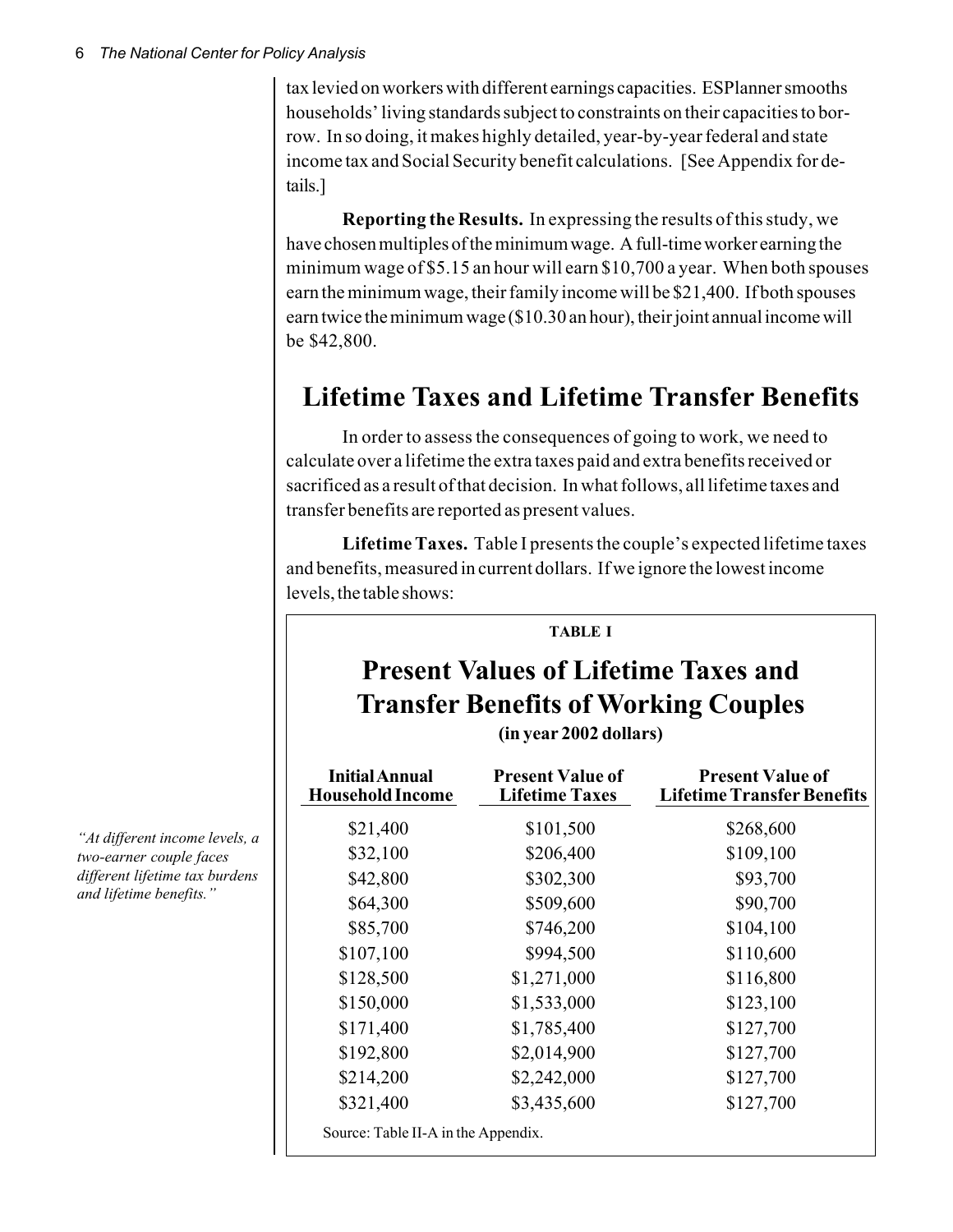tax levied on workers with different earnings capacities. ESPlanner smooths households' living standards subject to constraints on their capacities to borrow. In so doing, it makes highly detailed, year-by-year federal and state income tax and Social Security benefit calculations. [See Appendix for details.]

**Reporting the Results.** In expressing the results of this study, we have chosen multiples of the minimum wage. A full-time worker earning the minimum wage of \$5.15 an hour will earn \$10,700 a year. When both spouses earn the minimum wage, their family income will be \$21,400. If both spouses earn twice the minimum wage (\$10.30 an hour), their joint annual income will be \$42,800.

# **Lifetime Taxes and Lifetime Transfer Benefits**

In order to assess the consequences of going to work, we need to calculate over a lifetime the extra taxes paid and extra benefits received or sacrificed as a result of that decision. In what follows, all lifetime taxes and transfer benefits are reported as present values.

**Lifetime Taxes.** Table I presents the couple's expected lifetime taxes and benefits, measured in current dollars. If we ignore the lowest income levels, the table shows:

#### **TABLE I**

# **Present Values of Lifetime Taxes and Transfer Benefits of Working Couples**

**(in year 2002 dollars)**

| <b>Initial Annual</b><br><b>Household Income</b> | <b>Present Value of</b><br><b>Lifetime Taxes</b> | <b>Present Value of</b><br><b>Lifetime Transfer Benefits</b> |
|--------------------------------------------------|--------------------------------------------------|--------------------------------------------------------------|
| \$21,400                                         | \$101,500                                        | \$268,600                                                    |
| \$32,100                                         | \$206,400                                        | \$109,100                                                    |
| \$42,800                                         | \$302,300                                        | \$93,700                                                     |
| \$64,300                                         | \$509,600                                        | \$90,700                                                     |
| \$85,700                                         | \$746,200                                        | \$104,100                                                    |
| \$107,100                                        | \$994,500                                        | \$110,600                                                    |
| \$128,500                                        | \$1,271,000                                      | \$116,800                                                    |
| \$150,000                                        | \$1,533,000                                      | \$123,100                                                    |
| \$171,400                                        | \$1,785,400                                      | \$127,700                                                    |
| \$192,800                                        | \$2,014,900                                      | \$127,700                                                    |
| \$214,200                                        | \$2,242,000                                      | \$127,700                                                    |
| \$321,400                                        | \$3,435,600                                      | \$127,700                                                    |
| Source: Table II-A in the Appendix.              |                                                  |                                                              |

*"At different income levels, a two-earner couple faces different lifetime tax burdens and lifetime benefits."*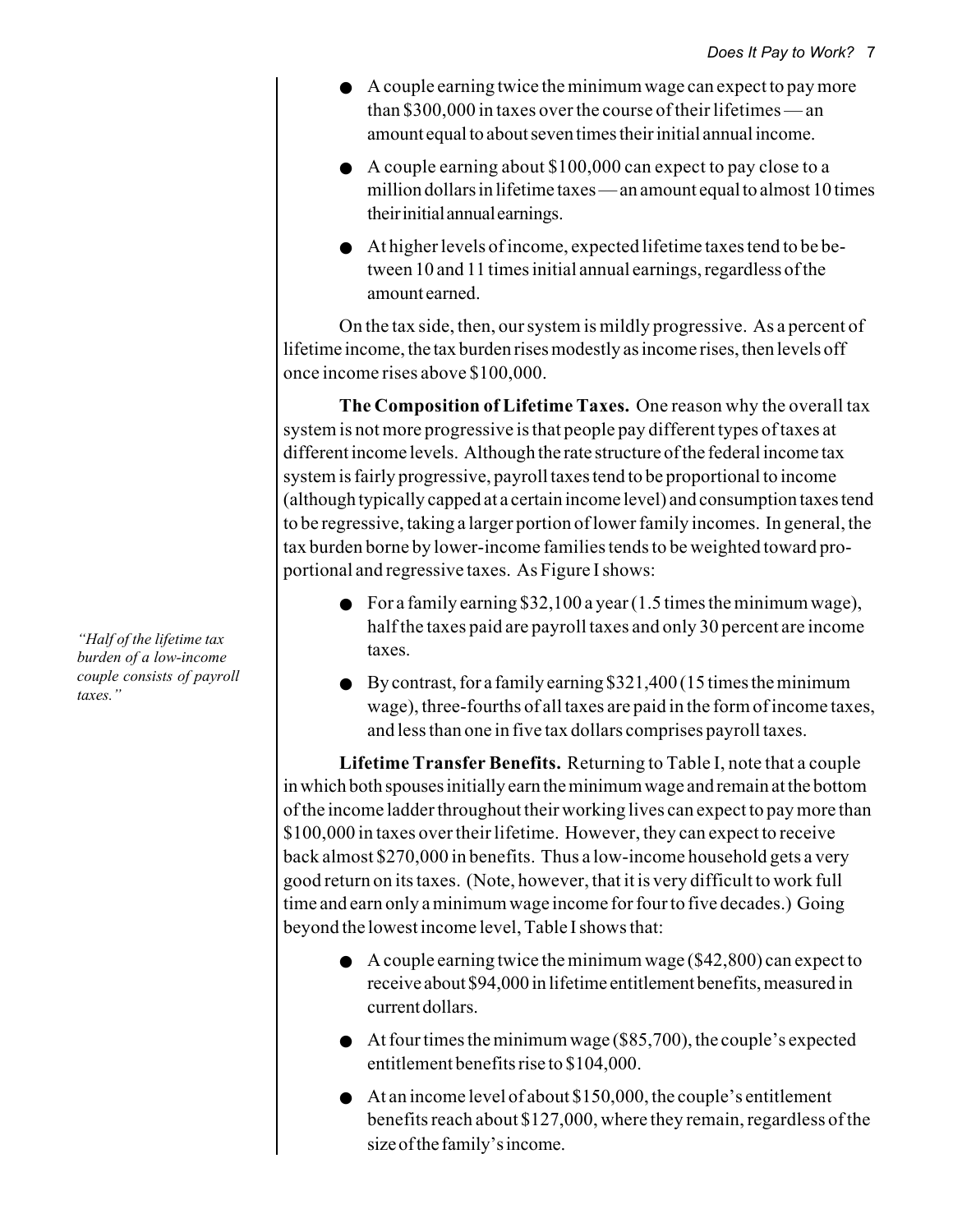- A couple earning twice the minimum wage can expect to pay more than \$300,000 in taxes over the course of their lifetimes — an amount equal to about seven times their initial annual income.
- A couple earning about \$100,000 can expect to pay close to a million dollars in lifetime taxes — an amount equal to almost 10 times their initial annual earnings.
- At higher levels of income, expected lifetime taxes tend to be between 10 and 11 times initial annual earnings, regardless of the amount earned.

On the tax side, then, our system is mildly progressive. As a percent of lifetime income, the tax burden rises modestly as income rises, then levels off once income rises above \$100,000.

**The Composition of Lifetime Taxes.** One reason why the overall tax system is not more progressive is that people pay different types of taxes at different income levels. Although the rate structure of the federal income tax system is fairly progressive, payroll taxes tend to be proportional to income (although typically capped at a certain income level) and consumption taxes tend to be regressive, taking a larger portion of lower family incomes. In general, the tax burden borne by lower-income families tends to be weighted toward proportional and regressive taxes. As Figure I shows:

- For a family earning \$32,100 a year  $(1.5 \text{ times the minimum wage})$ , half the taxes paid are payroll taxes and only 30 percent are income taxes.
- $\bullet$  By contrast, for a family earning \$321,400 (15 times the minimum wage), three-fourths of all taxes are paid in the form of income taxes, and less than one in five tax dollars comprises payroll taxes.

**Lifetime Transfer Benefits.** Returning to Table I, note that a couple in which both spouses initially earn the minimum wage and remain at the bottom of the income ladder throughout their working lives can expect to pay more than \$100,000 in taxes over their lifetime. However, they can expect to receive back almost \$270,000 in benefits. Thus a low-income household gets a very good return on its taxes. (Note, however, that it is very difficult to work full time and earn only a minimum wage income for four to five decades.) Going beyond the lowest income level, Table I shows that:

- $\bullet$  A couple earning twice the minimum wage (\$42,800) can expect to receive about \$94,000 in lifetime entitlement benefits, measured in current dollars.
- $\bullet$  At four times the minimum wage (\$85,700), the couple's expected entitlement benefits rise to \$104,000.
- At an income level of about \$150,000, the couple's entitlement benefits reach about \$127,000, where they remain, regardless of the size of the family's income.

*"Half of the lifetime tax burden of a low-income couple consists of payroll taxes."*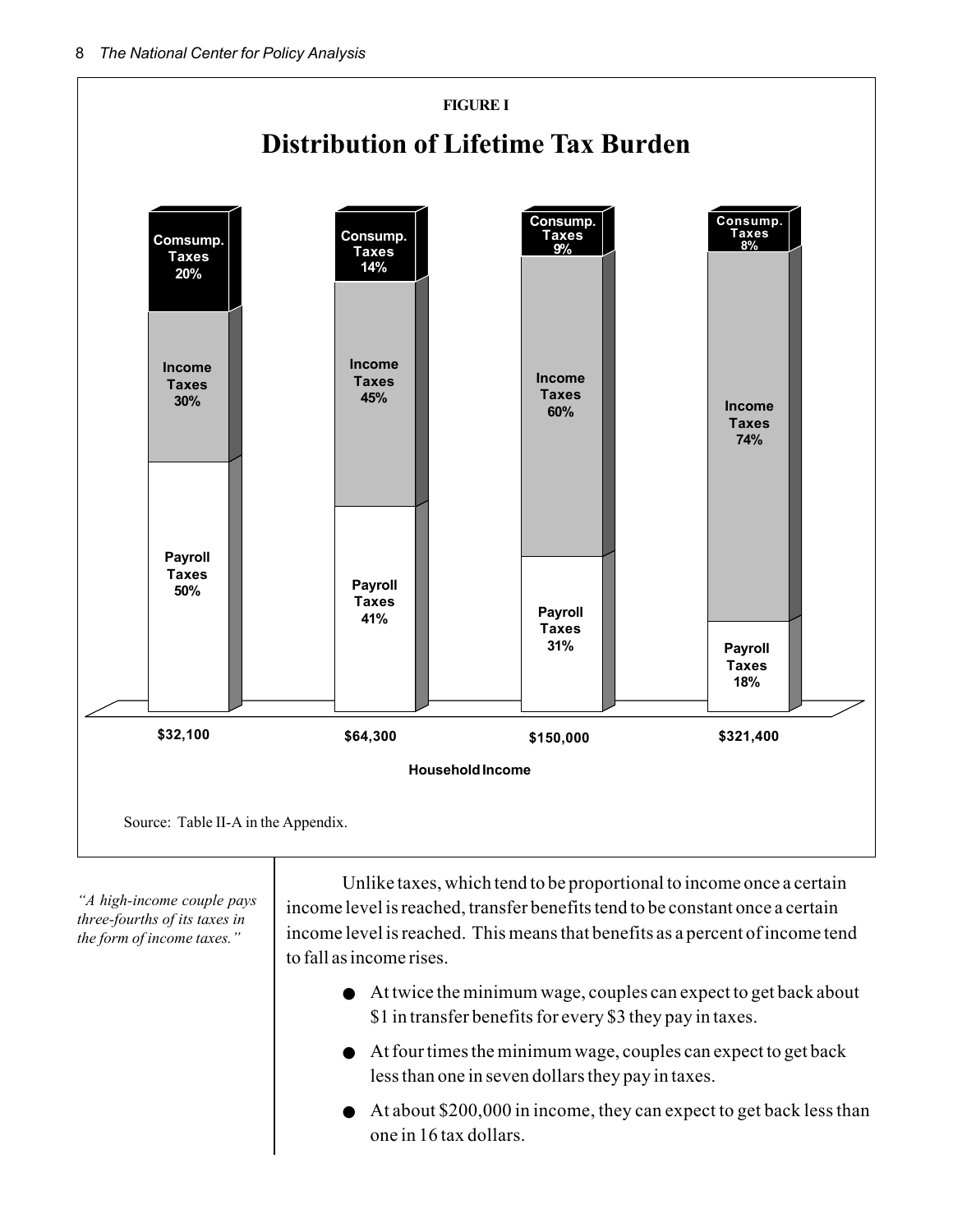

*"A high-income couple pays three-fourths of its taxes in the form of income taxes."*

Unlike taxes, which tend to be proportional to income once a certain income level is reached, transfer benefits tend to be constant once a certain income level is reached. This means that benefits as a percent of income tend to fall as income rises.

- At twice the minimum wage, couples can expect to get back about \$1 in transfer benefits for every \$3 they pay in taxes.
- At four times the minimum wage, couples can expect to get back less than one in seven dollars they pay in taxes.
- At about \$200,000 in income, they can expect to get back less than one in 16 tax dollars.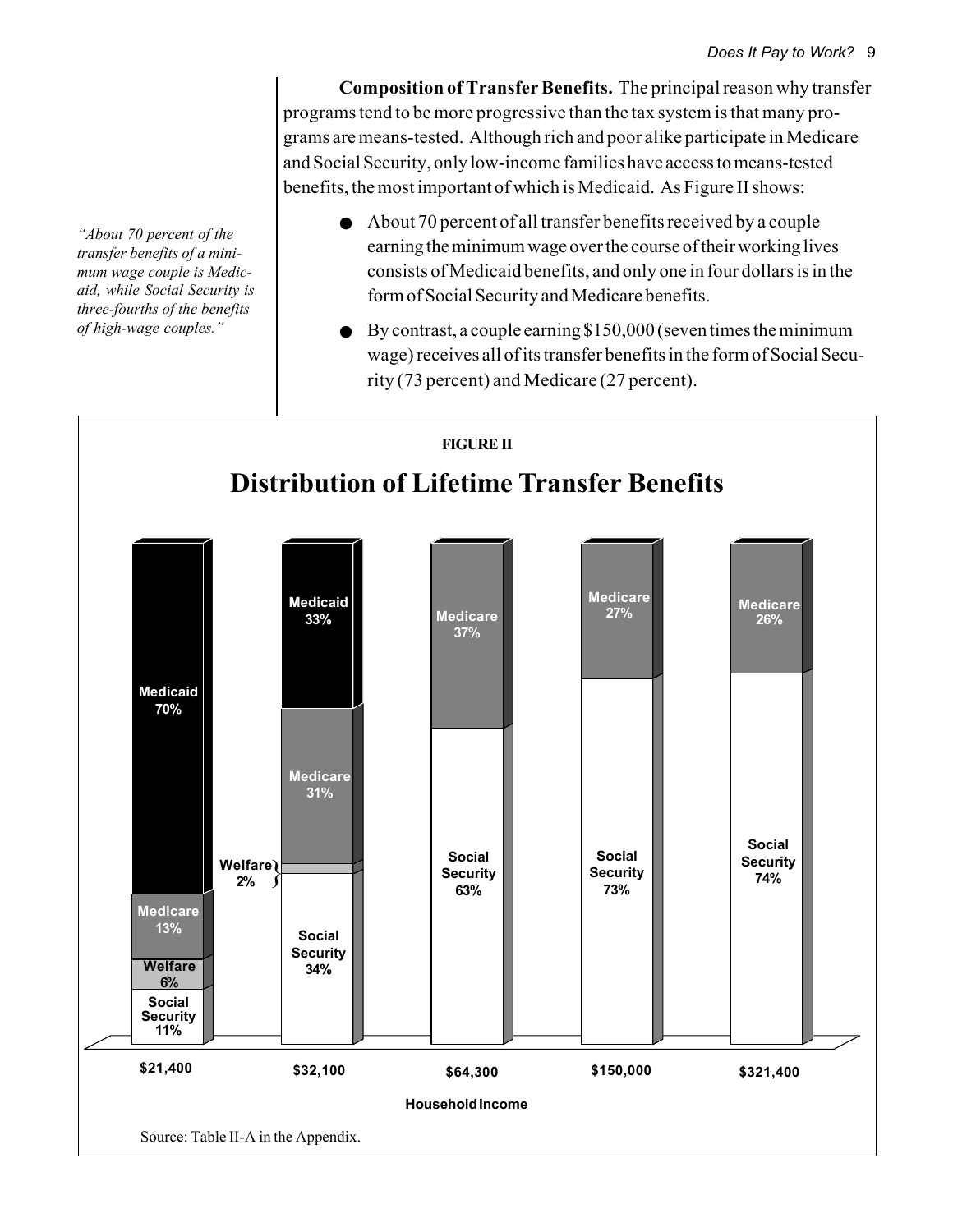**Composition of Transfer Benefits.** The principal reason why transfer programs tend to be more progressive than the tax system is that many programs are means-tested. Although rich and poor alike participate in Medicare and Social Security, only low-income families have access to means-tested benefits, the most important of which is Medicaid. As Figure II shows:

- About 70 percent of all transfer benefits received by a couple earning the minimum wage over the course of their working lives consists of Medicaid benefits, and only one in four dollars is in the form of Social Security and Medicare benefits.
- $\bullet$  By contrast, a couple earning \$150,000 (seven times the minimum wage) receives all of its transfer benefits in the form of Social Security (73 percent) and Medicare (27 percent).



*"About 70 percent of the transfer benefits of a minimum wage couple is Medicaid, while Social Security is three-fourths of the benefits of high-wage couples."*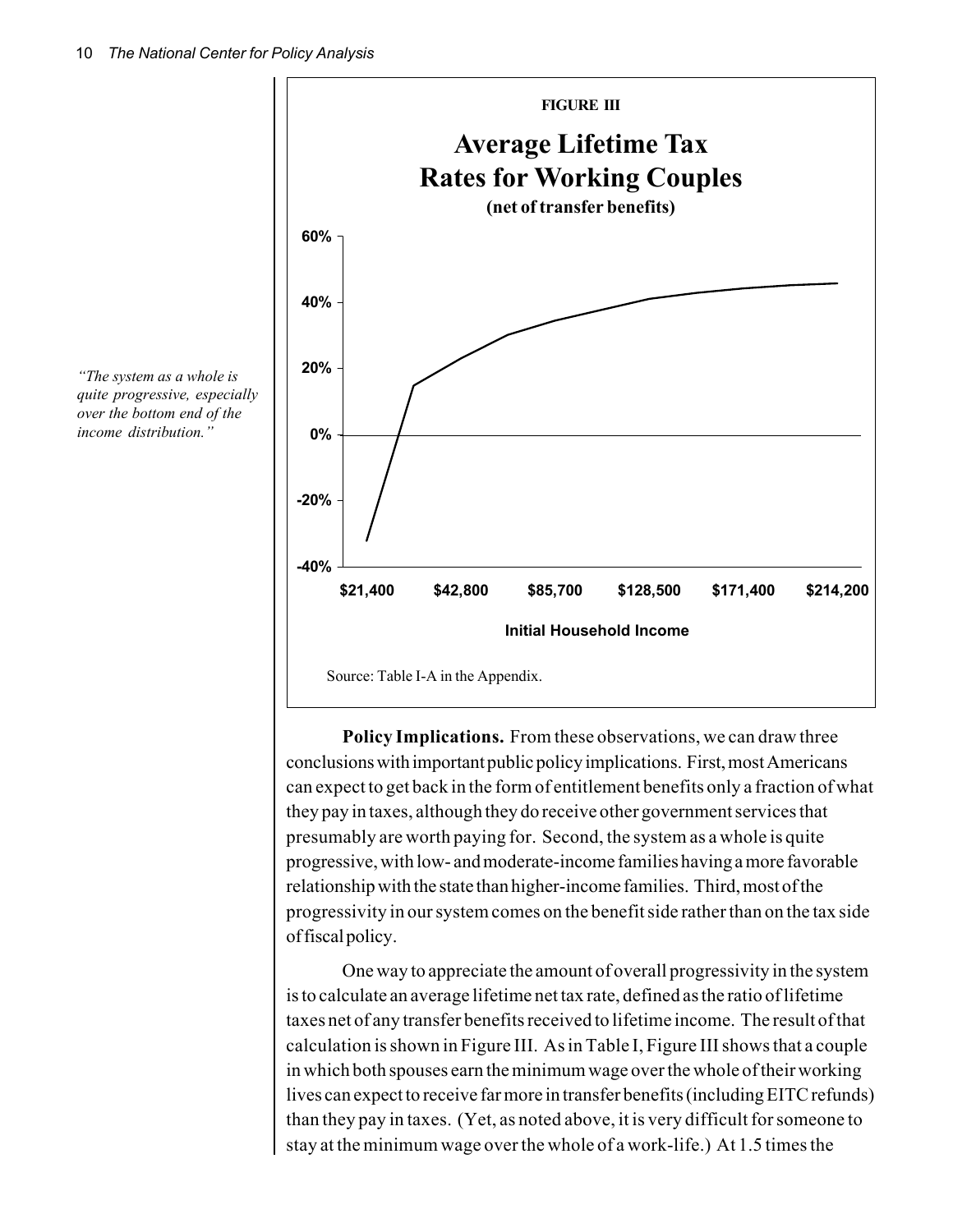

**Policy Implications.** From these observations, we can draw three conclusions with important public policy implications. First, most Americans can expect to get back in the form of entitlement benefits only a fraction of what they pay in taxes, although they do receive other government services that presumably are worth paying for. Second, the system as a whole is quite progressive, with low- and moderate-income families having a more favorable relationship with the state than higher-income families. Third, most of the progressivity in our system comes on the benefit side rather than on the tax side of fiscal policy.

One way to appreciate the amount of overall progressivity in the system is to calculate an average lifetime net tax rate, defined as the ratio of lifetime taxes net of any transfer benefits received to lifetime income. The result of that calculation is shown in Figure III. As in Table I, Figure III shows that a couple in which both spouses earn the minimum wage over the whole of their working lives can expect to receive far more in transfer benefits (including EITC refunds) than they pay in taxes. (Yet, as noted above, it is very difficult for someone to stay at the minimum wage over the whole of a work-life.) At 1.5 times the

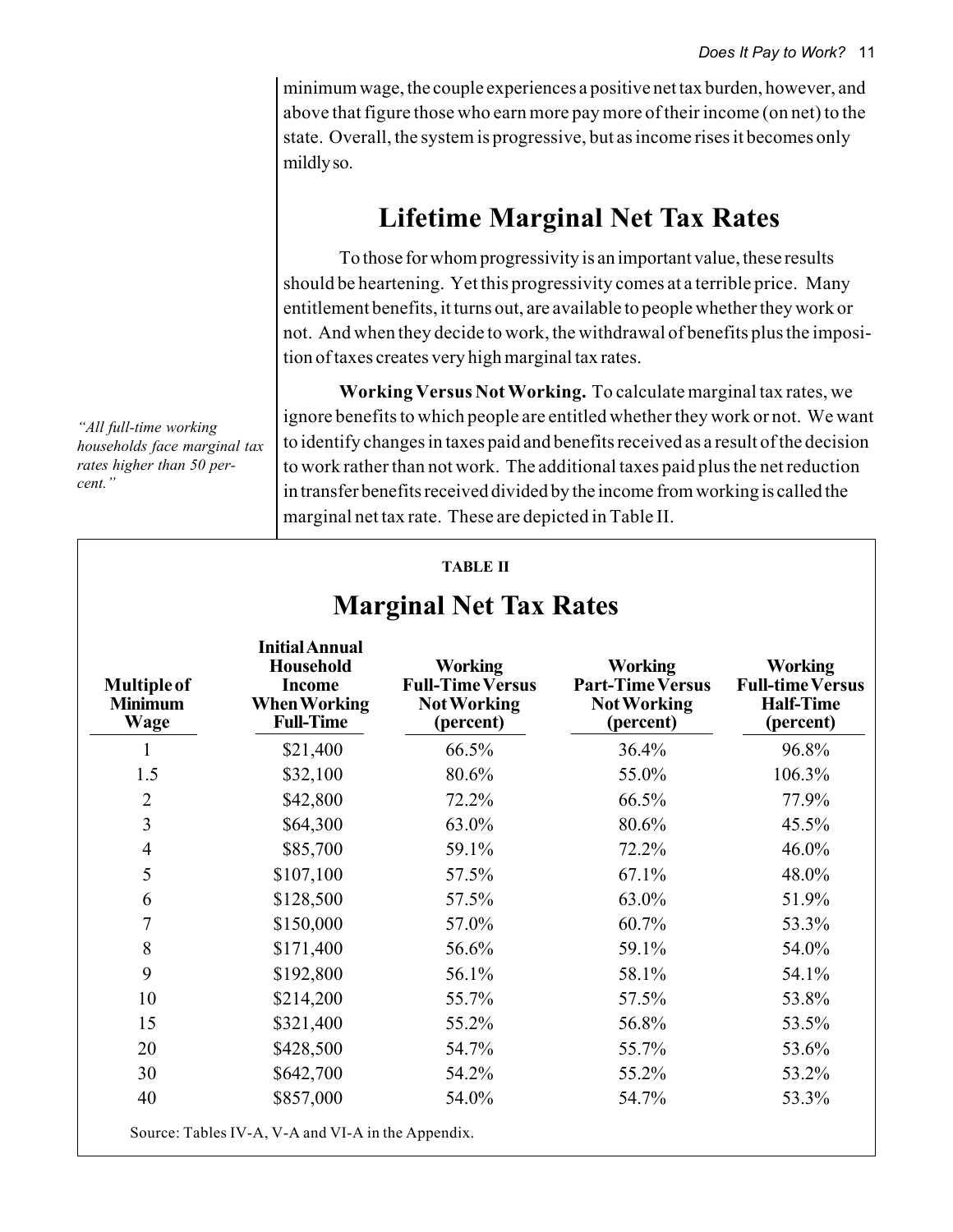minimum wage, the couple experiences a positive net tax burden, however, and above that figure those who earn more pay more of their income (on net) to the state. Overall, the system is progressive, but as income rises it becomes only mildly so.

# **Lifetime Marginal Net Tax Rates**

To those for whom progressivity is an important value, these results should be heartening. Yet this progressivity comes at a terrible price. Many entitlement benefits, it turns out, are available to people whether they work or not. And when they decide to work, the withdrawal of benefits plus the imposition of taxes creates very high marginal tax rates.

**Working Versus Not Working.** To calculate marginal tax rates, we ignore benefits to which people are entitled whether they work or not. We want to identify changes in taxes paid and benefits received as a result of the decision to work rather than not work. The additional taxes paid plus the net reduction in transfer benefits received divided by the income from working is called the marginal net tax rate. These are depicted in Table II.

| <b>Multiple of</b><br><b>Minimum</b><br>Wage | <b>Initial Annual</b><br><b>Household</b><br><b>Income</b><br><b>When Working</b><br><b>Full-Time</b> | <b>Working</b><br><b>Full-Time Versus</b><br><b>Not Working</b><br>(percent) | <b>Working</b><br><b>Part-Time Versus</b><br><b>Not Working</b><br>(percent) | <b>Working</b><br><b>Full-time Versus</b><br><b>Half-Time</b><br>(percent) |
|----------------------------------------------|-------------------------------------------------------------------------------------------------------|------------------------------------------------------------------------------|------------------------------------------------------------------------------|----------------------------------------------------------------------------|
| 1                                            | \$21,400                                                                                              | 66.5%                                                                        | 36.4%                                                                        | 96.8%                                                                      |
| 1.5                                          | \$32,100                                                                                              | 80.6%                                                                        | 55.0%                                                                        | 106.3%                                                                     |
| $\overline{2}$                               | \$42,800                                                                                              | 72.2%                                                                        | 66.5%                                                                        | 77.9%                                                                      |
| $\overline{3}$                               | \$64,300                                                                                              | 63.0%                                                                        | 80.6%                                                                        | 45.5%                                                                      |
| $\overline{4}$                               | \$85,700                                                                                              | 59.1%                                                                        | 72.2%                                                                        | 46.0%                                                                      |
| 5                                            | \$107,100                                                                                             | 57.5%                                                                        | 67.1%                                                                        | 48.0%                                                                      |
| 6                                            | \$128,500                                                                                             | 57.5%                                                                        | 63.0%                                                                        | 51.9%                                                                      |
| $\overline{7}$                               | \$150,000                                                                                             | 57.0%                                                                        | 60.7%                                                                        | 53.3%                                                                      |
| $\,8\,$                                      | \$171,400                                                                                             | 56.6%                                                                        | 59.1%                                                                        | 54.0%                                                                      |
| 9                                            | \$192,800                                                                                             | 56.1%                                                                        | 58.1%                                                                        | 54.1%                                                                      |
| 10                                           | \$214,200                                                                                             | 55.7%                                                                        | 57.5%                                                                        | 53.8%                                                                      |
| 15                                           | \$321,400                                                                                             | 55.2%                                                                        | 56.8%                                                                        | 53.5%                                                                      |
| 20                                           | \$428,500                                                                                             | 54.7%                                                                        | 55.7%                                                                        | 53.6%                                                                      |
| 30                                           | \$642,700                                                                                             | 54.2%                                                                        | 55.2%                                                                        | 53.2%                                                                      |
| 40                                           | \$857,000                                                                                             | 54.0%                                                                        | 54.7%                                                                        | 53.3%                                                                      |

#### *"All full-time working households face marginal tax rates higher than 50 percent."*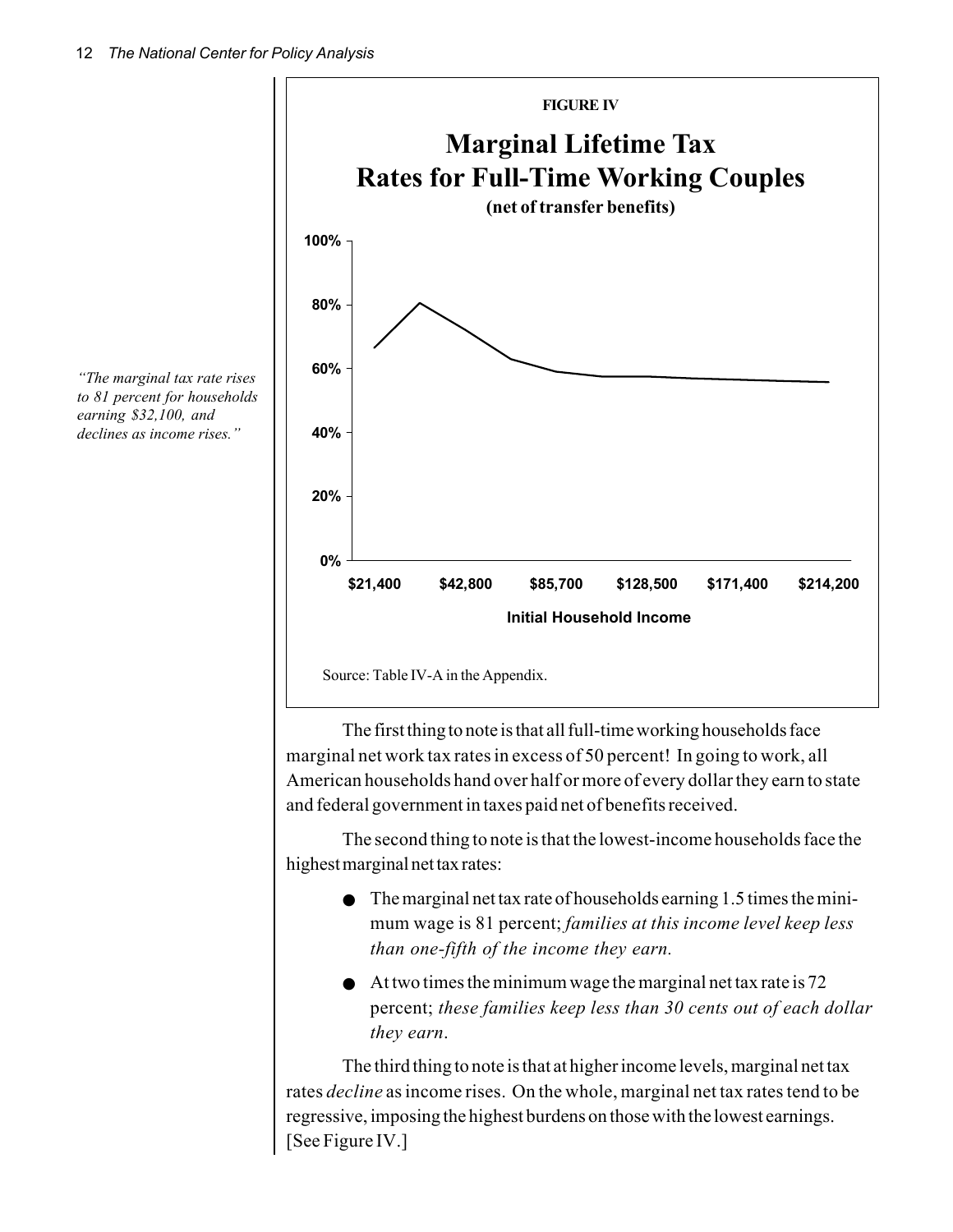

The first thing to note is that all full-time working households face marginal net work tax rates in excess of 50 percent! In going to work, all American households hand over half or more of every dollar they earn to state and federal government in taxes paid net of benefits received.

The second thing to note is that the lowest-income households face the highest marginal net tax rates:

- $\bullet$  The marginal net tax rate of households earning 1.5 times the minimum wage is 81 percent; *families at this income level keep less than one-fifth of the income they earn.*
- $\bullet$  At two times the minimum wage the marginal net tax rate is 72 percent; *these families keep less than 30 cents out of each dollar they earn*.

The third thing to note is that at higher income levels, marginal net tax rates *decline* as income rises. On the whole, marginal net tax rates tend to be regressive, imposing the highest burdens on those with the lowest earnings. [See Figure IV.]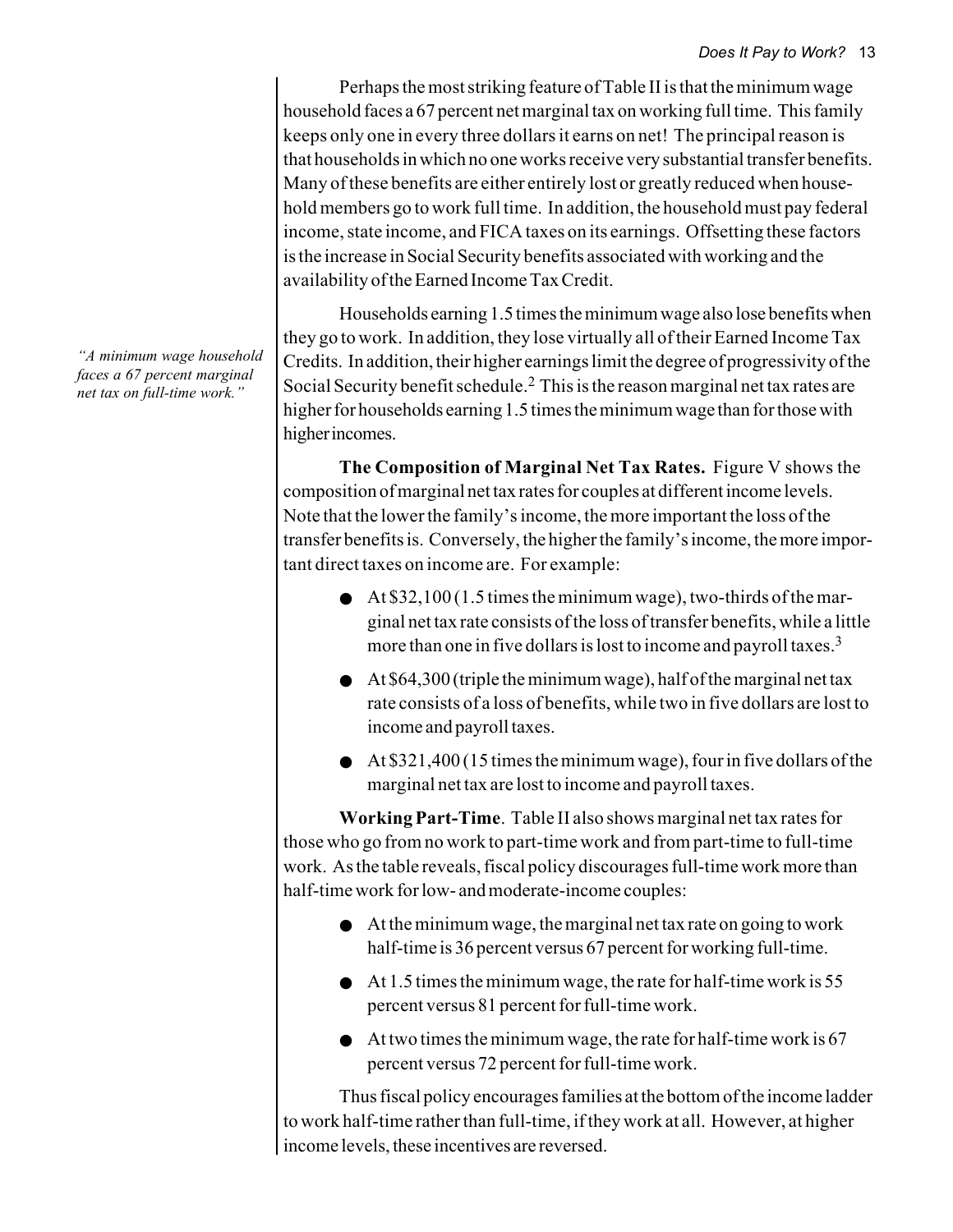Perhaps the most striking feature of Table II is that the minimum wage household faces a 67 percent net marginal tax on working full time. This family keeps only one in every three dollars it earns on net! The principal reason is that households in which no one works receive very substantial transfer benefits. Many of these benefits are either entirely lost or greatly reduced when household members go to work full time. In addition, the household must pay federal income, state income, and FICA taxes on its earnings. Offsetting these factors is the increase in Social Security benefits associated with working and the availability of the Earned Income Tax Credit.

Households earning 1.5 times the minimum wage also lose benefits when they go to work. In addition, they lose virtually all of their Earned Income Tax Credits. In addition, their higher earnings limit the degree of progressivity of the Social Security benefit schedule.2 This is the reason marginal net tax rates are higher for households earning 1.5 times the minimum wage than for those with higher incomes.

**The Composition of Marginal Net Tax Rates.** Figure V shows the composition of marginal net tax rates for couples at different income levels. Note that the lower the family's income, the more important the loss of the transfer benefits is. Conversely, the higher the family's income, the more important direct taxes on income are. For example:

- $\bullet$  At \$32,100 (1.5 times the minimum wage), two-thirds of the marginal net tax rate consists of the loss of transfer benefits, while a little more than one in five dollars is lost to income and payroll taxes.<sup>3</sup>
- $\bullet$  At \$64,300 (triple the minimum wage), half of the marginal net tax rate consists of a loss of benefits, while two in five dollars are lost to income and payroll taxes.
- $\bullet$  At \$321,400 (15 times the minimum wage), four in five dollars of the marginal net tax are lost to income and payroll taxes.

**Working Part-Time**. Table II also shows marginal net tax rates for those who go from no work to part-time work and from part-time to full-time work. As the table reveals, fiscal policy discourages full-time work more than half-time work for low- and moderate-income couples:

- At the minimum wage, the marginal net tax rate on going to work half-time is 36 percent versus 67 percent for working full-time.
- $\bullet$  At 1.5 times the minimum wage, the rate for half-time work is 55 percent versus 81 percent for full-time work.
- $\bullet$  At two times the minimum wage, the rate for half-time work is 67 percent versus 72 percent for full-time work.

Thus fiscal policy encourages families at the bottom of the income ladder to work half-time rather than full-time, if they work at all. However, at higher income levels, these incentives are reversed.

*"A minimum wage household faces a 67 percent marginal net tax on full-time work."*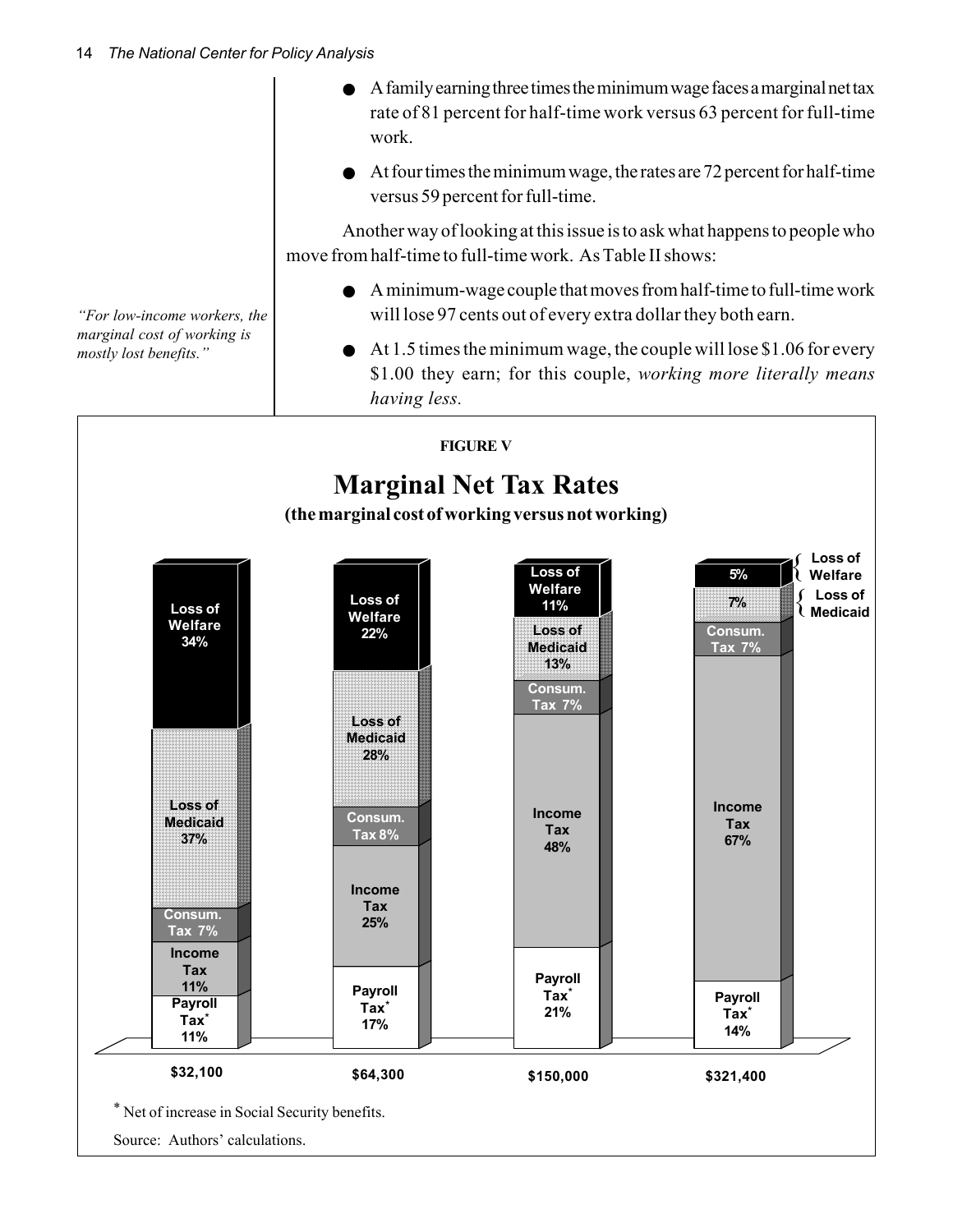|                                                       | $\bullet$ A family earning three times the minimum wage faces a marginal net tax<br>rate of 81 percent for half-time work versus 63 percent for full-time<br>work. |
|-------------------------------------------------------|--------------------------------------------------------------------------------------------------------------------------------------------------------------------|
|                                                       | $\bullet$ At four times the minimum wage, the rates are 72 percent for half-time<br>versus 59 percent for full-time.                                               |
|                                                       | Another way of looking at this issue is to ask what happens to people who<br>move from half-time to full-time work. As Table II shows:                             |
| "For low-income workers, the                          | $\bullet$ A minimum-wage couple that moves from half-time to full-time work<br>will lose 97 cents out of every extra dollar they both earn.                        |
| marginal cost of working is<br>mostly lost benefits." | $\bullet$ At 1.5 times the minimum wage, the couple will lose \$1.06 for every<br>\$1.00 they earn; for this couple, working more literally means<br>having less.  |

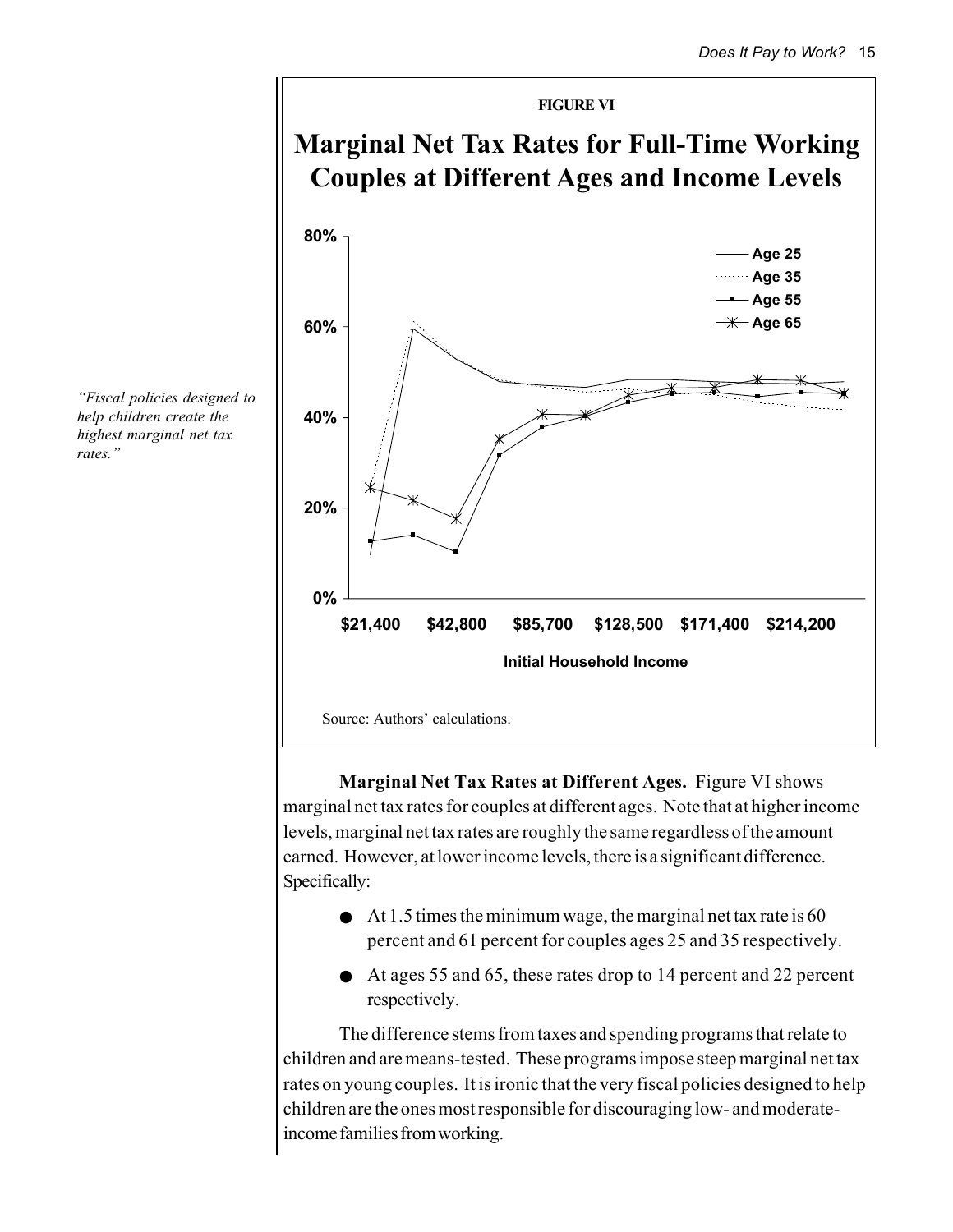

**Marginal Net Tax Rates at Different Ages.** Figure VI shows marginal net tax rates for couples at different ages. Note that at higher income levels, marginal net tax rates are roughly the same regardless of the amount earned. However, at lower income levels, there is a significant difference. Specifically:

- $\bullet$  At 1.5 times the minimum wage, the marginal net tax rate is 60 percent and 61 percent for couples ages 25 and 35 respectively.
- At ages 55 and 65, these rates drop to 14 percent and 22 percent respectively.

The difference stems from taxes and spending programs that relate to children and are means-tested. These programs impose steep marginal net tax rates on young couples. It is ironic that the very fiscal policies designed to help children are the ones most responsible for discouraging low- and moderateincome families from working.

*"Fiscal policies designed to help children create the highest marginal net tax rates."*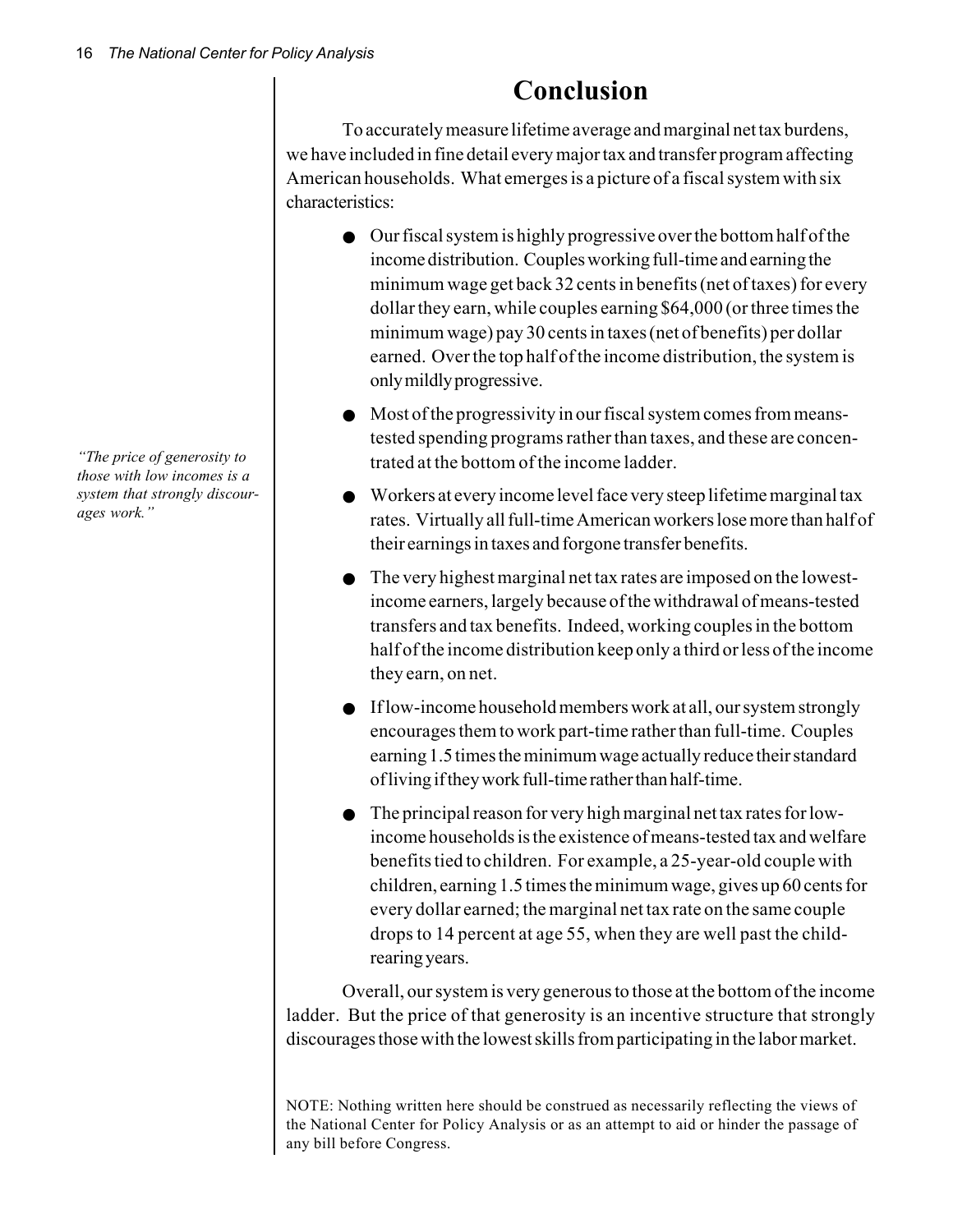**Conclusion**

To accurately measure lifetime average and marginal net tax burdens, we have included in fine detail every major tax and transfer program affecting American households. What emerges is a picture of a fiscal system with six characteristics:

- Our fiscal system is highly progressive over the bottom half of the income distribution. Couples working full-time and earning the minimum wage get back 32 cents in benefits (net of taxes) for every dollar they earn, while couples earning \$64,000 (or three times the minimum wage) pay 30 cents in taxes (net of benefits) per dollar earned. Over the top half of the income distribution, the system is only mildly progressive.
- Most of the progressivity in our fiscal system comes from meanstested spending programs rather than taxes, and these are concentrated at the bottom of the income ladder.
- Workers at every income level face very steep lifetime marginal tax rates. Virtually all full-time American workers lose more than half of their earnings in taxes and forgone transfer benefits.
- The very highest marginal net tax rates are imposed on the lowestincome earners, largely because of the withdrawal of means-tested transfers and tax benefits. Indeed, working couples in the bottom half of the income distribution keep only a third or less of the income they earn, on net.
- If low-income household members work at all, our system strongly encourages them to work part-time rather than full-time. Couples earning 1.5 times the minimum wage actually reduce their standard of living if they work full-time rather than half-time.
- The principal reason for very high marginal net tax rates for lowincome households is the existence of means-tested tax and welfare benefits tied to children. For example, a 25-year-old couple with children, earning 1.5 times the minimum wage, gives up 60 cents for every dollar earned; the marginal net tax rate on the same couple drops to 14 percent at age 55, when they are well past the childrearing years.

Overall, our system is very generous to those at the bottom of the income ladder. But the price of that generosity is an incentive structure that strongly discourages those with the lowest skills from participating in the labor market.

NOTE: Nothing written here should be construed as necessarily reflecting the views of the National Center for Policy Analysis or as an attempt to aid or hinder the passage of any bill before Congress.

*"The price of generosity to those with low incomes is a system that strongly discourages work."*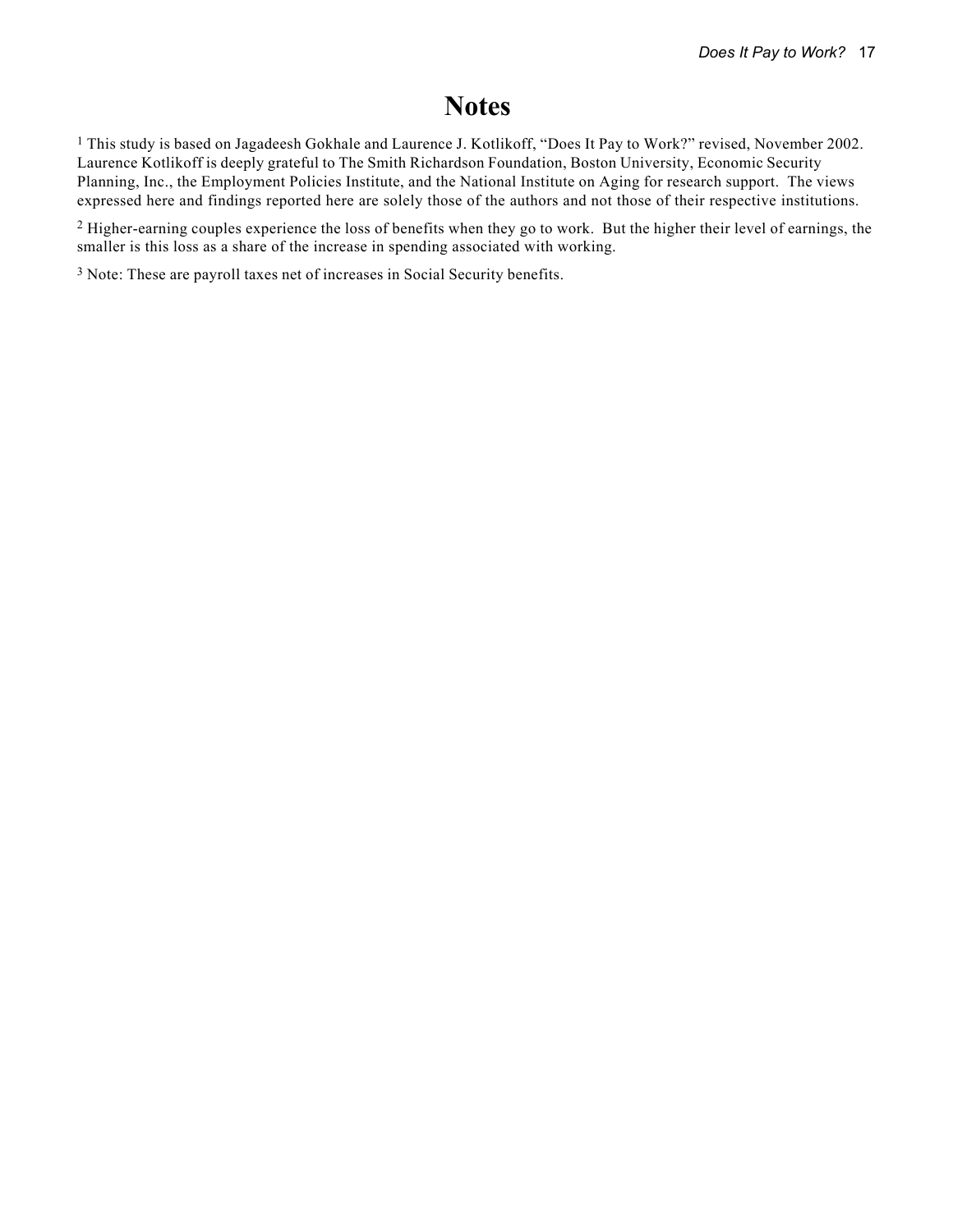# **Notes**

1 This study is based on Jagadeesh Gokhale and Laurence J. Kotlikoff, "Does It Pay to Work?" revised, November 2002. Laurence Kotlikoff is deeply grateful to The Smith Richardson Foundation, Boston University, Economic Security Planning, Inc., the Employment Policies Institute, and the National Institute on Aging for research support. The views expressed here and findings reported here are solely those of the authors and not those of their respective institutions.

<sup>2</sup> Higher-earning couples experience the loss of benefits when they go to work. But the higher their level of earnings, the smaller is this loss as a share of the increase in spending associated with working.

3 Note: These are payroll taxes net of increases in Social Security benefits.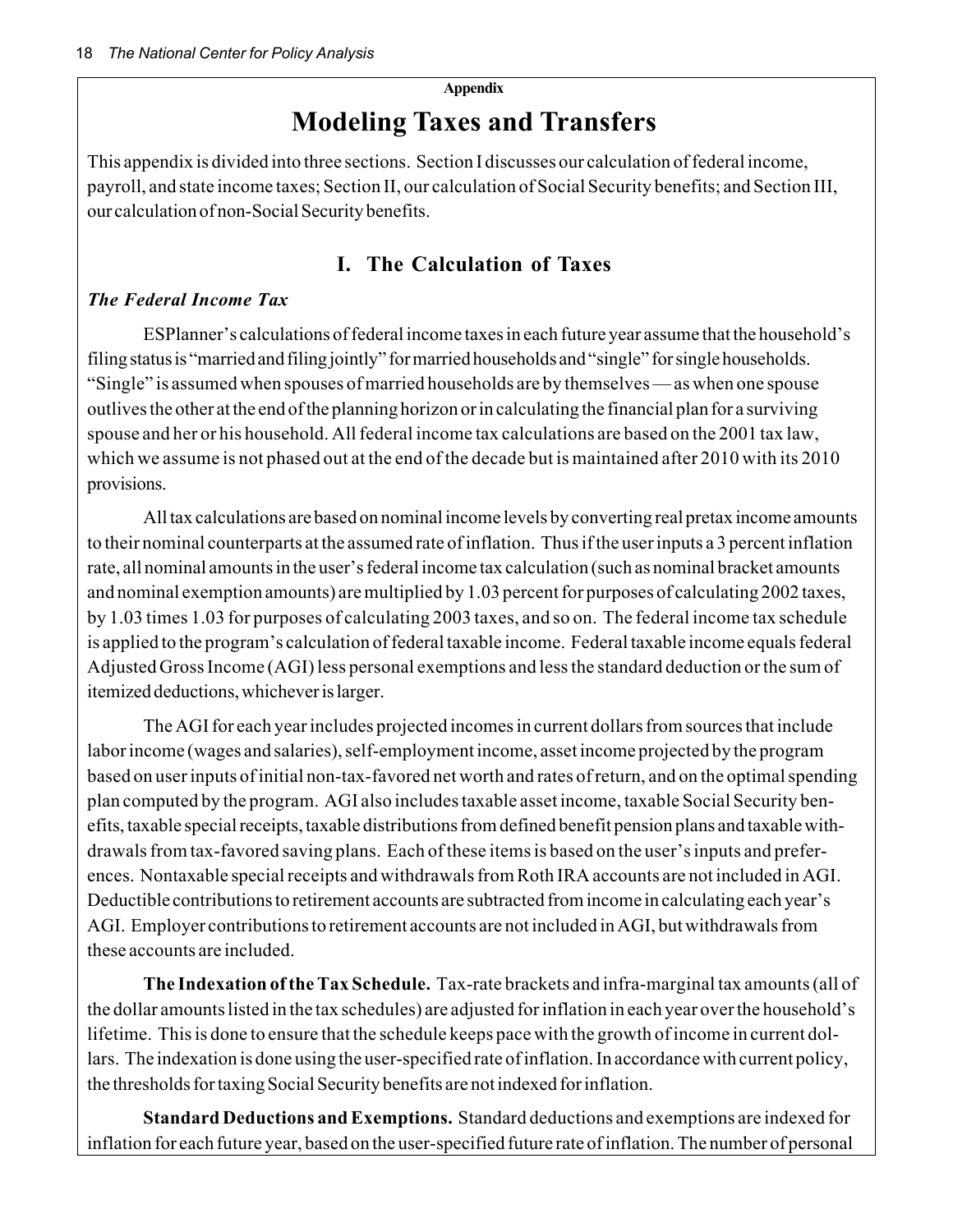#### **Appendix**

# **Modeling Taxes and Transfers**

This appendix is divided into three sections. Section I discusses our calculation of federal income, payroll, and state income taxes; Section II, our calculation of Social Security benefits; and Section III, our calculation of non-Social Security benefits.

# **I. The Calculation of Taxes**

### *The Federal Income Tax*

ESPlanner's calculations of federal income taxes in each future year assume that the household's filing status is "married and filing jointly" for married households and "single" for single households. "Single" is assumed when spouses of married households are by themselves — as when one spouse outlives the other at the end of the planning horizon or in calculating the financial plan for a surviving spouse and her or his household. All federal income tax calculations are based on the 2001 tax law, which we assume is not phased out at the end of the decade but is maintained after 2010 with its 2010 provisions.

All tax calculations are based on nominal income levels by converting real pretax income amounts to their nominal counterparts at the assumed rate of inflation. Thus if the user inputs a 3 percent inflation rate, all nominal amounts in the user's federal income tax calculation (such as nominal bracket amounts and nominal exemption amounts) are multiplied by 1.03 percent for purposes of calculating 2002 taxes, by 1.03 times 1.03 for purposes of calculating 2003 taxes, and so on. The federal income tax schedule is applied to the program's calculation of federal taxable income. Federal taxable income equals federal Adjusted Gross Income (AGI) less personal exemptions and less the standard deduction or the sum of itemized deductions, whichever is larger.

The AGI for each year includes projected incomes in current dollars from sources that include labor income (wages and salaries), self-employment income, asset income projected by the program based on user inputs of initial non-tax-favored net worth and rates of return, and on the optimal spending plan computed by the program. AGI also includes taxable asset income, taxable Social Security benefits, taxable special receipts, taxable distributions from defined benefit pension plans and taxable withdrawals from tax-favored saving plans. Each of these items is based on the user's inputs and preferences. Nontaxable special receipts and withdrawals from Roth IRA accounts are not included in AGI. Deductible contributions to retirement accounts are subtracted from income in calculating each year's AGI. Employer contributions to retirement accounts are not included in AGI, but withdrawals from these accounts are included.

**The Indexation of the Tax Schedule.** Tax-rate brackets and infra-marginal tax amounts (all of the dollar amounts listed in the tax schedules) are adjusted for inflation in each year over the household's lifetime. This is done to ensure that the schedule keeps pace with the growth of income in current dollars. The indexation is done using the user-specified rate of inflation. In accordance with current policy, the thresholds for taxing Social Security benefits are not indexed for inflation.

**Standard Deductions and Exemptions.** Standard deductions and exemptions are indexed for inflation for each future year, based on the user-specified future rate of inflation. The number of personal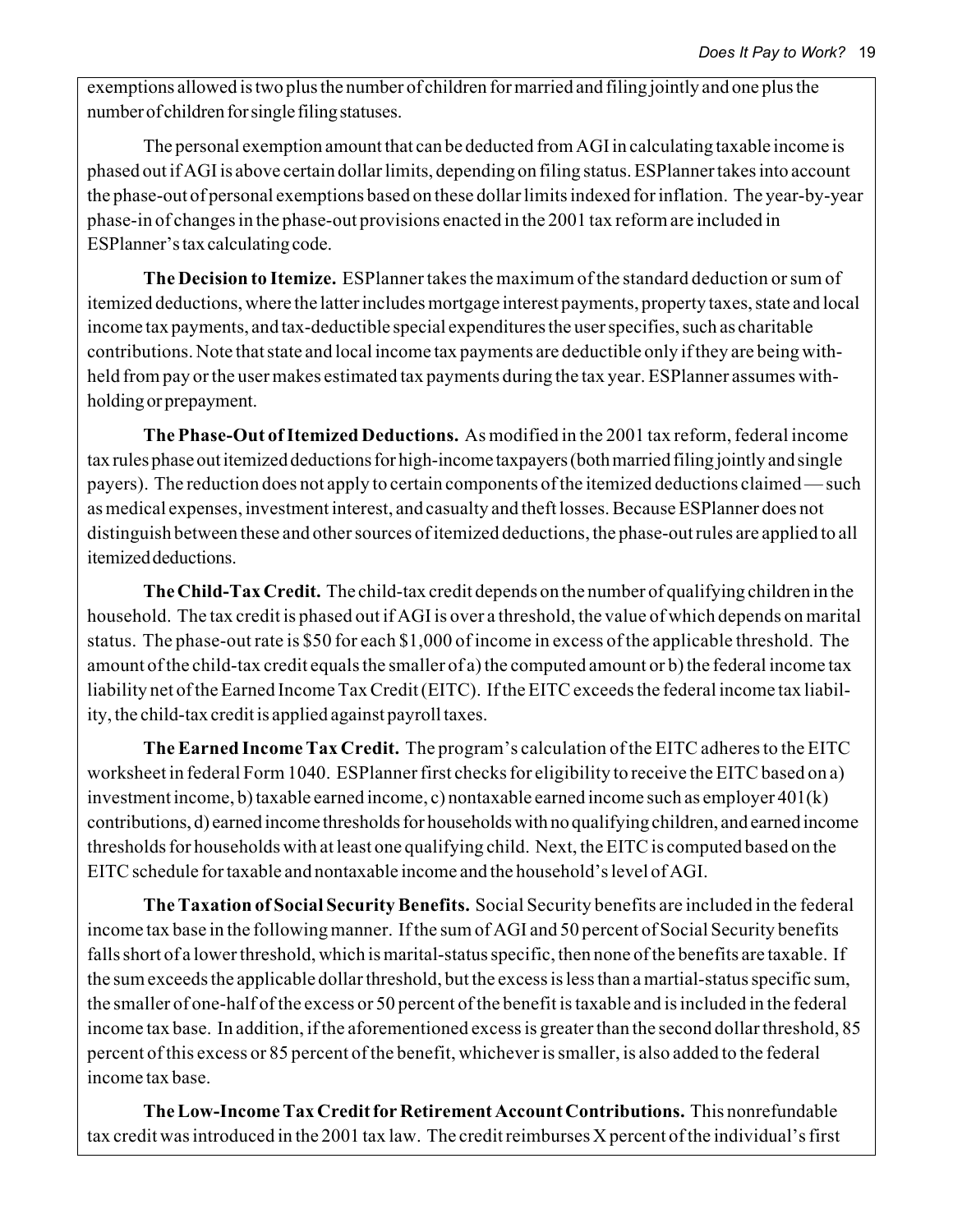exemptions allowed is two plus the number of children for married and filing jointly and one plus the number of children for single filing statuses.

The personal exemption amount that can be deducted from AGI in calculating taxable income is phased out if AGI is above certain dollar limits, depending on filing status. ESPlanner takes into account the phase-out of personal exemptions based on these dollar limits indexed for inflation. The year-by-year phase-in of changes in the phase-out provisions enacted in the 2001 tax reform are included in ESPlanner's tax calculating code.

**The Decision to Itemize.** ESPlanner takes the maximum of the standard deduction or sum of itemized deductions, where the latter includes mortgage interest payments, property taxes, state and local income tax payments, and tax-deductible special expenditures the user specifies, such as charitable contributions. Note that state and local income tax payments are deductible only if they are being withheld from pay or the user makes estimated tax payments during the tax year. ESPlanner assumes withholding or prepayment.

**The Phase-Out of Itemized Deductions.** As modified in the 2001 tax reform, federal income tax rules phase out itemized deductions for high-income taxpayers (both married filing jointly and single payers). The reduction does not apply to certain components of the itemized deductions claimed — such as medical expenses, investment interest, and casualty and theft losses. Because ESPlanner does not distinguish between these and other sources of itemized deductions, the phase-out rules are applied to all itemized deductions.

**The Child-Tax Credit.** The child-tax credit depends on the number of qualifying children in the household. The tax credit is phased out if AGI is over a threshold, the value of which depends on marital status. The phase-out rate is \$50 for each \$1,000 of income in excess of the applicable threshold. The amount of the child-tax credit equals the smaller of a) the computed amount or b) the federal income tax liability net of the Earned Income Tax Credit (EITC). If the EITC exceeds the federal income tax liability, the child-tax credit is applied against payroll taxes.

**The Earned Income Tax Credit.** The program's calculation of the EITC adheres to the EITC worksheet in federal Form 1040. ESPlanner first checks for eligibility to receive the EITC based on a) investment income, b) taxable earned income, c) nontaxable earned income such as employer 401(k) contributions, d) earned income thresholds for households with no qualifying children, and earned income thresholds for households with at least one qualifying child. Next, the EITC is computed based on the EITC schedule for taxable and nontaxable income and the household's level of AGI.

**The Taxation of Social Security Benefits.** Social Security benefits are included in the federal income tax base in the following manner. If the sum of AGI and 50 percent of Social Security benefits falls short of a lower threshold, which is marital-status specific, then none of the benefits are taxable. If the sum exceeds the applicable dollar threshold, but the excess is less than a martial-status specific sum, the smaller of one-half of the excess or 50 percent of the benefit is taxable and is included in the federal income tax base. In addition, if the aforementioned excess is greater than the second dollar threshold, 85 percent of this excess or 85 percent of the benefit, whichever is smaller, is also added to the federal income tax base.

**The Low-Income Tax Credit for Retirement Account Contributions.** This nonrefundable tax credit was introduced in the 2001 tax law. The credit reimburses X percent of the individual's first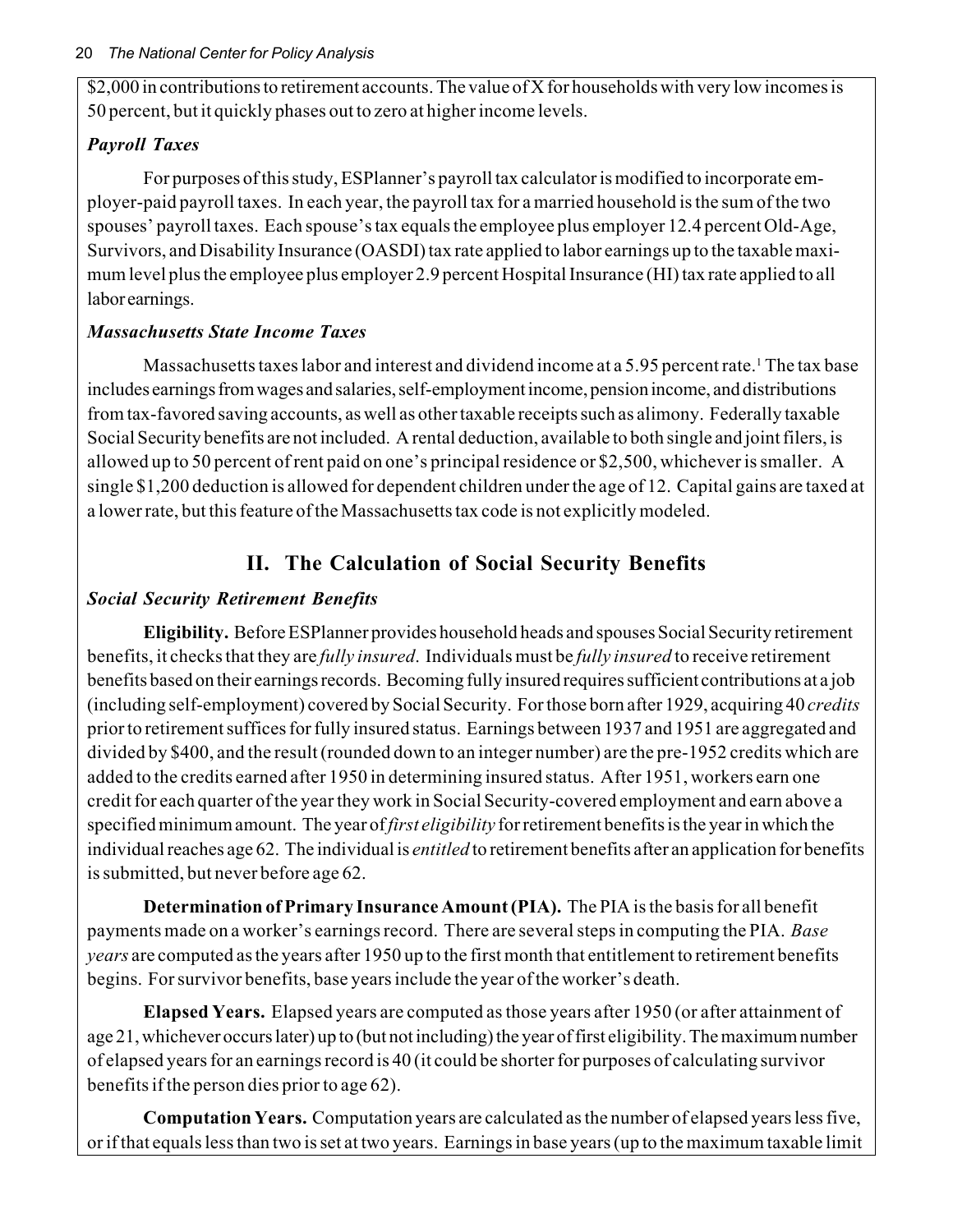\$2,000 in contributions to retirement accounts. The value of X for households with very low incomes is 50 percent, but it quickly phases out to zero at higher income levels.

# *Payroll Taxes*

For purposes of this study, ESPlanner's payroll tax calculator is modified to incorporate employer-paid payroll taxes. In each year, the payroll tax for a married household is the sum of the two spouses' payroll taxes. Each spouse's tax equals the employee plus employer 12.4 percent Old-Age, Survivors, and Disability Insurance (OASDI) tax rate applied to labor earnings up to the taxable maximum level plus the employee plus employer 2.9 percent Hospital Insurance (HI) tax rate applied to all labor earnings.

# *Massachusetts State Income Taxes*

Massachusetts taxes labor and interest and dividend income at a 5.95 percent rate.<sup>1</sup> The tax base includes earnings from wages and salaries, self-employment income, pension income, and distributions from tax-favored saving accounts, as well as other taxable receipts such as alimony. Federally taxable Social Security benefits are not included. A rental deduction, available to both single and joint filers, is allowed up to 50 percent of rent paid on one's principal residence or \$2,500, whichever is smaller. A single \$1,200 deduction is allowed for dependent children under the age of 12. Capital gains are taxed at a lower rate, but this feature of the Massachusetts tax code is not explicitly modeled.

# **II. The Calculation of Social Security Benefits**

# *Social Security Retirement Benefits*

**Eligibility.** Before ESPlanner provides household heads and spouses Social Security retirement benefits, it checks that they are *fully insured*. Individuals must be *fully insured* to receive retirement benefits based on their earnings records. Becoming fully insured requires sufficient contributions at a job (including self-employment) covered by Social Security. For those born after 1929, acquiring 40 *credits* prior to retirement suffices for fully insured status. Earnings between 1937 and 1951 are aggregated and divided by \$400, and the result (rounded down to an integer number) are the pre-1952 credits which are added to the credits earned after 1950 in determining insured status. After 1951, workers earn one credit for each quarter of the year they work in Social Security-covered employment and earn above a specified minimum amount. The year of *first eligibility* for retirement benefits is the year in which the individual reaches age 62. The individual is *entitled* to retirement benefits after an application for benefits is submitted, but never before age 62.

**Determination of Primary Insurance Amount (PIA).** The PIA is the basis for all benefit payments made on a worker's earnings record. There are several steps in computing the PIA. *Base years* are computed as the years after 1950 up to the first month that entitlement to retirement benefits begins. For survivor benefits, base years include the year of the worker's death.

**Elapsed Years.** Elapsed years are computed as those years after 1950 (or after attainment of age 21, whichever occurs later) up to (but not including) the year of first eligibility. The maximum number of elapsed years for an earnings record is 40 (it could be shorter for purposes of calculating survivor benefits if the person dies prior to age 62).

**Computation Years.** Computation years are calculated as the number of elapsed years less five, or if that equals less than two is set at two years. Earnings in base years (up to the maximum taxable limit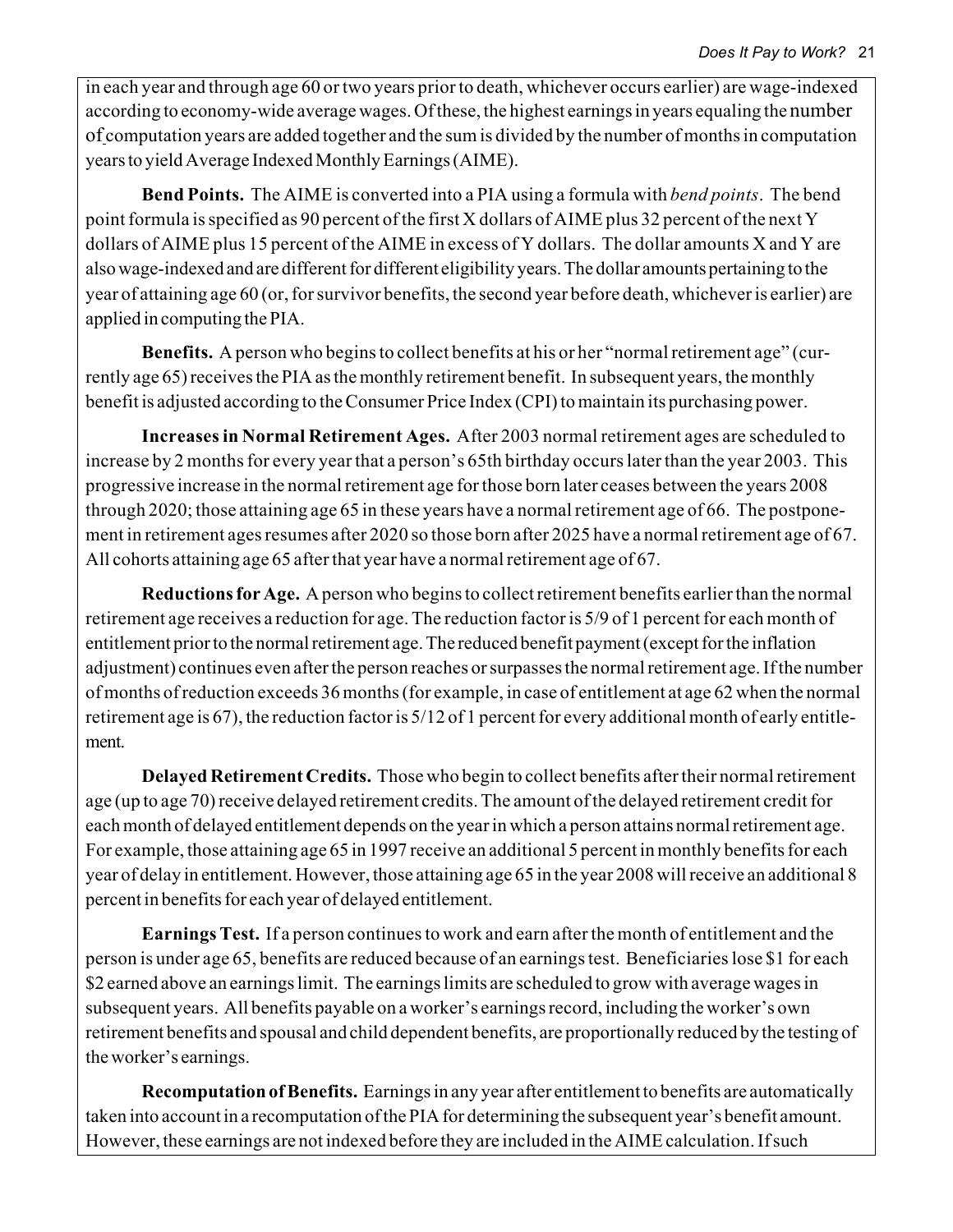in each year and through age 60 or two years prior to death, whichever occurs earlier) are wage-indexed according to economy-wide average wages. Of these, the highest earnings in years equaling the number of computation years are added together and the sum is divided by the number of months in computation years to yield Average Indexed Monthly Earnings (AIME).

**Bend Points.** The AIME is converted into a PIA using a formula with *bend points*. The bend point formula is specified as 90 percent of the first X dollars of AIME plus 32 percent of the next Y dollars of AIME plus 15 percent of the AIME in excess of Y dollars. The dollar amounts X and Y are also wage-indexed and are different for different eligibility years. The dollar amounts pertaining to the year of attaining age 60 (or, for survivor benefits, the second year before death, whichever is earlier) are applied in computing the PIA.

**Benefits.** A person who begins to collect benefits at his or her "normal retirement age" (currently age 65) receives the PIA as the monthly retirement benefit. In subsequent years, the monthly benefit is adjusted according to the Consumer Price Index (CPI) to maintain its purchasing power.

**Increases in Normal Retirement Ages.** After 2003 normal retirement ages are scheduled to increase by 2 months for every year that a person's 65th birthday occurs later than the year 2003. This progressive increase in the normal retirement age for those born later ceases between the years 2008 through 2020; those attaining age 65 in these years have a normal retirement age of 66. The postponement in retirement ages resumes after 2020 so those born after 2025 have a normal retirement age of 67. All cohorts attaining age 65 after that year have a normal retirement age of 67.

**Reductions for Age.** A person who begins to collect retirement benefits earlier than the normal retirement age receives a reduction for age. The reduction factor is 5/9 of 1 percent for each month of entitlement prior to the normal retirement age. The reduced benefit payment (except for the inflation adjustment) continues even after the person reaches or surpasses the normal retirement age. If the number of months of reduction exceeds 36 months (for example, in case of entitlement at age 62 when the normal retirement age is 67), the reduction factor is 5/12 of 1 percent for every additional month of early entitlement.

**Delayed Retirement Credits.** Those who begin to collect benefits after their normal retirement age (up to age 70) receive delayed retirement credits. The amount of the delayed retirement credit for each month of delayed entitlement depends on the year in which a person attains normal retirement age. For example, those attaining age 65 in 1997 receive an additional 5 percent in monthly benefits for each year of delay in entitlement. However, those attaining age 65 in the year 2008 will receive an additional 8 percent in benefits for each year of delayed entitlement.

**Earnings Test.** If a person continues to work and earn after the month of entitlement and the person is under age 65, benefits are reduced because of an earnings test. Beneficiaries lose \$1 for each \$2 earned above an earnings limit. The earnings limits are scheduled to grow with average wages in subsequent years. All benefits payable on a worker's earnings record, including the worker's own retirement benefits and spousal and child dependent benefits, are proportionally reduced by the testing of the worker's earnings.

**Recomputation of Benefits.** Earnings in any year after entitlement to benefits are automatically taken into account in a recomputation of the PIA for determining the subsequent year's benefit amount. However, these earnings are not indexed before they are included in the AIME calculation. If such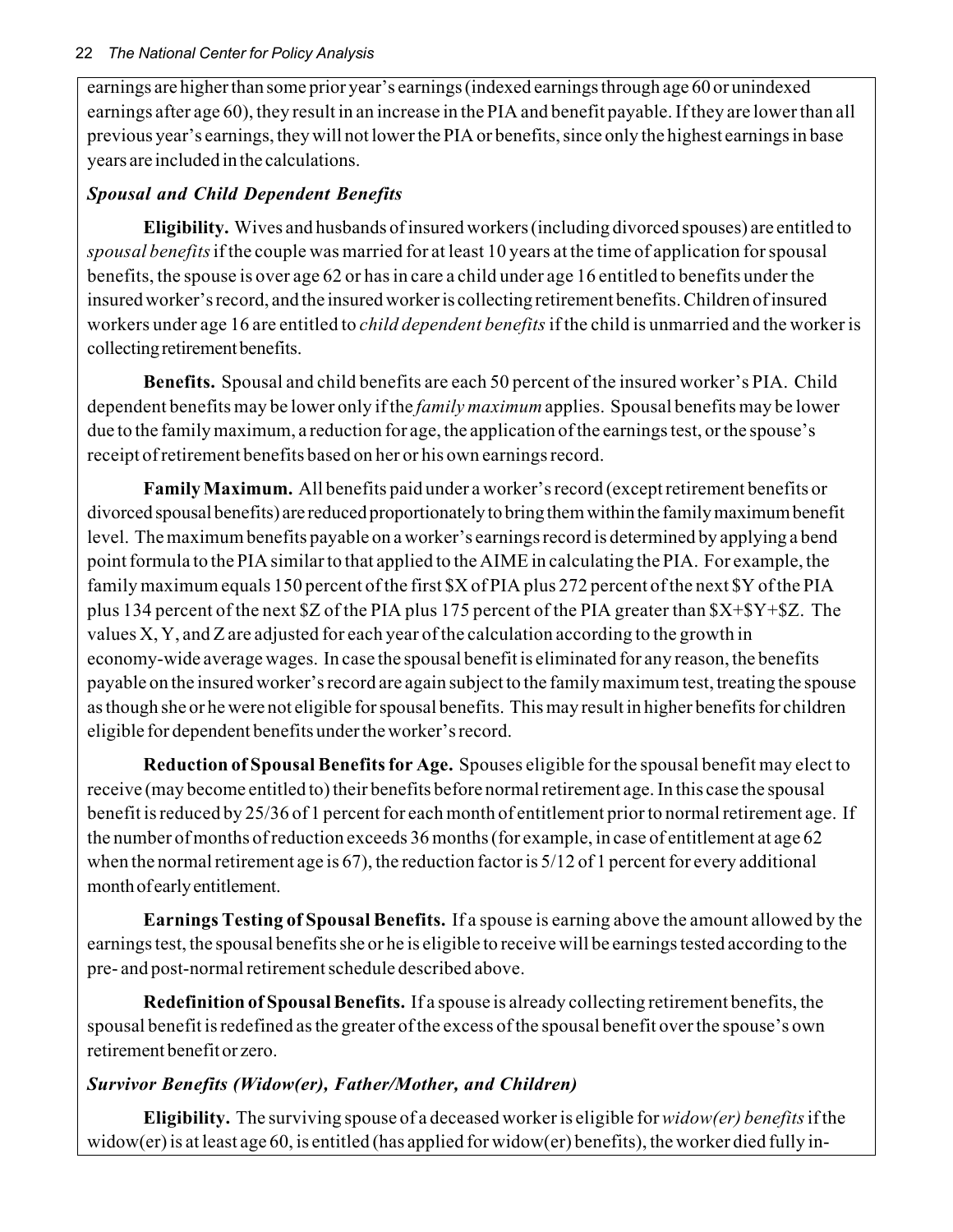#### 22 *The National Center for Policy Analysis*

earnings are higher than some prior year's earnings (indexed earnings through age 60 or unindexed earnings after age 60), they result in an increase in the PIA and benefit payable. If they are lower than all previous year's earnings, they will not lower the PIA or benefits, since only the highest earnings in base years are included in the calculations.

### *Spousal and Child Dependent Benefits*

**Eligibility.** Wives and husbands of insured workers (including divorced spouses) are entitled to *spousal benefits* if the couple was married for at least 10 years at the time of application for spousal benefits, the spouse is over age 62 or has in care a child under age 16 entitled to benefits under the insured worker's record, and the insured worker is collecting retirement benefits. Children of insured workers under age 16 are entitled to *child dependent benefits* if the child is unmarried and the worker is collecting retirement benefits.

**Benefits.** Spousal and child benefits are each 50 percent of the insured worker's PIA. Child dependent benefits may be lower only if the *family maximum* applies. Spousal benefits may be lower due to the family maximum, a reduction for age, the application of the earnings test, or the spouse's receipt of retirement benefits based on her or his own earnings record.

**Family Maximum.** All benefits paid under a worker's record (except retirement benefits or divorced spousal benefits) are reduced proportionately to bring them within the family maximum benefit level. The maximum benefits payable on a worker's earnings record is determined by applying a bend point formula to the PIA similar to that applied to the AIME in calculating the PIA. For example, the family maximum equals 150 percent of the first \$X of PIA plus 272 percent of the next \$Y of the PIA plus 134 percent of the next \$Z of the PIA plus 175 percent of the PIA greater than \$X+\$Y+\$Z. The values X, Y, and Z are adjusted for each year of the calculation according to the growth in economy-wide average wages. In case the spousal benefit is eliminated for any reason, the benefits payable on the insured worker's record are again subject to the family maximum test, treating the spouse as though she or he were not eligible for spousal benefits. This may result in higher benefits for children eligible for dependent benefits under the worker's record.

**Reduction of Spousal Benefits for Age.** Spouses eligible for the spousal benefit may elect to receive (may become entitled to) their benefits before normal retirement age. In this case the spousal benefit is reduced by 25/36 of 1 percent for each month of entitlement prior to normal retirement age. If the number of months of reduction exceeds 36 months (for example, in case of entitlement at age 62 when the normal retirement age is 67), the reduction factor is 5/12 of 1 percent for every additional month of early entitlement.

**Earnings Testing of Spousal Benefits.** If a spouse is earning above the amount allowed by the earnings test, the spousal benefits she or he is eligible to receive will be earnings tested according to the pre- and post-normal retirement schedule described above.

**Redefinition of Spousal Benefits.** If a spouse is already collecting retirement benefits, the spousal benefit is redefined as the greater of the excess of the spousal benefit over the spouse's own retirement benefit or zero.

### *Survivor Benefits (Widow(er), Father/Mother, and Children)*

**Eligibility.** The surviving spouse of a deceased worker is eligible for *widow(er) benefits* if the widow(er) is at least age 60, is entitled (has applied for widow(er) benefits), the worker died fully in-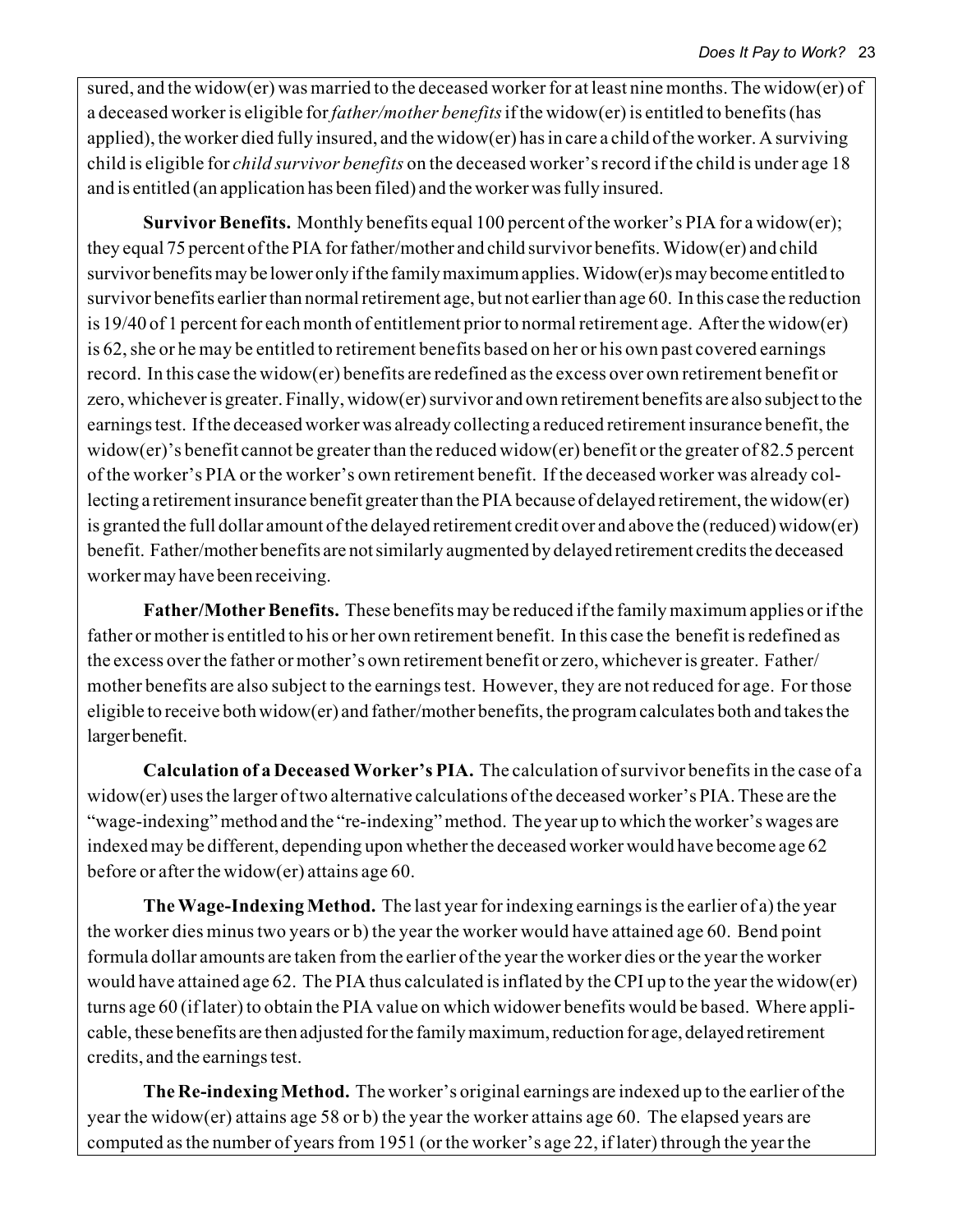sured, and the widow(er) was married to the deceased worker for at least nine months. The widow(er) of a deceased worker is eligible for *father/mother benefits* if the widow(er) is entitled to benefits (has applied), the worker died fully insured, and the widow(er) has in care a child of the worker. A surviving child is eligible for *child survivor benefits* on the deceased worker's record if the child is under age 18 and is entitled (an application has been filed) and the worker was fully insured.

**Survivor Benefits.** Monthly benefits equal 100 percent of the worker's PIA for a widow(er); they equal 75 percent of the PIA for father/mother and child survivor benefits. Widow(er) and child survivor benefits may be lower only if the family maximum applies. Widow(er)s may become entitled to survivor benefits earlier than normal retirement age, but not earlier than age 60. In this case the reduction is 19/40 of 1 percent for each month of entitlement prior to normal retirement age. After the widow(er) is 62, she or he may be entitled to retirement benefits based on her or his own past covered earnings record. In this case the widow(er) benefits are redefined as the excess over own retirement benefit or zero, whichever is greater. Finally, widow(er) survivor and own retirement benefits are also subject to the earnings test. If the deceased worker was already collecting a reduced retirement insurance benefit, the widow(er)'s benefit cannot be greater than the reduced widow(er) benefit or the greater of 82.5 percent of the worker's PIA or the worker's own retirement benefit. If the deceased worker was already collecting a retirement insurance benefit greater than the PIA because of delayed retirement, the widow(er) is granted the full dollar amount of the delayed retirement credit over and above the (reduced) widow(er) benefit. Father/mother benefits are not similarly augmented by delayed retirement credits the deceased worker may have been receiving.

**Father/Mother Benefits.** These benefits may be reduced if the family maximum applies or if the father or mother is entitled to his or her own retirement benefit. In this case the benefit is redefined as the excess over the father or mother's own retirement benefit or zero, whichever is greater. Father/ mother benefits are also subject to the earnings test. However, they are not reduced for age. For those eligible to receive both widow(er) and father/mother benefits, the program calculates both and takes the larger benefit.

**Calculation of a Deceased Worker's PIA.** The calculation of survivor benefits in the case of a widow(er) uses the larger of two alternative calculations of the deceased worker's PIA. These are the "wage-indexing" method and the "re-indexing" method. The year up to which the worker's wages are indexed may be different, depending upon whether the deceased worker would have become age 62 before or after the widow(er) attains age 60.

**The Wage-Indexing Method.** The last year for indexing earnings is the earlier of a) the year the worker dies minus two years or b) the year the worker would have attained age 60. Bend point formula dollar amounts are taken from the earlier of the year the worker dies or the year the worker would have attained age 62. The PIA thus calculated is inflated by the CPI up to the year the widow(er) turns age 60 (if later) to obtain the PIA value on which widower benefits would be based. Where applicable, these benefits are then adjusted for the family maximum, reduction for age, delayed retirement credits, and the earnings test.

**The Re-indexing Method.** The worker's original earnings are indexed up to the earlier of the year the widow(er) attains age 58 or b) the year the worker attains age 60. The elapsed years are computed as the number of years from 1951 (or the worker's age 22, if later) through the year the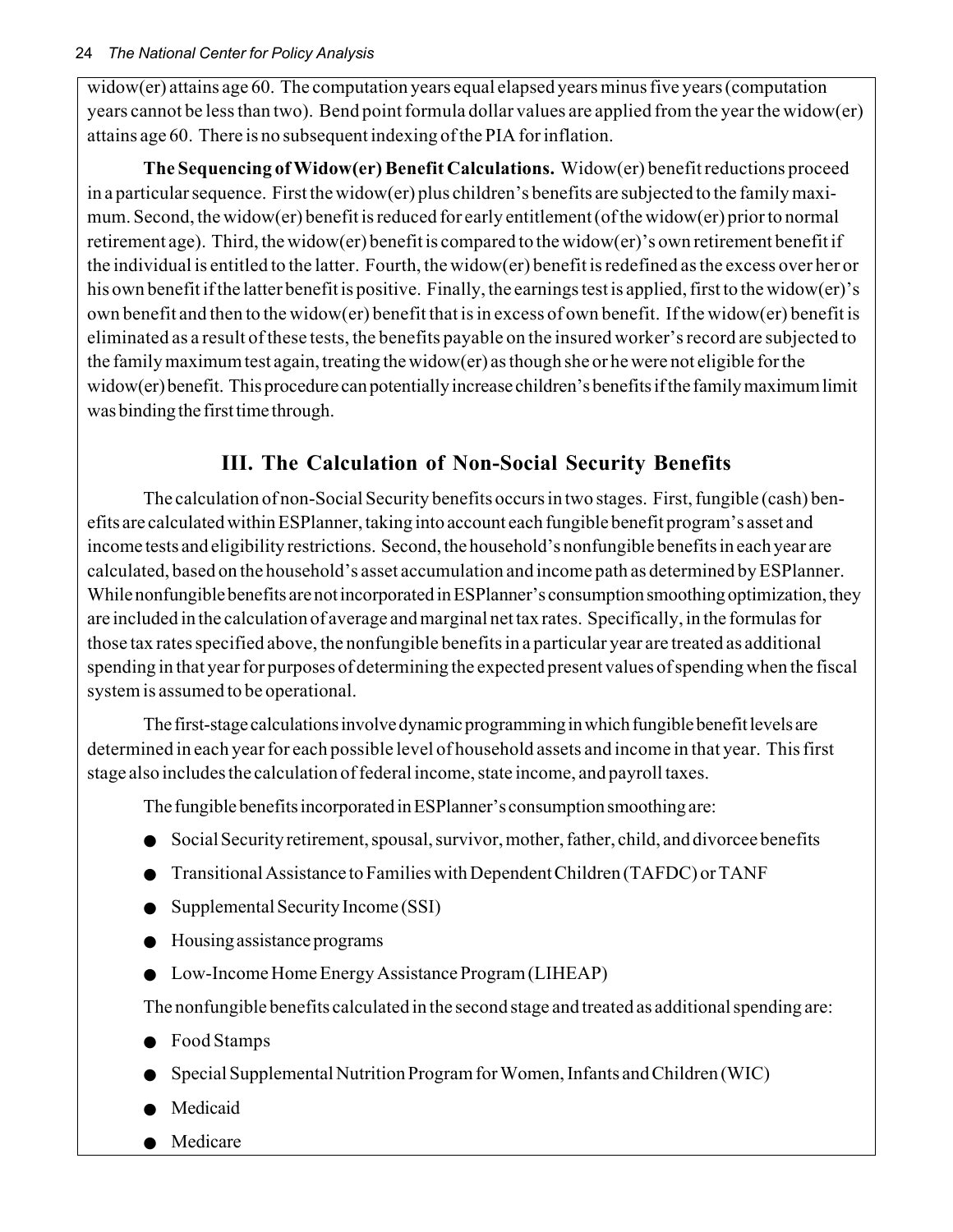widow(er) attains age 60. The computation years equal elapsed years minus five years (computation years cannot be less than two). Bend point formula dollar values are applied from the year the widow(er) attains age 60. There is no subsequent indexing of the PIA for inflation.

**The Sequencing of Widow(er) Benefit Calculations.** Widow(er) benefit reductions proceed in a particular sequence. First the widow(er) plus children's benefits are subjected to the family maximum. Second, the widow(er) benefit is reduced for early entitlement (of the widow(er) prior to normal retirement age). Third, the widow(er) benefit is compared to the widow(er)'s own retirement benefit if the individual is entitled to the latter. Fourth, the widow(er) benefit is redefined as the excess over her or his own benefit if the latter benefit is positive. Finally, the earnings test is applied, first to the widow(er)'s own benefit and then to the widow(er) benefit that is in excess of own benefit. If the widow(er) benefit is eliminated as a result of these tests, the benefits payable on the insured worker's record are subjected to the family maximum test again, treating the widow(er) as though she or he were not eligible for the widow(er) benefit. This procedure can potentially increase children's benefits if the family maximum limit was binding the first time through.

# **III. The Calculation of Non-Social Security Benefits**

The calculation of non-Social Security benefits occurs in two stages. First, fungible (cash) benefits are calculated within ESPlanner, taking into account each fungible benefit program's asset and income tests and eligibility restrictions. Second, the household's nonfungible benefits in each year are calculated, based on the household's asset accumulation and income path as determined by ESPlanner. While nonfungible benefits are not incorporated in ESPlanner's consumption smoothing optimization, they are included in the calculation of average and marginal net tax rates. Specifically, in the formulas for those tax rates specified above, the nonfungible benefits in a particular year are treated as additional spending in that year for purposes of determining the expected present values of spending when the fiscal system is assumed to be operational.

The first-stage calculations involve dynamic programming in which fungible benefit levels are determined in each year for each possible level of household assets and income in that year. This first stage also includes the calculation of federal income, state income, and payroll taxes.

The fungible benefits incorporated in ESPlanner's consumption smoothing are:

- Social Security retirement, spousal, survivor, mother, father, child, and divorcee benefits
- Transitional Assistance to Families with Dependent Children (TAFDC) or TANF
- Supplemental Security Income (SSI)
- Housing assistance programs
- Low-Income Home Energy Assistance Program (LIHEAP)

The nonfungible benefits calculated in the second stage and treated as additional spending are:

- Food Stamps
- Special Supplemental Nutrition Program for Women, Infants and Children (WIC)
- Medicaid
- Medicare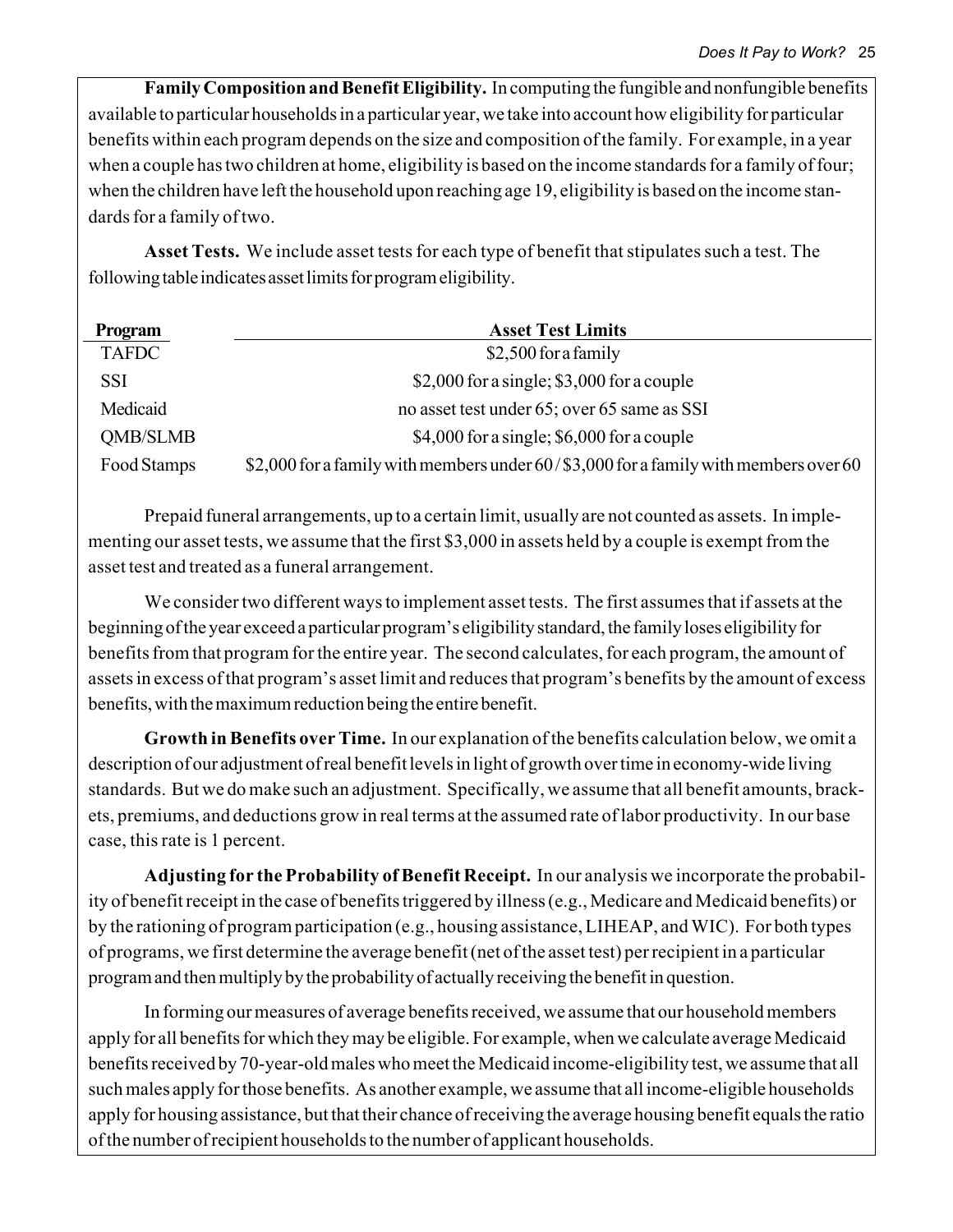**Family Composition and Benefit Eligibility.** In computing the fungible and nonfungible benefits available to particular households in a particular year, we take into account how eligibility for particular benefits within each program depends on the size and composition of the family. For example, in a year when a couple has two children at home, eligibility is based on the income standards for a family of four; when the children have left the household upon reaching age 19, eligibility is based on the income standards for a family of two.

**Asset Tests.** We include asset tests for each type of benefit that stipulates such a test. The following table indicates asset limits for program eligibility.

| Program         | <b>Asset Test Limits</b>                                                             |
|-----------------|--------------------------------------------------------------------------------------|
| <b>TAFDC</b>    | \$2,500 for a family                                                                 |
| SSI             | \$2,000 for a single; \$3,000 for a couple                                           |
| Medicaid        | no asset test under 65; over 65 same as SSI                                          |
| <b>QMB/SLMB</b> | \$4,000 for a single; $$6,000$ for a couple                                          |
| Food Stamps     | \$2,000 for a family with members under 60/\$3,000 for a family with members over 60 |

Prepaid funeral arrangements, up to a certain limit, usually are not counted as assets. In implementing our asset tests, we assume that the first \$3,000 in assets held by a couple is exempt from the asset test and treated as a funeral arrangement.

We consider two different ways to implement asset tests. The first assumes that if assets at the beginning of the year exceed a particular program's eligibility standard, the family loses eligibility for benefits from that program for the entire year. The second calculates, for each program, the amount of assets in excess of that program's asset limit and reduces that program's benefits by the amount of excess benefits, with the maximum reduction being the entire benefit.

**Growth in Benefits over Time.** In our explanation of the benefits calculation below, we omit a description of our adjustment of real benefit levels in light of growth over time in economy-wide living standards. But we do make such an adjustment. Specifically, we assume that all benefit amounts, brackets, premiums, and deductions grow in real terms at the assumed rate of labor productivity. In our base case, this rate is 1 percent.

**Adjusting for the Probability of Benefit Receipt.** In our analysis we incorporate the probability of benefit receipt in the case of benefits triggered by illness (e.g., Medicare and Medicaid benefits) or by the rationing of program participation (e.g., housing assistance, LIHEAP, and WIC). For both types of programs, we first determine the average benefit (net of the asset test) per recipient in a particular program and then multiply by the probability of actually receiving the benefit in question.

In forming our measures of average benefits received, we assume that our household members apply for all benefits for which they may be eligible. For example, when we calculate average Medicaid benefits received by 70-year-old males who meet the Medicaid income-eligibility test, we assume that all such males apply for those benefits. As another example, we assume that all income-eligible households apply for housing assistance, but that their chance of receiving the average housing benefit equals the ratio of the number of recipient households to the number of applicant households.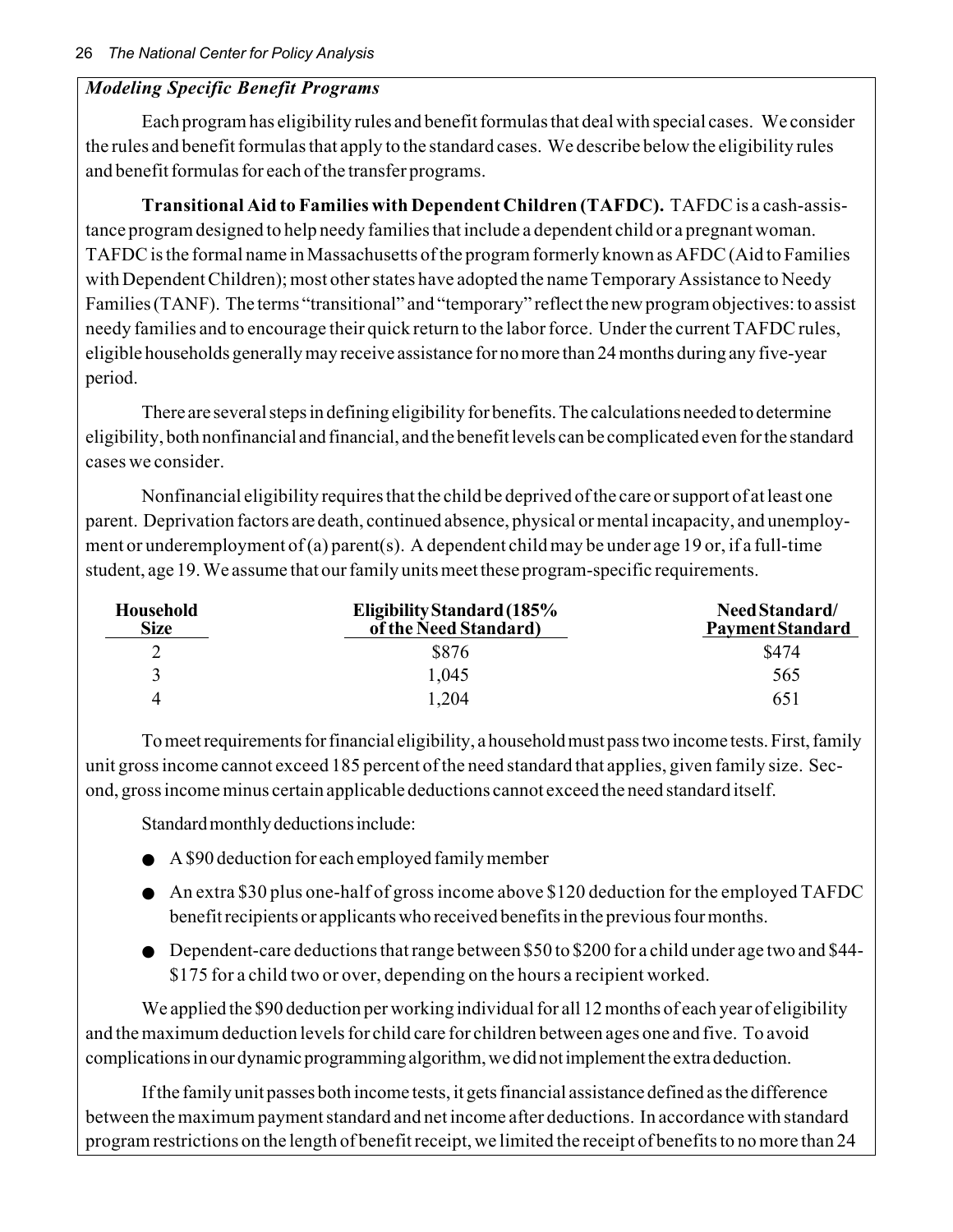### *Modeling Specific Benefit Programs*

Each program has eligibility rules and benefit formulas that deal with special cases. We consider the rules and benefit formulas that apply to the standard cases. We describe below the eligibility rules and benefit formulas for each of the transfer programs.

**Transitional Aid to Families with Dependent Children (TAFDC).** TAFDC is a cash-assistance program designed to help needy families that include a dependent child or a pregnant woman. TAFDC is the formal name in Massachusetts of the program formerly known as AFDC (Aid to Families with Dependent Children); most other states have adopted the name Temporary Assistance to Needy Families (TANF). The terms "transitional" and "temporary" reflect the new program objectives: to assist needy families and to encourage their quick return to the labor force. Under the current TAFDC rules, eligible households generally may receive assistance for no more than 24 months during any five-year period.

There are several steps in defining eligibility for benefits. The calculations needed to determine eligibility, both nonfinancial and financial, and the benefit levels can be complicated even for the standard cases we consider.

Nonfinancial eligibility requires that the child be deprived of the care or support of at least one parent. Deprivation factors are death, continued absence, physical or mental incapacity, and unemployment or underemployment of (a) parent(s). A dependent child may be under age 19 or, if a full-time student, age 19. We assume that our family units meet these program-specific requirements.

| Household<br><b>Size</b> | Eligibility Standard (185%<br>of the Need Standard) | Need Standard/<br><b>Payment Standard</b> |
|--------------------------|-----------------------------------------------------|-------------------------------------------|
|                          | \$876                                               | \$474                                     |
|                          | 1.045                                               | 565                                       |
| 4                        | .204                                                | 651                                       |

To meet requirements for financial eligibility, a household must pass two income tests. First, family unit gross income cannot exceed 185 percent of the need standard that applies, given family size. Second, gross income minus certain applicable deductions cannot exceed the need standard itself.

Standard monthly deductions include:

- A \$90 deduction for each employed family member
- An extra \$30 plus one-half of gross income above \$120 deduction for the employed TAFDC benefit recipients or applicants who received benefits in the previous four months.
- Dependent-care deductions that range between \$50 to \$200 for a child under age two and \$44- \$175 for a child two or over, depending on the hours a recipient worked.

We applied the \$90 deduction per working individual for all 12 months of each year of eligibility and the maximum deduction levels for child care for children between ages one and five. To avoid complications in our dynamic programming algorithm, we did not implement the extra deduction.

If the family unit passes both income tests, it gets financial assistance defined as the difference between the maximum payment standard and net income after deductions. In accordance with standard program restrictions on the length of benefit receipt, we limited the receipt of benefits to no more than 24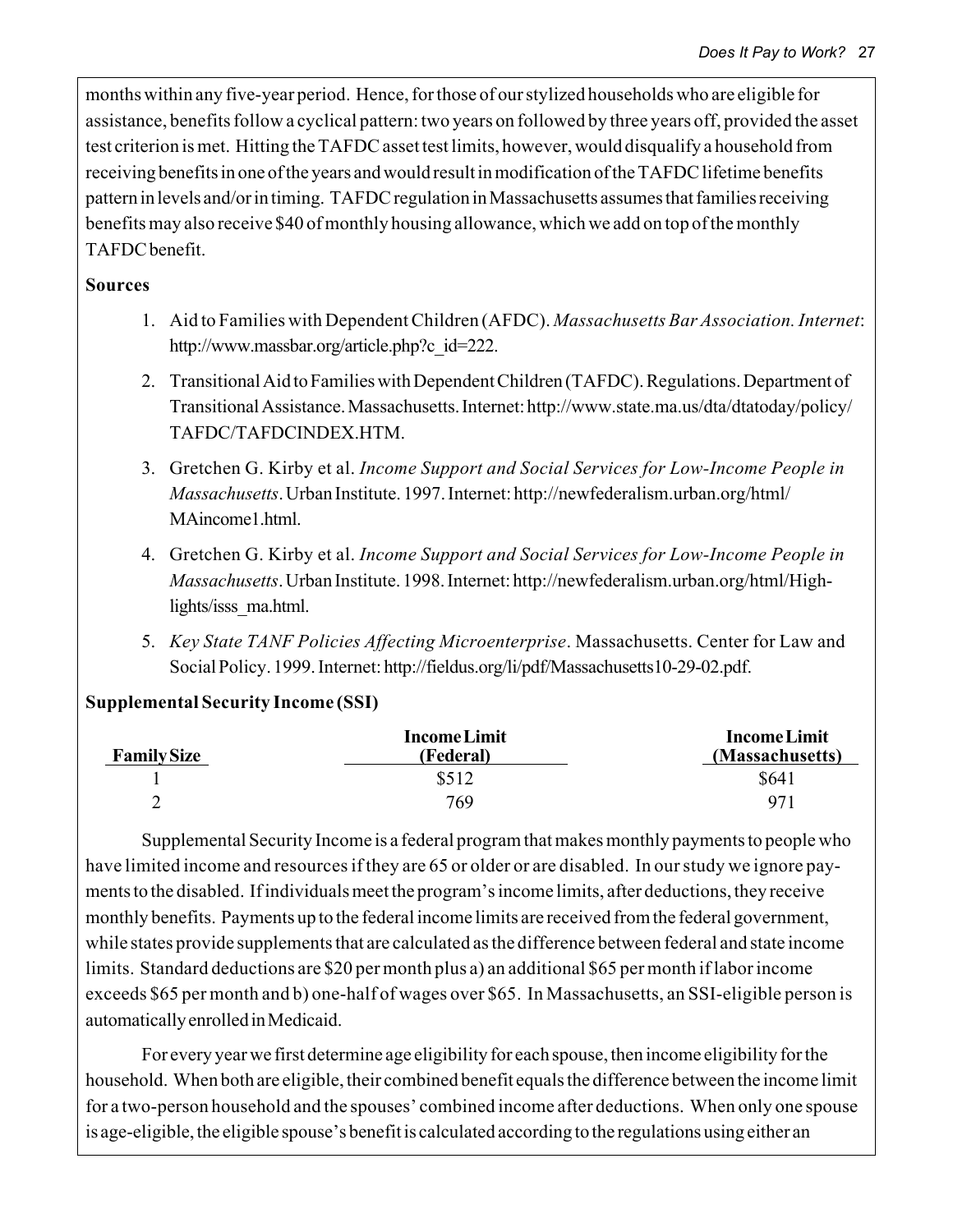months within any five-year period. Hence, for those of our stylized households who are eligible for assistance, benefits follow a cyclical pattern: two years on followed by three years off, provided the asset test criterion is met. Hitting the TAFDC asset test limits, however, would disqualify a household from receiving benefits in one of the years and would result in modification of the TAFDC lifetime benefits pattern in levels and/or in timing. TAFDC regulation in Massachusetts assumes that families receiving benefits may also receive \$40 of monthly housing allowance, which we add on top of the monthly TAFDC benefit.

### **Sources**

- 1. Aid to Families with Dependent Children (AFDC). *Massachusetts Bar Association. Internet*: http://www.massbar.org/article.php?c\_id=222.
- 2. Transitional Aid to Families with Dependent Children (TAFDC). Regulations. Department of Transitional Assistance. Massachusetts. Internet: http://www.state.ma.us/dta/dtatoday/policy/ TAFDC/TAFDCINDEX.HTM.
- 3. Gretchen G. Kirby et al. *Income Support and Social Services for Low-Income People in Massachusetts*. Urban Institute. 1997. Internet: http://newfederalism.urban.org/html/ MAincome1.html
- 4. Gretchen G. Kirby et al. *Income Support and Social Services for Low-Income People in Massachusetts*. Urban Institute. 1998. Internet: http://newfederalism.urban.org/html/Highlights/isss\_ma.html.
- 5. *Key State TANF Policies Affecting Microenterprise*. Massachusetts. Center for Law and Social Policy. 1999. Internet: http://fieldus.org/li/pdf/Massachusetts10-29-02.pdf.

### **Supplemental Security Income (SSI)**

| <b>Family Size</b> | <b>Income Limit</b><br>(Federal) | <b>Income Limit</b><br>(Massachusetts) |
|--------------------|----------------------------------|----------------------------------------|
|                    | \$512                            | \$641                                  |
| -                  | 769                              | 971                                    |

Supplemental Security Income is a federal program that makes monthly payments to people who have limited income and resources if they are 65 or older or are disabled. In our study we ignore payments to the disabled. If individuals meet the program's income limits, after deductions, they receive monthly benefits. Payments up to the federal income limits are received from the federal government, while states provide supplements that are calculated as the difference between federal and state income limits. Standard deductions are \$20 per month plus a) an additional \$65 per month if labor income exceeds \$65 per month and b) one-half of wages over \$65. In Massachusetts, an SSI-eligible person is automatically enrolled in Medicaid.

For every year we first determine age eligibility for each spouse, then income eligibility for the household. When both are eligible, their combined benefit equals the difference between the income limit for a two-person household and the spouses' combined income after deductions. When only one spouse is age-eligible, the eligible spouse's benefit is calculated according to the regulations using either an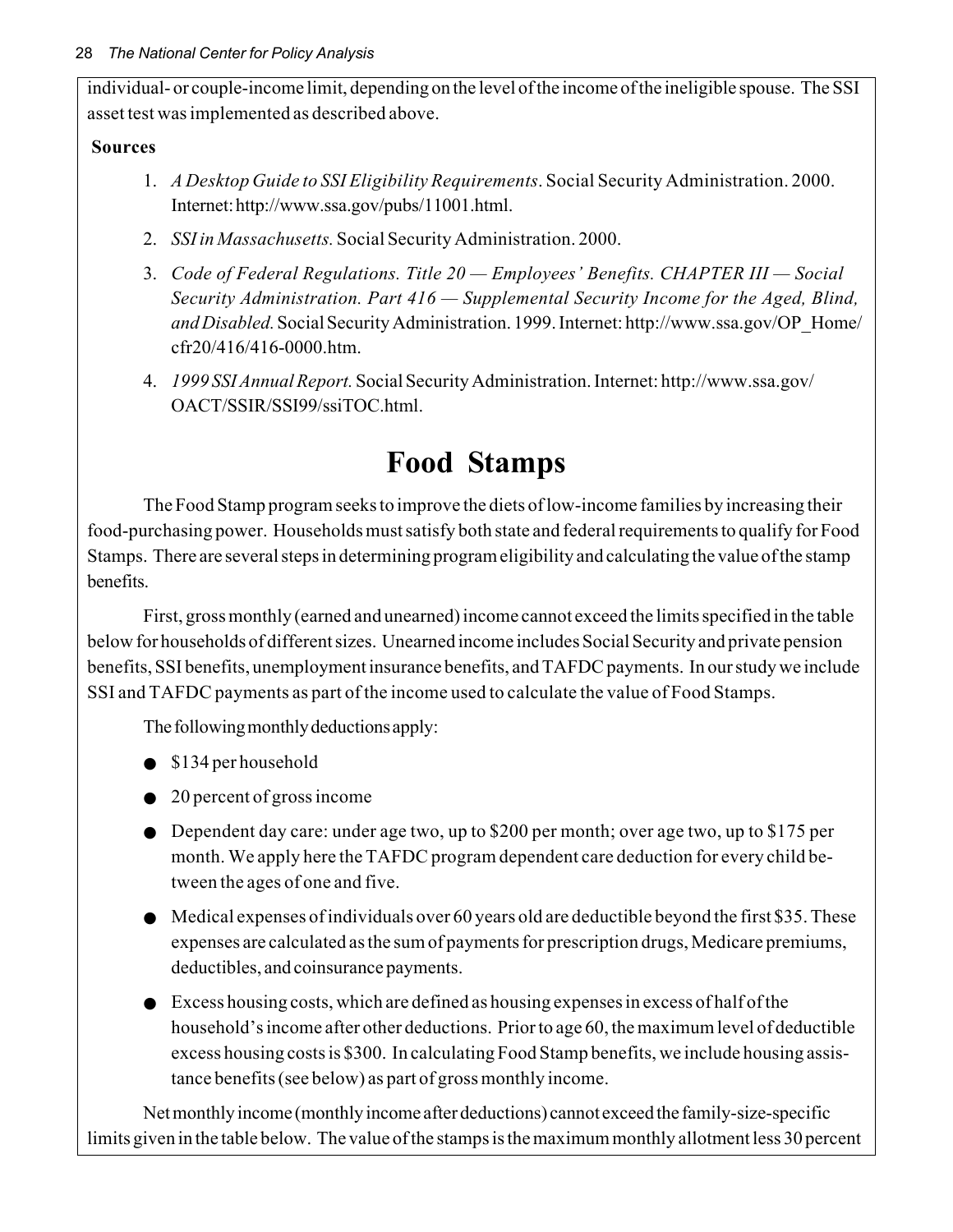individual- or couple-income limit, depending on the level of the income of the ineligible spouse. The SSI asset test was implemented as described above.

### **Sources**

- 1. *A Desktop Guide to SSI Eligibility Requirements*. Social Security Administration. 2000. Internet: http://www.ssa.gov/pubs/11001.html.
- 2. *SSI in Massachusetts.* Social Security Administration. 2000.
- 3. *Code of Federal Regulations. Title 20 Employees' Benefits. CHAPTER III Social Security Administration. Part 416 — Supplemental Security Income for the Aged, Blind, and Disabled.* Social Security Administration. 1999. Internet: http://www.ssa.gov/OP\_Home/ cfr20/416/416-0000.htm.
- 4. *1999 SSI Annual Report.* Social Security Administration. Internet: http://www.ssa.gov/ OACT/SSIR/SSI99/ssiTOC.html.

# **Food Stamps**

The Food Stamp program seeks to improve the diets of low-income families by increasing their food-purchasing power. Households must satisfy both state and federal requirements to qualify for Food Stamps. There are several steps in determining program eligibility and calculating the value of the stamp benefits.

First, gross monthly (earned and unearned) income cannot exceed the limits specified in the table below for households of different sizes. Unearned income includes Social Security and private pension benefits, SSI benefits, unemployment insurance benefits, and TAFDC payments. In our study we include SSI and TAFDC payments as part of the income used to calculate the value of Food Stamps.

The following monthly deductions apply:

- \$134 per household
- 20 percent of gross income
- Dependent day care: under age two, up to \$200 per month; over age two, up to \$175 per month. We apply here the TAFDC program dependent care deduction for every child between the ages of one and five.
- Medical expenses of individuals over 60 years old are deductible beyond the first \$35. These expenses are calculated as the sum of payments for prescription drugs, Medicare premiums, deductibles, and coinsurance payments.
- $\bullet$  Excess housing costs, which are defined as housing expenses in excess of half of the household's income after other deductions. Prior to age 60, the maximum level of deductible excess housing costs is \$300. In calculating Food Stamp benefits, we include housing assistance benefits (see below) as part of gross monthly income.

Net monthly income (monthly income after deductions) cannot exceed the family-size-specific limits given in the table below. The value of the stamps is the maximum monthly allotment less 30 percent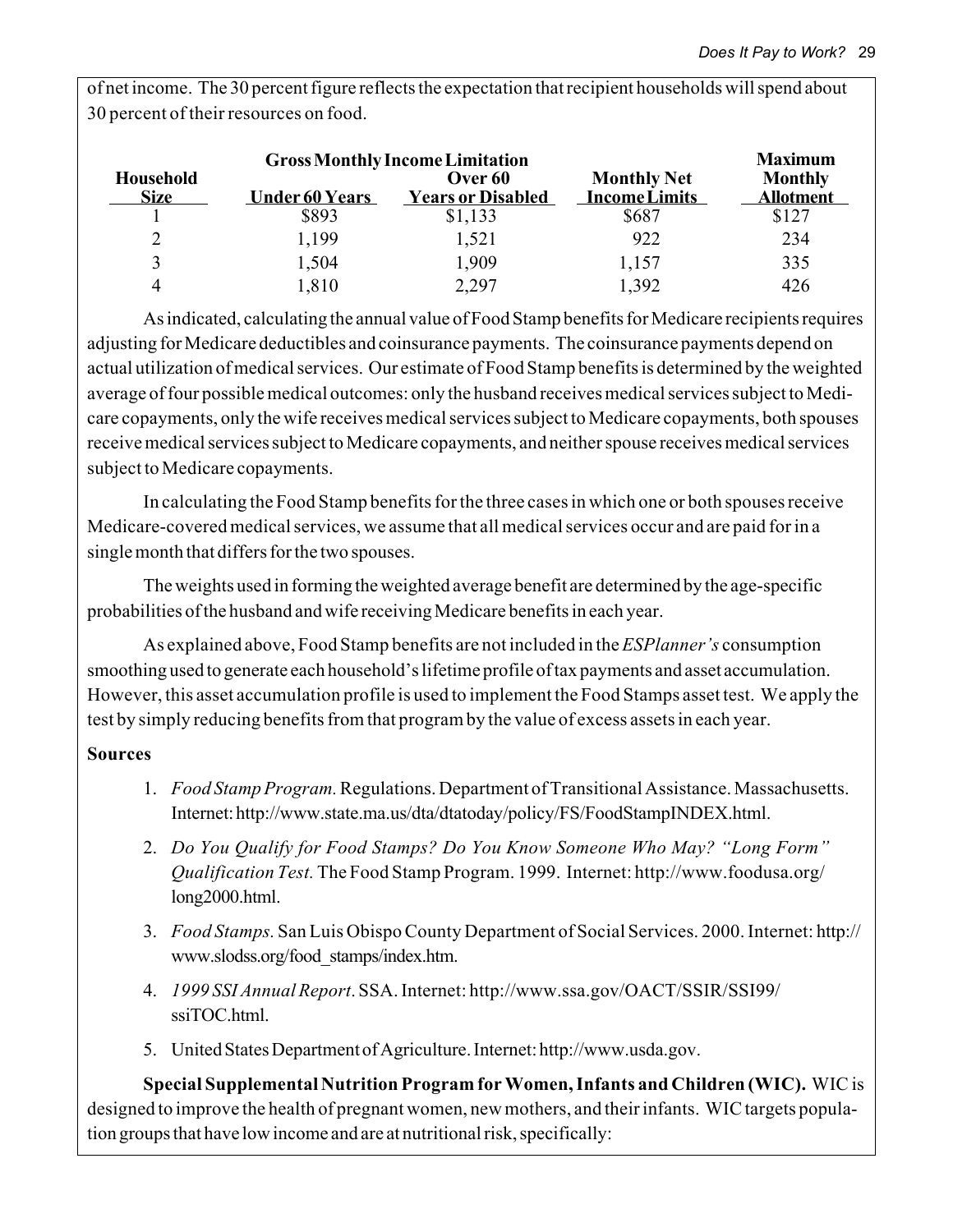of net income. The 30 percent figure reflects the expectation that recipient households will spend about 30 percent of their resources on food.

| <b>Gross Monthly Income Limitation</b> |                       |                          |                      |                  |
|----------------------------------------|-----------------------|--------------------------|----------------------|------------------|
| <b>Household</b>                       |                       | Over 60                  | <b>Monthly Net</b>   | <b>Monthly</b>   |
| <b>Size</b>                            | <b>Under 60 Years</b> | <b>Years or Disabled</b> | <b>Income Limits</b> | <b>Allotment</b> |
|                                        | \$893                 | \$1,133                  | \$687                | \$127            |
|                                        | 1,199                 | 1,521                    | 922                  | 234              |
| 2                                      | 1,504                 | 1,909                    | 1,157                | 335              |
|                                        | 1,810                 | 2,297                    | 1,392                | 426              |

As indicated, calculating the annual value of Food Stamp benefits for Medicare recipients requires adjusting for Medicare deductibles and coinsurance payments. The coinsurance payments depend on actual utilization of medical services. Our estimate of Food Stamp benefits is determined by the weighted average of four possible medical outcomes: only the husband receives medical services subject to Medicare copayments, only the wife receives medical services subject to Medicare copayments, both spouses receive medical services subject to Medicare copayments, and neither spouse receives medical services subject to Medicare copayments.

In calculating the Food Stamp benefits for the three cases in which one or both spouses receive Medicare-covered medical services, we assume that all medical services occur and are paid for in a single month that differs for the two spouses.

The weights used in forming the weighted average benefit are determined by the age-specific probabilities of the husband and wife receiving Medicare benefits in each year.

As explained above, Food Stamp benefits are not included in the *ESPlanner's* consumption smoothing used to generate each household's lifetime profile of tax payments and asset accumulation. However, this asset accumulation profile is used to implement the Food Stamps asset test. We apply the test by simply reducing benefits from that program by the value of excess assets in each year.

### **Sources**

- 1. *Food Stamp Program.* Regulations. Department of Transitional Assistance. Massachusetts. Internet: http://www.state.ma.us/dta/dtatoday/policy/FS/FoodStampINDEX.html.
- 2. *Do You Qualify for Food Stamps? Do You Know Someone Who May? "Long Form" Qualification Test.* The Food Stamp Program. 1999. Internet: http://www.foodusa.org/ long2000.html.
- 3. *Food Stamps.* San Luis Obispo County Department of Social Services. 2000. Internet: http:// www.slodss.org/food\_stamps/index.htm.
- 4. *1999 SSI Annual Report*. SSA. Internet: http://www.ssa.gov/OACT/SSIR/SSI99/ ssiTOC.html.
- 5. United States Department of Agriculture. Internet: http://www.usda.gov.

**Special Supplemental Nutrition Program for Women, Infants and Children (WIC).** WIC is designed to improve the health of pregnant women, new mothers, and their infants. WIC targets population groups that have low income and are at nutritional risk, specifically: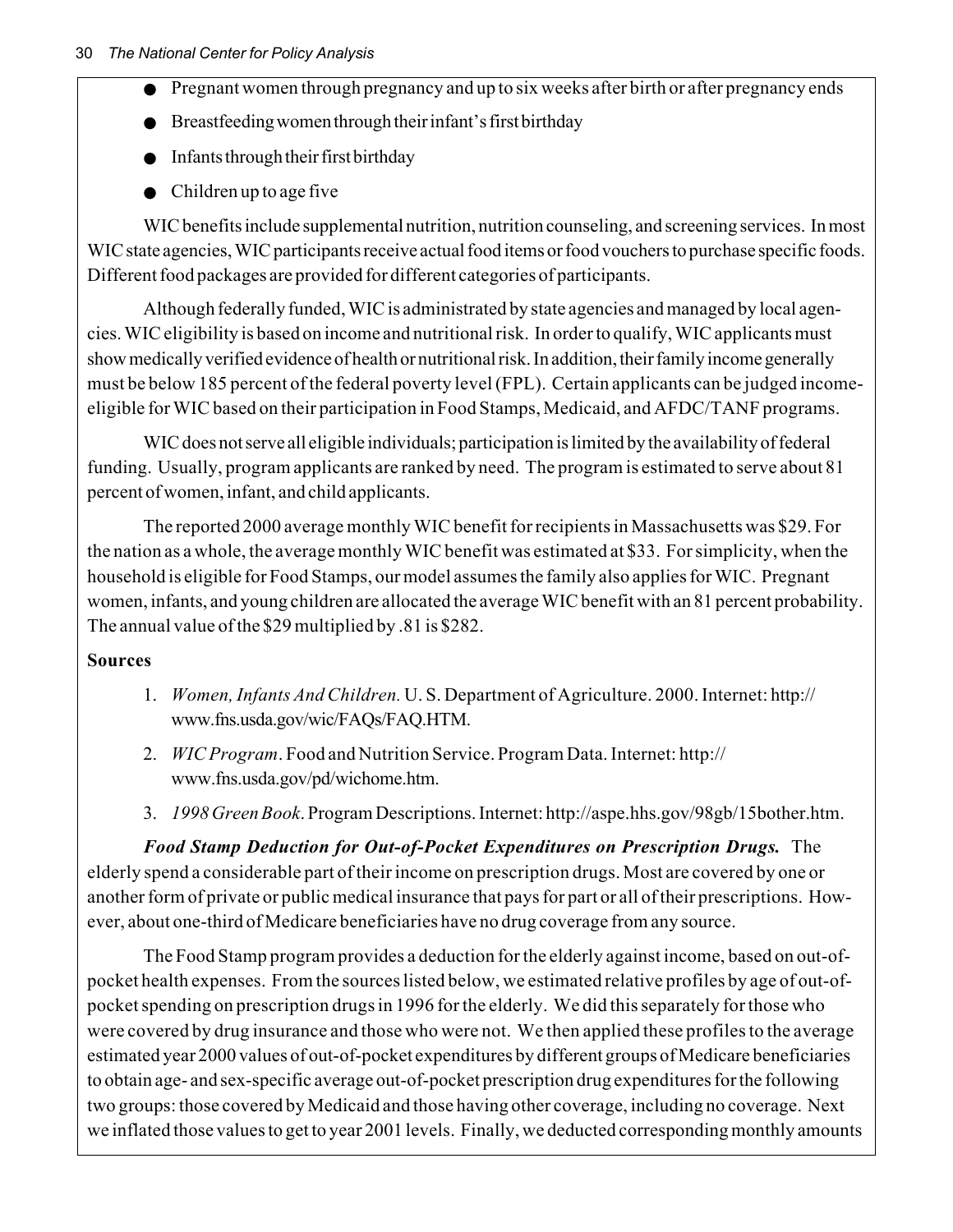- Pregnant women through pregnancy and up to six weeks after birth or after pregnancy ends
- Breastfeeding women through their infant's first birthday
- Infants through their first birthday
- Children up to age five

WIC benefits include supplemental nutrition, nutrition counseling, and screening services. In most WIC state agencies, WIC participants receive actual food items or food vouchers to purchase specific foods. Different food packages are provided for different categories of participants.

Although federally funded, WIC is administrated by state agencies and managed by local agencies. WIC eligibility is based on income and nutritional risk. In order to qualify, WIC applicants must show medically verified evidence of health or nutritional risk. In addition, their family income generally must be below 185 percent of the federal poverty level (FPL). Certain applicants can be judged incomeeligible for WIC based on their participation in Food Stamps, Medicaid, and AFDC/TANF programs.

WIC does not serve all eligible individuals; participation is limited by the availability of federal funding. Usually, program applicants are ranked by need. The program is estimated to serve about 81 percent of women, infant, and child applicants.

The reported 2000 average monthly WIC benefit for recipients in Massachusetts was \$29. For the nation as a whole, the average monthly WIC benefit was estimated at \$33. For simplicity, when the household is eligible for Food Stamps, our model assumes the family also applies for WIC. Pregnant women, infants, and young children are allocated the average WIC benefit with an 81 percent probability. The annual value of the \$29 multiplied by .81 is \$282.

### **Sources**

- 1. *Women, Infants And Children.* U. S. Department of Agriculture. 2000. Internet: http:// www.fns.usda.gov/wic/FAQs/FAQ.HTM.
- 2. *WIC Program*. Food and Nutrition Service. Program Data. Internet: http:// www.fns.usda.gov/pd/wichome.htm.
- 3. *1998 Green Book*. Program Descriptions. Internet: http://aspe.hhs.gov/98gb/15bother.htm.

*Food Stamp Deduction for Out-of-Pocket Expenditures on Prescription Drugs.* The elderly spend a considerable part of their income on prescription drugs. Most are covered by one or another form of private or public medical insurance that pays for part or all of their prescriptions. However, about one-third of Medicare beneficiaries have no drug coverage from any source.

The Food Stamp program provides a deduction for the elderly against income, based on out-ofpocket health expenses. From the sources listed below, we estimated relative profiles by age of out-ofpocket spending on prescription drugs in 1996 for the elderly. We did this separately for those who were covered by drug insurance and those who were not. We then applied these profiles to the average estimated year 2000 values of out-of-pocket expenditures by different groups of Medicare beneficiaries to obtain age- and sex-specific average out-of-pocket prescription drug expenditures for the following two groups: those covered by Medicaid and those having other coverage, including no coverage. Next we inflated those values to get to year 2001 levels. Finally, we deducted corresponding monthly amounts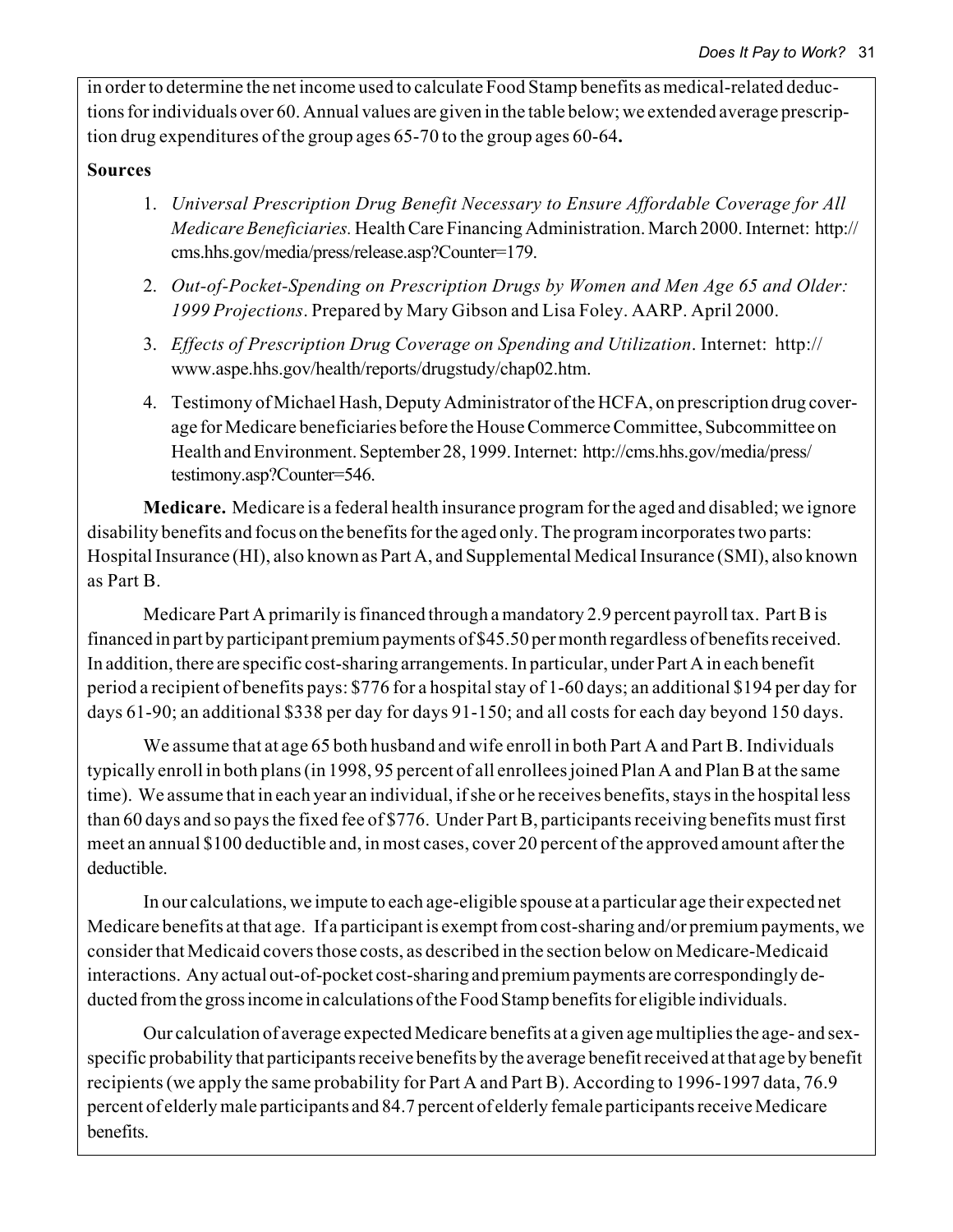in order to determine the net income used to calculate Food Stamp benefits as medical-related deductions for individuals over 60. Annual values are given in the table below; we extended average prescription drug expenditures of the group ages 65-70 to the group ages 60-64**.**

#### **Sources**

- 1. *Universal Prescription Drug Benefit Necessary to Ensure Affordable Coverage for All Medicare Beneficiaries.* Health Care Financing Administration. March 2000. Internet: http:// cms.hhs.gov/media/press/release.asp?Counter=179.
- 2. *Out-of-Pocket-Spending on Prescription Drugs by Women and Men Age 65 and Older: 1999 Projections*. Prepared by Mary Gibson and Lisa Foley. AARP. April 2000.
- 3. *Effects of Prescription Drug Coverage on Spending and Utilization*. Internet: http:// www.aspe.hhs.gov/health/reports/drugstudy/chap02.htm.
- 4. Testimony of Michael Hash, Deputy Administrator of the HCFA, on prescription drug coverage for Medicare beneficiaries before the House Commerce Committee, Subcommittee on Health and Environment. September 28, 1999. Internet: http://cms.hhs.gov/media/press/ testimony.asp?Counter=546.

**Medicare.** Medicare is a federal health insurance program for the aged and disabled; we ignore disability benefits and focus on the benefits for the aged only. The program incorporates two parts: Hospital Insurance (HI), also known as Part A, and Supplemental Medical Insurance (SMI), also known as Part B.

Medicare Part A primarily is financed through a mandatory 2.9 percent payroll tax. Part B is financed in part by participant premium payments of \$45.50 per month regardless of benefits received. In addition, there are specific cost-sharing arrangements. In particular, under Part A in each benefit period a recipient of benefits pays: \$776 for a hospital stay of 1-60 days; an additional \$194 per day for days 61-90; an additional \$338 per day for days 91-150; and all costs for each day beyond 150 days.

We assume that at age 65 both husband and wife enroll in both Part A and Part B. Individuals typically enroll in both plans (in 1998, 95 percent of all enrollees joined Plan A and Plan B at the same time). We assume that in each year an individual, if she or he receives benefits, stays in the hospital less than 60 days and so pays the fixed fee of \$776. Under Part B, participants receiving benefits must first meet an annual \$100 deductible and, in most cases, cover 20 percent of the approved amount after the deductible.

In our calculations, we impute to each age-eligible spouse at a particular age their expected net Medicare benefits at that age. If a participant is exempt from cost-sharing and/or premium payments, we consider that Medicaid covers those costs, as described in the section below on Medicare-Medicaid interactions. Any actual out-of-pocket cost-sharing and premium payments are correspondingly deducted from the gross income in calculations of the Food Stamp benefits for eligible individuals.

Our calculation of average expected Medicare benefits at a given age multiplies the age- and sexspecific probability that participants receive benefits by the average benefit received at that age by benefit recipients (we apply the same probability for Part A and Part B). According to 1996-1997 data, 76.9 percent of elderly male participants and 84.7 percent of elderly female participants receive Medicare benefits.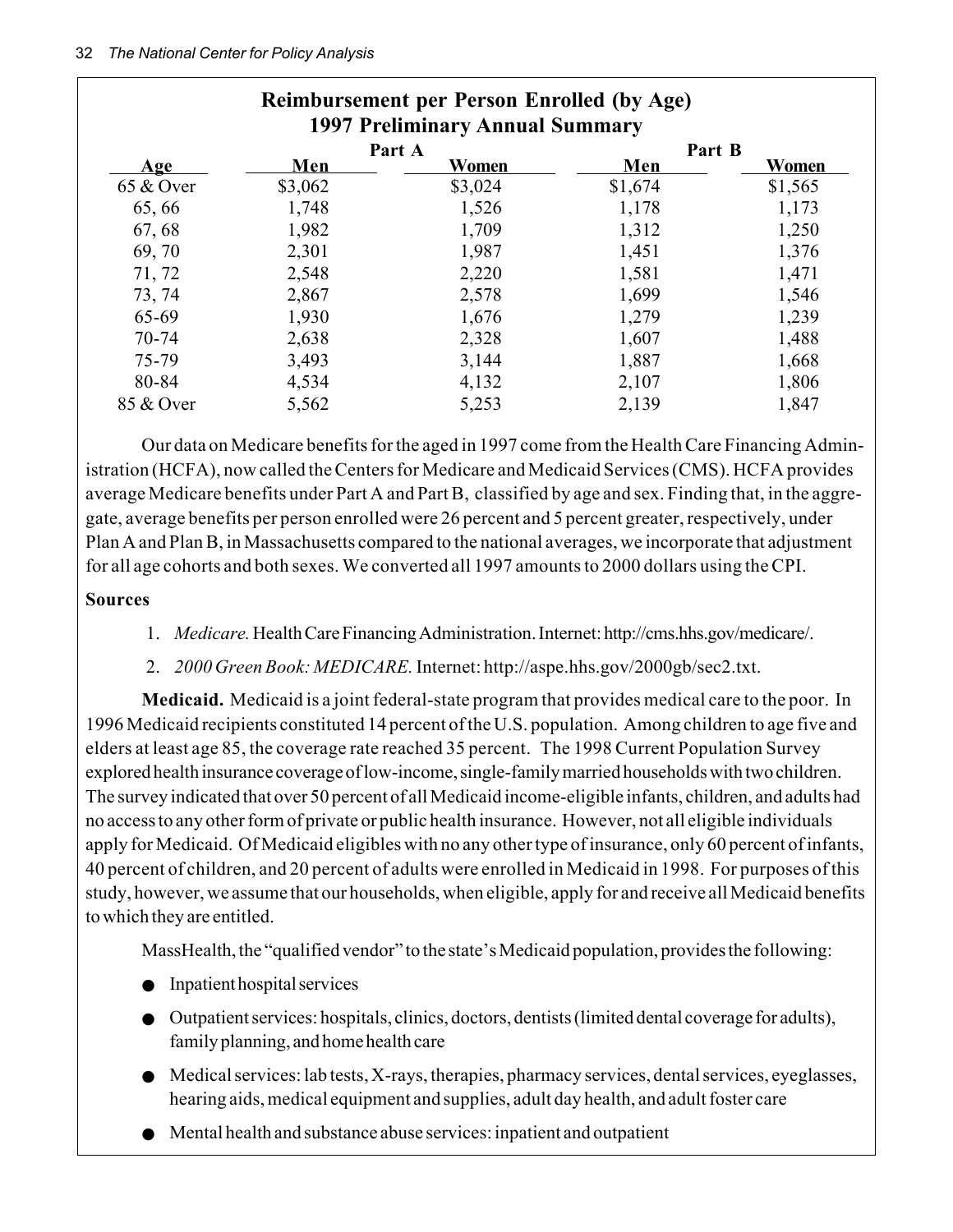#### 32 *The National Center for Policy Analysis*

| <b>Reimbursement per Person Enrolled (by Age)</b><br>1997 Preliminary Annual Summary |         |                 |               |         |  |
|--------------------------------------------------------------------------------------|---------|-----------------|---------------|---------|--|
| <u>Age</u>                                                                           | Men     | Part A<br>Women | Part B<br>Men | Women   |  |
| 65 & Over                                                                            | \$3,062 | \$3,024         | \$1,674       | \$1,565 |  |
| 65,66                                                                                | 1,748   | 1,526           | 1,178         | 1,173   |  |
| 67, 68                                                                               | 1,982   | 1,709           | 1,312         | 1,250   |  |
| 69, 70                                                                               | 2,301   | 1,987           | 1,451         | 1,376   |  |
| 71, 72                                                                               | 2,548   | 2,220           | 1,581         | 1,471   |  |
| 73, 74                                                                               | 2,867   | 2,578           | 1,699         | 1,546   |  |
| 65-69                                                                                | 1,930   | 1,676           | 1,279         | 1,239   |  |
| 70-74                                                                                | 2,638   | 2,328           | 1,607         | 1,488   |  |
| 75-79                                                                                | 3,493   | 3,144           | 1,887         | 1,668   |  |
| 80-84                                                                                | 4,534   | 4,132           | 2,107         | 1,806   |  |
| 85 & Over                                                                            | 5,562   | 5,253           | 2,139         | 1,847   |  |

Our data on Medicare benefits for the aged in 1997 come from the Health Care Financing Administration (HCFA), now called the Centers for Medicare and Medicaid Services (CMS). HCFA provides average Medicare benefits under Part A and Part B, classified by age and sex. Finding that, in the aggregate, average benefits per person enrolled were 26 percent and 5 percent greater, respectively, under Plan A and Plan B, in Massachusetts compared to the national averages, we incorporate that adjustment for all age cohorts and both sexes. We converted all 1997 amounts to 2000 dollars using the CPI.

#### **Sources**

- 1. *Medicare.* Health Care Financing Administration. Internet: http://cms.hhs.gov/medicare/.
- 2. *2000 Green Book: MEDICARE.* Internet: http://aspe.hhs.gov/2000gb/sec2.txt.

**Medicaid.** Medicaid is a joint federal-state program that provides medical care to the poor. In 1996 Medicaid recipients constituted 14 percent of the U.S. population. Among children to age five and elders at least age 85, the coverage rate reached 35 percent. The 1998 Current Population Survey explored health insurance coverage of low-income, single-family married households with two children. The survey indicated that over 50 percent of all Medicaid income-eligible infants, children, and adults had no access to any other form of private or public health insurance. However, not all eligible individuals apply for Medicaid. Of Medicaid eligibles with no any other type of insurance, only 60 percent of infants, 40 percent of children, and 20 percent of adults were enrolled in Medicaid in 1998. For purposes of this study, however, we assume that our households, when eligible, apply for and receive all Medicaid benefits to which they are entitled.

MassHealth, the "qualified vendor" to the state's Medicaid population, provides the following:

- Inpatient hospital services
- Outpatient services: hospitals, clinics, doctors, dentists (limited dental coverage for adults), family planning, and home health care
- Medical services: lab tests, X-rays, therapies, pharmacy services, dental services, eyeglasses, hearing aids, medical equipment and supplies, adult day health, and adult foster care
- Mental health and substance abuse services: inpatient and outpatient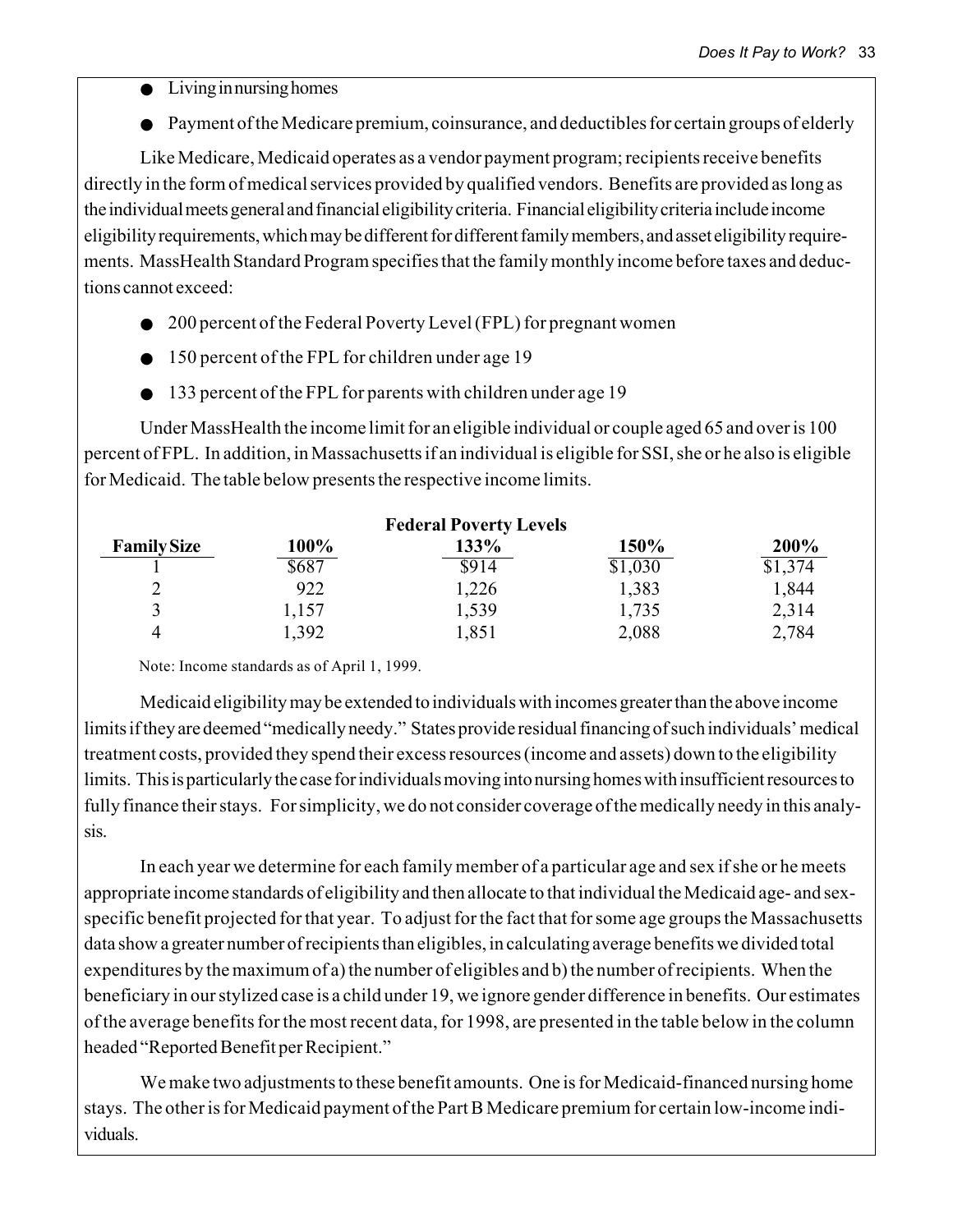- Living in nursing homes
- Payment of the Medicare premium, coinsurance, and deductibles for certain groups of elderly

Like Medicare, Medicaid operates as a vendor payment program; recipients receive benefits directly in the form of medical services provided by qualified vendors. Benefits are provided as long as the individual meets general and financial eligibility criteria. Financial eligibility criteria include income eligibility requirements, which may be different for different family members, and asset eligibility requirements. MassHealth Standard Program specifies that the family monthly income before taxes and deductions cannot exceed:

- 200 percent of the Federal Poverty Level (FPL) for pregnant women
- 150 percent of the FPL for children under age 19
- 133 percent of the FPL for parents with children under age 19

Under MassHealth the income limit for an eligible individual or couple aged 65 and over is 100 percent of FPL. In addition, in Massachusetts if an individual is eligible for SSI, she or he also is eligible for Medicaid. The table below presents the respective income limits.

| <b>Federal Poverty Levels</b> |       |       |         |         |
|-------------------------------|-------|-------|---------|---------|
| <b>Family Size</b>            | 100%  | 133%  | 150%    | 200%    |
|                               | \$687 | \$914 | \$1,030 | \$1,374 |
| ↑<br>↵                        | 922   | 1,226 | 1,383   | 1,844   |
|                               | l.157 | 1,539 | 1,735   | 2,314   |
| 4                             | ,392  | 1,851 | 2,088   | 2,784   |

Note: Income standards as of April 1, 1999.

Medicaid eligibility may be extended to individuals with incomes greater than the above income limits if they are deemed "medically needy." States provide residual financing of such individuals' medical treatment costs, provided they spend their excess resources (income and assets) down to the eligibility limits. This is particularly the case for individuals moving into nursing homes with insufficient resources to fully finance their stays. For simplicity, we do not consider coverage of the medically needy in this analysis.

In each year we determine for each family member of a particular age and sex if she or he meets appropriate income standards of eligibility and then allocate to that individual the Medicaid age- and sexspecific benefit projected for that year. To adjust for the fact that for some age groups the Massachusetts data show a greater number of recipients than eligibles, in calculating average benefits we divided total expenditures by the maximum of a) the number of eligibles and b) the number of recipients. When the beneficiary in our stylized case is a child under 19, we ignore gender difference in benefits. Our estimates of the average benefits for the most recent data, for 1998, are presented in the table below in the column headed "Reported Benefit per Recipient."

We make two adjustments to these benefit amounts. One is for Medicaid-financed nursing home stays. The other is for Medicaid payment of the Part B Medicare premium for certain low-income individuals.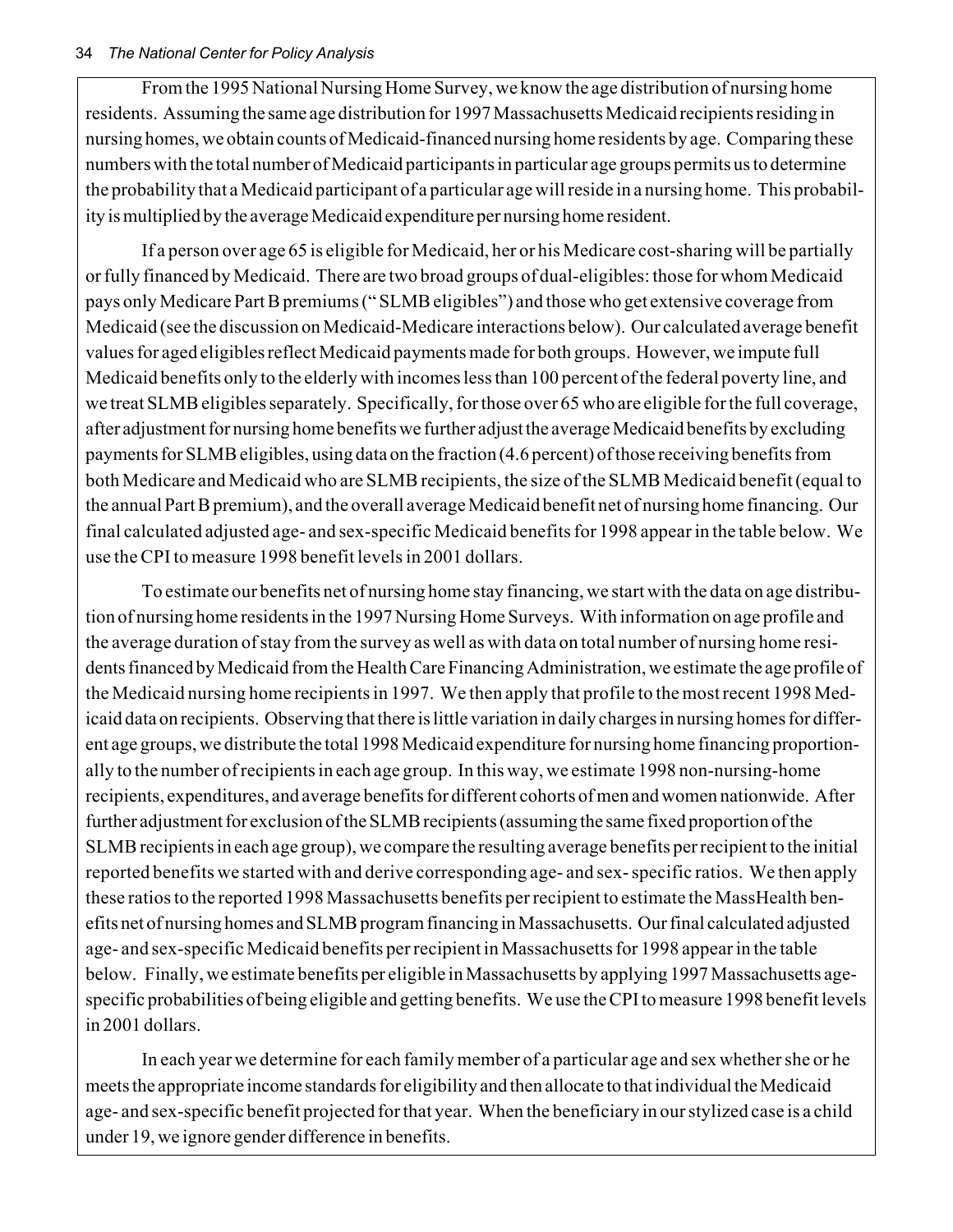#### 34 *The National Center for Policy Analysis*

From the 1995 National Nursing Home Survey, we know the age distribution of nursing home residents. Assuming the same age distribution for 1997 Massachusetts Medicaid recipients residing in nursing homes, we obtain counts of Medicaid-financed nursing home residents by age. Comparing these numbers with the total number of Medicaid participants in particular age groups permits us to determine the probability that a Medicaid participant of a particular age will reside in a nursing home. This probability is multiplied by the average Medicaid expenditure per nursing home resident.

If a person over age 65 is eligible for Medicaid, her or his Medicare cost-sharing will be partially or fully financed by Medicaid. There are two broad groups of dual-eligibles: those for whom Medicaid pays only Medicare Part B premiums (" SLMB eligibles") and those who get extensive coverage from Medicaid (see the discussion on Medicaid-Medicare interactions below). Our calculated average benefit values for aged eligibles reflect Medicaid payments made for both groups. However, we impute full Medicaid benefits only to the elderly with incomes less than 100 percent of the federal poverty line, and we treat SLMB eligibles separately. Specifically, for those over 65 who are eligible for the full coverage, after adjustment for nursing home benefits we further adjust the average Medicaid benefits by excluding payments for SLMB eligibles, using data on the fraction (4.6 percent) of those receiving benefits from both Medicare and Medicaid who are SLMB recipients, the size of the SLMB Medicaid benefit (equal to the annual Part B premium), and the overall average Medicaid benefit net of nursing home financing. Our final calculated adjusted age- and sex-specific Medicaid benefits for 1998 appear in the table below. We use the CPI to measure 1998 benefit levels in 2001 dollars.

To estimate our benefits net of nursing home stay financing, we start with the data on age distribution of nursing home residents in the 1997 Nursing Home Surveys. With information on age profile and the average duration of stay from the survey as well as with data on total number of nursing home residents financed by Medicaid from the Health Care Financing Administration, we estimate the age profile of the Medicaid nursing home recipients in 1997. We then apply that profile to the most recent 1998 Medicaid data on recipients. Observing that there is little variation in daily charges in nursing homes for different age groups, we distribute the total 1998 Medicaid expenditure for nursing home financing proportionally to the number of recipients in each age group. In this way, we estimate 1998 non-nursing-home recipients, expenditures, and average benefits for different cohorts of men and women nationwide. After further adjustment for exclusion of the SLMB recipients (assuming the same fixed proportion of the SLMB recipients in each age group), we compare the resulting average benefits per recipient to the initial reported benefits we started with and derive corresponding age- and sex- specific ratios. We then apply these ratios to the reported 1998 Massachusetts benefits per recipient to estimate the MassHealth benefits net of nursing homes and SLMB program financing in Massachusetts. Our final calculated adjusted age- and sex-specific Medicaid benefits per recipient in Massachusetts for 1998 appear in the table below. Finally, we estimate benefits per eligible in Massachusetts by applying 1997 Massachusetts agespecific probabilities of being eligible and getting benefits. We use the CPI to measure 1998 benefit levels in 2001 dollars.

In each year we determine for each family member of a particular age and sex whether she or he meets the appropriate income standards for eligibility and then allocate to that individual the Medicaid age- and sex-specific benefit projected for that year. When the beneficiary in our stylized case is a child under 19, we ignore gender difference in benefits.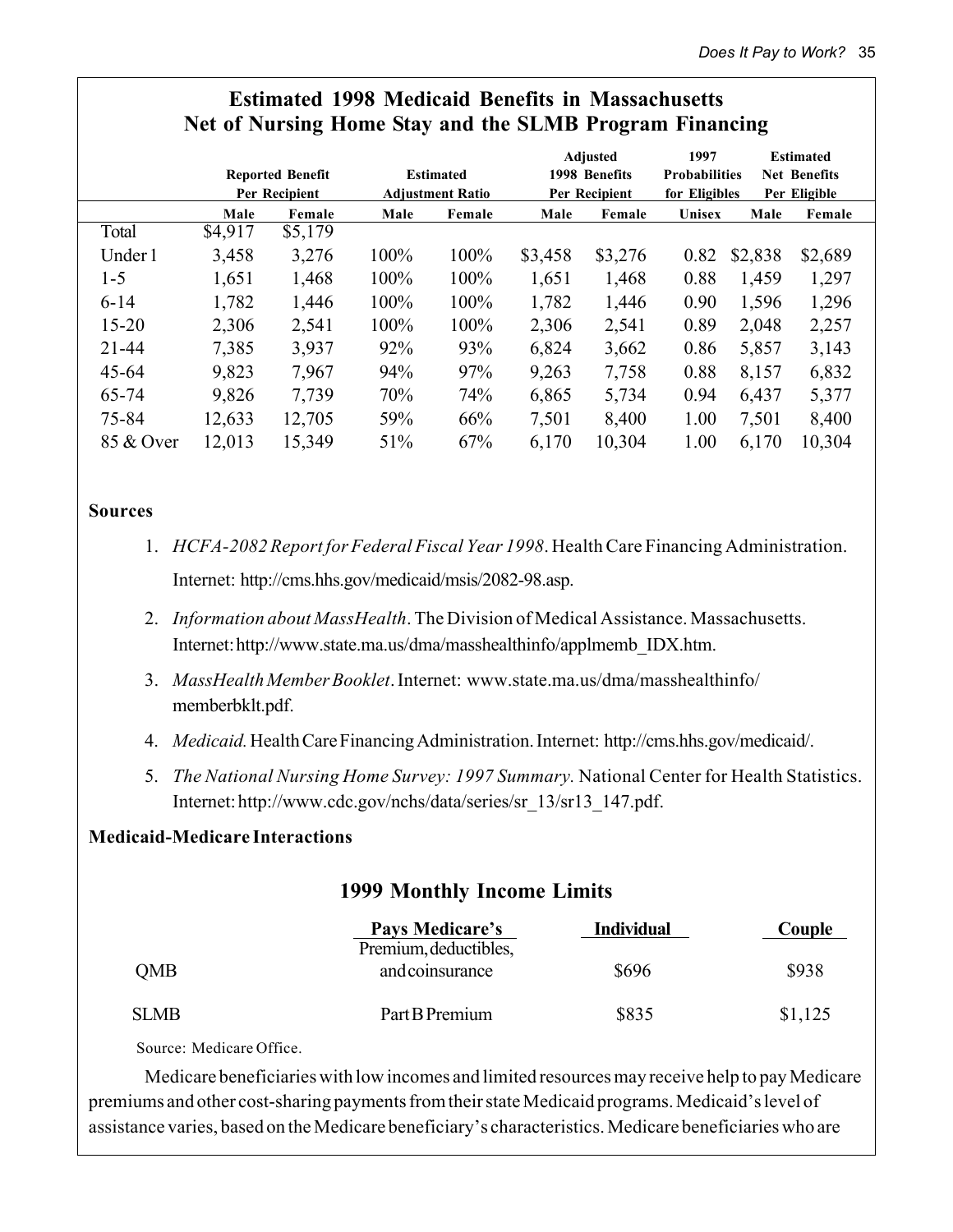|           |         | o                       | $\bullet$ |                         |         | o               |                      | o       |                     |  |
|-----------|---------|-------------------------|-----------|-------------------------|---------|-----------------|----------------------|---------|---------------------|--|
|           |         |                         |           |                         |         | <b>Adjusted</b> | 1997                 |         | <b>Estimated</b>    |  |
|           |         | <b>Reported Benefit</b> |           | <b>Estimated</b>        |         | 1998 Benefits   | <b>Probabilities</b> |         | <b>Net Benefits</b> |  |
|           |         | Per Recipient           |           | <b>Adjustment Ratio</b> |         | Per Recipient   | for Eligibles        |         | Per Eligible        |  |
|           | Male    | Female                  | Male      | Female                  | Male    | Female          | Unisex               | Male    | Female              |  |
| Total     | \$4,917 | \$5,179                 |           |                         |         |                 |                      |         |                     |  |
| Under 1   | 3,458   | 3,276                   | 100%      | 100%                    | \$3,458 | \$3,276         | 0.82                 | \$2,838 | \$2,689             |  |
| $1 - 5$   | 1,651   | 1,468                   | 100%      | 100%                    | 1,651   | 1,468           | 0.88                 | 1,459   | 1,297               |  |
| $6 - 14$  | 1,782   | 1,446                   | 100%      | 100%                    | 1,782   | 1,446           | 0.90                 | 1,596   | 1,296               |  |
| $15 - 20$ | 2,306   | 2,541                   | 100%      | 100%                    | 2,306   | 2,541           | 0.89                 | 2,048   | 2,257               |  |
| $21 - 44$ | 7,385   | 3,937                   | 92%       | 93%                     | 6,824   | 3,662           | 0.86                 | 5,857   | 3,143               |  |
| $45 - 64$ | 9,823   | 7,967                   | 94%       | 97%                     | 9,263   | 7,758           | 0.88                 | 8,157   | 6,832               |  |
| 65-74     | 9,826   | 7,739                   | 70%       | 74%                     | 6,865   | 5,734           | 0.94                 | 6,437   | 5,377               |  |
| 75-84     | 12,633  | 12,705                  | 59%       | 66%                     | 7,501   | 8,400           | 1.00                 | 7,501   | 8,400               |  |
| 85 & Over | 12,013  | 15,349                  | 51%       | 67%                     | 6,170   | 10,304          | 1.00                 | 6,170   | 10,304              |  |
|           |         |                         |           |                         |         |                 |                      |         |                     |  |

# **Estimated 1998 Medicaid Benefits in Massachusetts Net of Nursing Home Stay and the SLMB Program Financing**

#### **Sources**

- 1. *HCFA-2082 Report for Federal Fiscal Year 1998*. Health Care Financing Administration. Internet: http://cms.hhs.gov/medicaid/msis/2082-98.asp.
- 2. *Information about MassHealth*. The Division of Medical Assistance. Massachusetts. Internet: http://www.state.ma.us/dma/masshealthinfo/applmemb\_IDX.htm.
- 3. *MassHealth Member Booklet*. Internet: www.state.ma.us/dma/masshealthinfo/ memberbklt.pdf.
- 4. *Medicaid.* Health Care Financing Administration. Internet: http://cms.hhs.gov/medicaid/.
- 5. *The National Nursing Home Survey: 1997 Summary.* National Center for Health Statistics. Internet: http://www.cdc.gov/nchs/data/series/sr\_13/sr13\_147.pdf.

#### **Medicaid-Medicare Interactions**

# **1999 Monthly Income Limits**

|             | Pays Medicare's<br>Premium, deductibles, | <b>Individual</b> | Couple  |
|-------------|------------------------------------------|-------------------|---------|
| <b>OMB</b>  | and coinsurance                          | \$696             | \$938   |
| <b>SLMB</b> | Part B Premium                           | \$835             | \$1,125 |

Source: Medicare Office.

Medicare beneficiaries with low incomes and limited resources may receive help to pay Medicare premiums and other cost-sharing payments from their state Medicaid programs. Medicaid's level of assistance varies, based on the Medicare beneficiary's characteristics. Medicare beneficiaries who are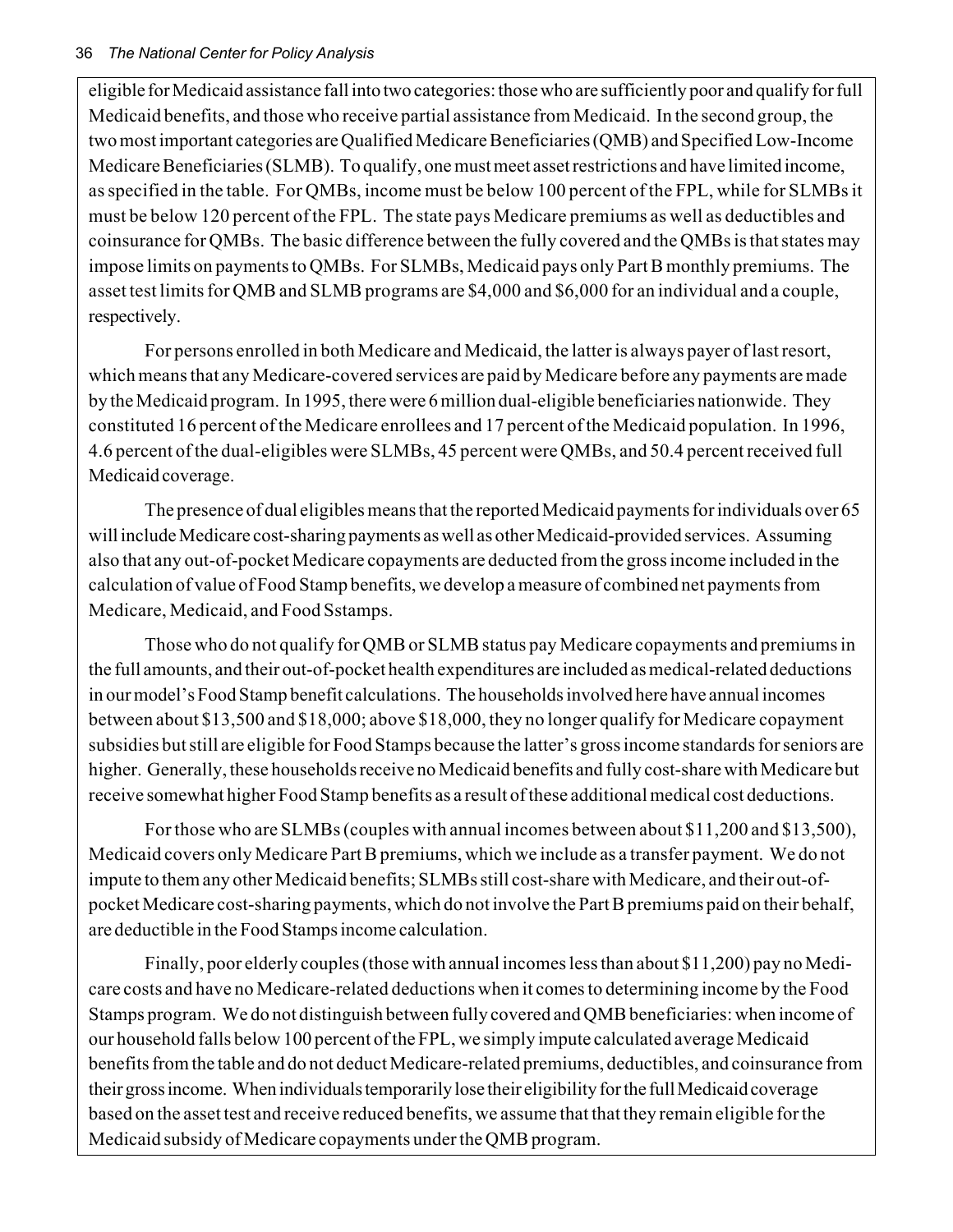eligible for Medicaid assistance fall into two categories: those who are sufficiently poor and qualify for full Medicaid benefits, and those who receive partial assistance from Medicaid. In the second group, the two most important categories are Qualified Medicare Beneficiaries (QMB) and Specified Low-Income Medicare Beneficiaries (SLMB). To qualify, one must meet asset restrictions and have limited income, as specified in the table. For QMBs, income must be below 100 percent of the FPL, while for SLMBs it must be below 120 percent of the FPL. The state pays Medicare premiums as well as deductibles and coinsurance for QMBs. The basic difference between the fully covered and the QMBs is that states may impose limits on payments to QMBs. For SLMBs, Medicaid pays only Part B monthly premiums. The asset test limits for QMB and SLMB programs are \$4,000 and \$6,000 for an individual and a couple, respectively.

For persons enrolled in both Medicare and Medicaid, the latter is always payer of last resort, which means that any Medicare-covered services are paid by Medicare before any payments are made by the Medicaid program. In 1995, there were 6 million dual-eligible beneficiaries nationwide. They constituted 16 percent of the Medicare enrollees and 17 percent of the Medicaid population. In 1996, 4.6 percent of the dual-eligibles were SLMBs, 45 percent were QMBs, and 50.4 percent received full Medicaid coverage.

The presence of dual eligibles means that the reported Medicaid payments for individuals over 65 will include Medicare cost-sharing payments as well as other Medicaid-provided services. Assuming also that any out-of-pocket Medicare copayments are deducted from the gross income included in the calculation of value of Food Stamp benefits, we develop a measure of combined net payments from Medicare, Medicaid, and Food Sstamps.

Those who do not qualify for QMB or SLMB status pay Medicare copayments and premiums in the full amounts, and their out-of-pocket health expenditures are included as medical-related deductions in our model's Food Stamp benefit calculations. The households involved here have annual incomes between about \$13,500 and \$18,000; above \$18,000, they no longer qualify for Medicare copayment subsidies but still are eligible for Food Stamps because the latter's gross income standards for seniors are higher. Generally, these households receive no Medicaid benefits and fully cost-share with Medicare but receive somewhat higher Food Stamp benefits as a result of these additional medical cost deductions.

For those who are SLMBs (couples with annual incomes between about \$11,200 and \$13,500), Medicaid covers only Medicare Part B premiums, which we include as a transfer payment. We do not impute to them any other Medicaid benefits; SLMBs still cost-share with Medicare, and their out-ofpocket Medicare cost-sharing payments, which do not involve the Part B premiums paid on their behalf, are deductible in the Food Stamps income calculation.

Finally, poor elderly couples (those with annual incomes less than about \$11,200) pay no Medicare costs and have no Medicare-related deductions when it comes to determining income by the Food Stamps program. We do not distinguish between fully covered and QMB beneficiaries: when income of our household falls below 100 percent of the FPL, we simply impute calculated average Medicaid benefits from the table and do not deduct Medicare-related premiums, deductibles, and coinsurance from their gross income. When individuals temporarily lose their eligibility for the full Medicaid coverage based on the asset test and receive reduced benefits, we assume that that they remain eligible for the Medicaid subsidy of Medicare copayments under the QMB program.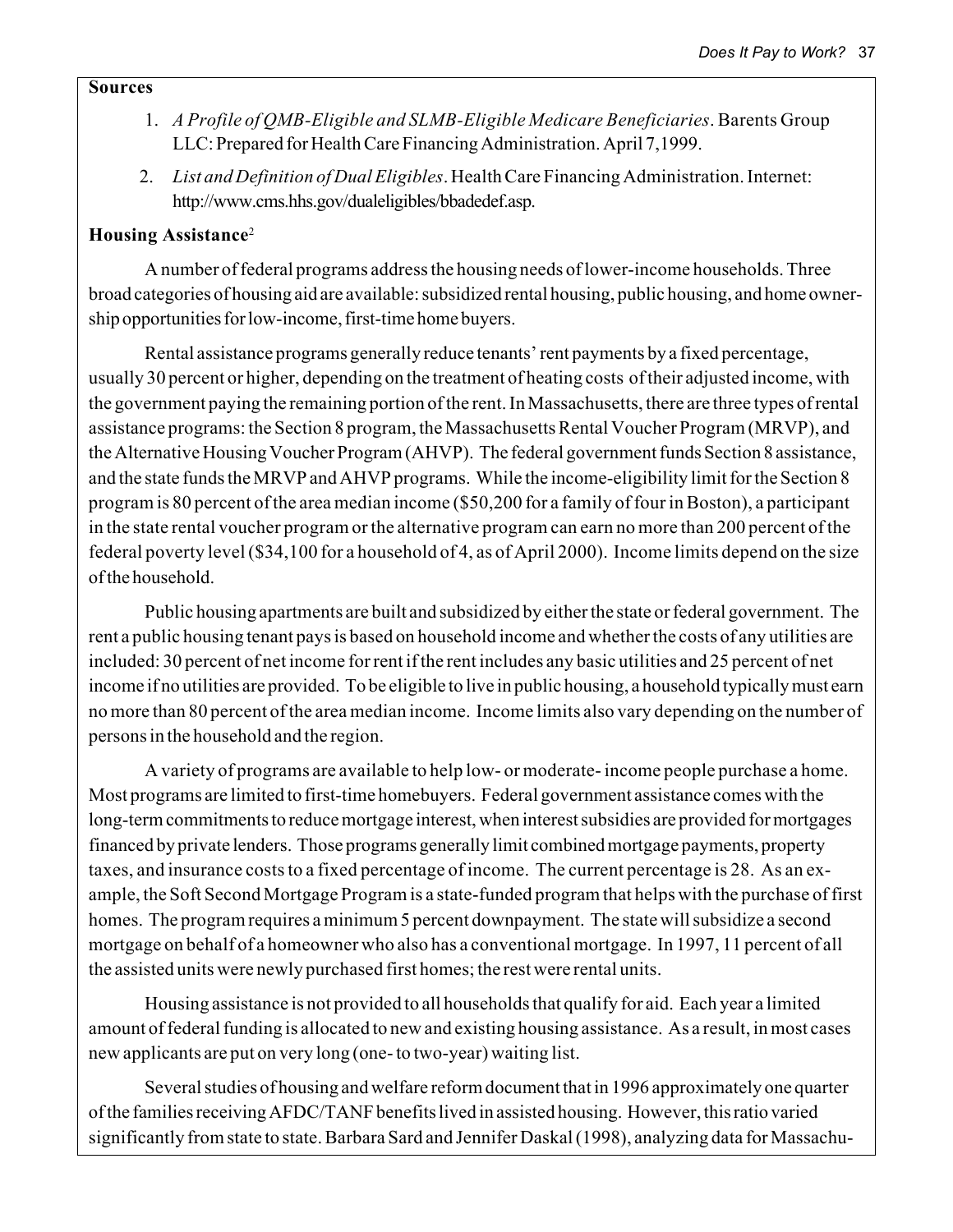#### **Sources**

- 1. *A Profile of QMB-Eligible and SLMB-Eligible Medicare Beneficiaries*. Barents Group LLC: Prepared for Health Care Financing Administration. April 7,1999.
- 2. *List and Definition of Dual Eligibles*. Health Care Financing Administration. Internet: http://www.cms.hhs.gov/dualeligibles/bbadedef.asp.

#### **Housing Assistance**<sup>2</sup>

A number of federal programs address the housing needs of lower-income households. Three broad categories of housing aid are available: subsidized rental housing, public housing, and home ownership opportunities for low-income, first-time home buyers.

Rental assistance programs generally reduce tenants' rent payments by a fixed percentage, usually 30 percent or higher, depending on the treatment of heating costs of their adjusted income, with the government paying the remaining portion of the rent. In Massachusetts, there are three types of rental assistance programs: the Section 8 program, the Massachusetts Rental Voucher Program (MRVP), and the Alternative Housing Voucher Program (AHVP). The federal government funds Section 8 assistance, and the state funds the MRVP and AHVP programs. While the income-eligibility limit for the Section 8 program is 80 percent of the area median income (\$50,200 for a family of four in Boston), a participant in the state rental voucher program or the alternative program can earn no more than 200 percent of the federal poverty level (\$34,100 for a household of 4, as of April 2000). Income limits depend on the size of the household.

Public housing apartments are built and subsidized by either the state or federal government. The rent a public housing tenant pays is based on household income and whether the costs of any utilities are included: 30 percent of net income for rent if the rent includes any basic utilities and 25 percent of net income if no utilities are provided. To be eligible to live in public housing, a household typically must earn no more than 80 percent of the area median income. Income limits also vary depending on the number of persons in the household and the region.

A variety of programs are available to help low- or moderate- income people purchase a home. Most programs are limited to first-time homebuyers. Federal government assistance comes with the long-term commitments to reduce mortgage interest, when interest subsidies are provided for mortgages financed by private lenders. Those programs generally limit combined mortgage payments, property taxes, and insurance costs to a fixed percentage of income. The current percentage is 28. As an example, the Soft Second Mortgage Program is a state-funded program that helps with the purchase of first homes. The program requires a minimum 5 percent downpayment. The state will subsidize a second mortgage on behalf of a homeowner who also has a conventional mortgage. In 1997, 11 percent of all the assisted units were newly purchased first homes; the rest were rental units.

Housing assistance is not provided to all households that qualify for aid. Each year a limited amount of federal funding is allocated to new and existing housing assistance. As a result, in most cases new applicants are put on very long (one- to two-year) waiting list.

Several studies of housing and welfare reform document that in 1996 approximately one quarter of the families receiving AFDC/TANF benefits lived in assisted housing. However, this ratio varied significantly from state to state. Barbara Sard and Jennifer Daskal (1998), analyzing data for Massachu-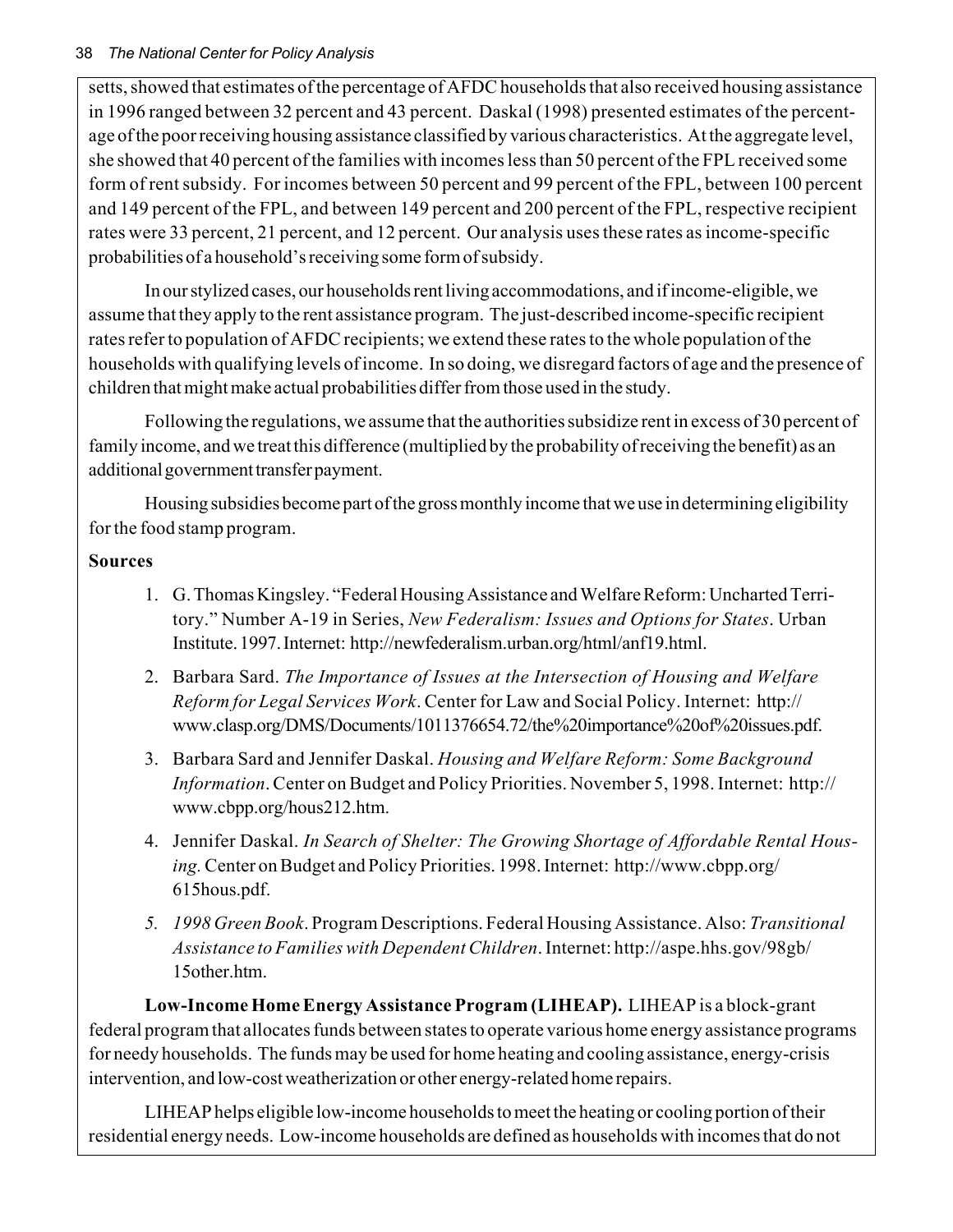setts, showed that estimates of the percentage of AFDC households that also received housing assistance in 1996 ranged between 32 percent and 43 percent. Daskal (1998) presented estimates of the percentage of the poor receiving housing assistance classified by various characteristics. At the aggregate level, she showed that 40 percent of the families with incomes less than 50 percent of the FPL received some form of rent subsidy. For incomes between 50 percent and 99 percent of the FPL, between 100 percent and 149 percent of the FPL, and between 149 percent and 200 percent of the FPL, respective recipient rates were 33 percent, 21 percent, and 12 percent. Our analysis uses these rates as income-specific probabilities of a household's receiving some form of subsidy.

In our stylized cases, our households rent living accommodations, and if income-eligible, we assume that they apply to the rent assistance program. The just-described income-specific recipient rates refer to population of AFDC recipients; we extend these rates to the whole population of the households with qualifying levels of income. In so doing, we disregard factors of age and the presence of children that might make actual probabilities differ from those used in the study.

Following the regulations, we assume that the authorities subsidize rent in excess of 30 percent of family income, and we treat this difference (multiplied by the probability of receiving the benefit) as an additional government transfer payment.

Housing subsidies become part of the gross monthly income that we use in determining eligibility for the food stamp program.

### **Sources**

- 1. G. Thomas Kingsley. "Federal Housing Assistance and Welfare Reform: Uncharted Territory." Number A-19 in Series, *New Federalism: Issues and Options for States*. Urban Institute. 1997. Internet: http://newfederalism.urban.org/html/anf19.html.
- 2. Barbara Sard. *The Importance of Issues at the Intersection of Housing and Welfare Reform for Legal Services Work*. Center for Law and Social Policy. Internet: http:// www.clasp.org/DMS/Documents/1011376654.72/the%20importance%20of%20issues.pdf.
- 3. Barbara Sard and Jennifer Daskal. *Housing and Welfare Reform: Some Background Information*. Center on Budget and Policy Priorities. November 5, 1998. Internet: http:// www.cbpp.org/hous212.htm.
- 4. Jennifer Daskal. *In Search of Shelter: The Growing Shortage of Affordable Rental Housing.* Center on Budget and Policy Priorities. 1998. Internet: http://www.cbpp.org/ 615hous.pdf.
- *5. 1998 Green Book*. Program Descriptions. Federal Housing Assistance. Also: *Transitional Assistance to Families with Dependent Children*. Internet: http://aspe.hhs.gov/98gb/ 15other.htm.

**Low-Income Home Energy Assistance Program (LIHEAP).** LIHEAP is a block-grant federal program that allocates funds between states to operate various home energy assistance programs for needy households. The funds may be used for home heating and cooling assistance, energy-crisis intervention, and low-cost weatherization or other energy-related home repairs.

LIHEAP helps eligible low-income households to meet the heating or cooling portion of their residential energy needs. Low-income households are defined as households with incomes that do not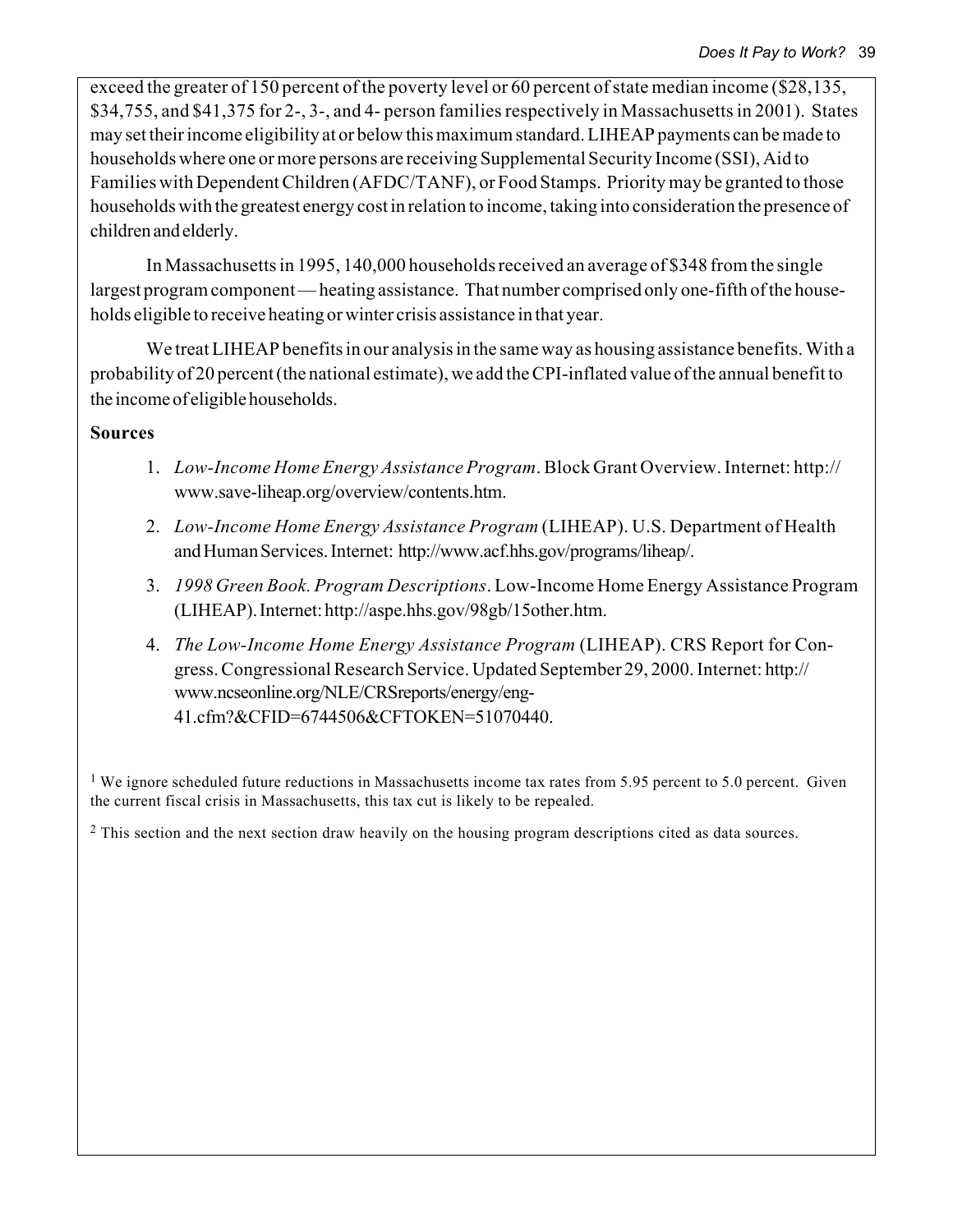exceed the greater of 150 percent of the poverty level or 60 percent of state median income (\$28,135, \$34,755, and \$41,375 for 2-, 3-, and 4- person families respectively in Massachusetts in 2001). States may set their income eligibility at or below this maximum standard. LIHEAP payments can be made to households where one or more persons are receiving Supplemental Security Income (SSI), Aid to Families with Dependent Children (AFDC/TANF), or Food Stamps. Priority may be granted to those households with the greatest energy cost in relation to income, taking into consideration the presence of children and elderly.

In Massachusetts in 1995, 140,000 households received an average of \$348 from the single largest program component—heating assistance. That number comprised only one-fifth of the households eligible to receive heating or winter crisis assistance in that year.

We treat LIHEAP benefits in our analysis in the same way as housing assistance benefits. With a probability of 20 percent (the national estimate), we add the CPI-inflated value of the annual benefit to the income of eligible households.

### **Sources**

- 1. *Low-Income Home Energy Assistance Program*. Block Grant Overview. Internet: http:// www.save-liheap.org/overview/contents.htm.
- 2. *Low-Income Home Energy Assistance Program* (LIHEAP). U.S. Department of Health and Human Services. Internet: http://www.acf.hhs.gov/programs/liheap/.
- 3. *1998 Green Book. Program Descriptions*. Low-Income Home Energy Assistance Program (LIHEAP). Internet: http://aspe.hhs.gov/98gb/15other.htm.
- 4. *The Low-Income Home Energy Assistance Program* (LIHEAP). CRS Report for Congress. Congressional Research Service. Updated September 29, 2000. Internet: http:// www.ncseonline.org/NLE/CRSreports/energy/eng-41.cfm?&CFID=6744506&CFTOKEN=51070440.

<sup>1</sup> We ignore scheduled future reductions in Massachusetts income tax rates from 5.95 percent to 5.0 percent. Given the current fiscal crisis in Massachusetts, this tax cut is likely to be repealed.

<sup>2</sup> This section and the next section draw heavily on the housing program descriptions cited as data sources.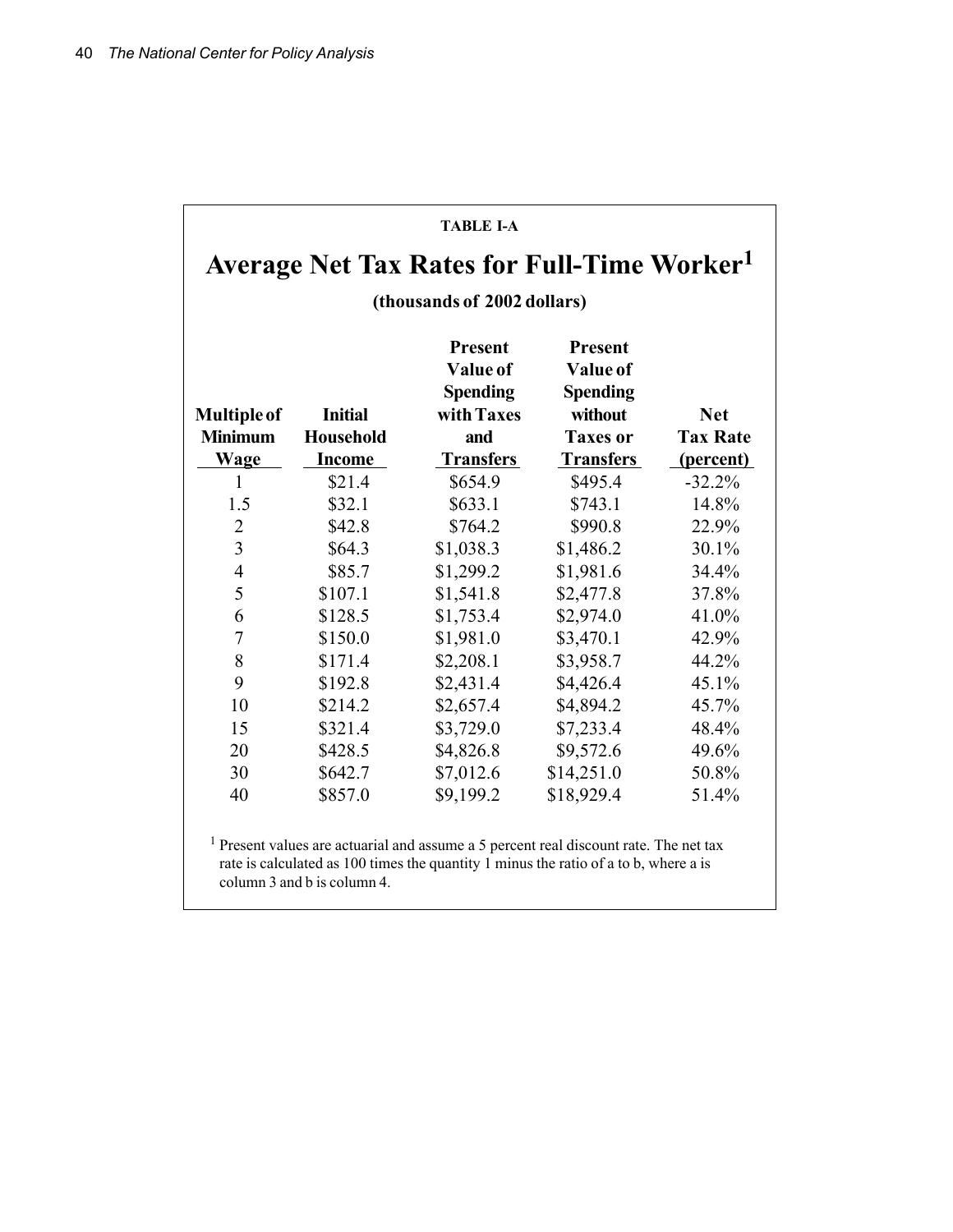|                    |                  |                                                                    | <b>Average Net Tax Rates for Full-Time Worker</b> <sup>1</sup>  |                 |  |  |  |  |
|--------------------|------------------|--------------------------------------------------------------------|-----------------------------------------------------------------|-----------------|--|--|--|--|
|                    |                  |                                                                    |                                                                 |                 |  |  |  |  |
|                    |                  |                                                                    | (thousands of 2002 dollars)                                     |                 |  |  |  |  |
| <b>Multiple of</b> | <b>Initial</b>   | <b>Present</b><br><b>Value of</b><br><b>Spending</b><br>with Taxes | <b>Present</b><br><b>Value of</b><br><b>Spending</b><br>without | <b>Net</b>      |  |  |  |  |
| <b>Minimum</b>     | <b>Household</b> | and                                                                | <b>Taxes or</b>                                                 | <b>Tax Rate</b> |  |  |  |  |
| <b>Wage</b>        | <b>Income</b>    | <b>Transfers</b>                                                   | <b>Transfers</b>                                                | (percent)       |  |  |  |  |
| $\mathbf{1}$       | \$21.4           | \$654.9                                                            | \$495.4                                                         | $-32.2%$        |  |  |  |  |
| 1.5                | \$32.1           | \$633.1                                                            | \$743.1                                                         | 14.8%           |  |  |  |  |
| $\overline{2}$     | \$42.8           | \$764.2                                                            | \$990.8                                                         | 22.9%           |  |  |  |  |
| $\overline{3}$     | \$64.3           | \$1,038.3                                                          | \$1,486.2                                                       | 30.1%           |  |  |  |  |
| $\overline{4}$     | \$85.7           | \$1,299.2                                                          | \$1,981.6                                                       | 34.4%           |  |  |  |  |
| 5                  | \$107.1          | \$1,541.8                                                          | \$2,477.8                                                       | 37.8%           |  |  |  |  |
| 6                  | \$128.5          | \$1,753.4                                                          | \$2,974.0                                                       | 41.0%           |  |  |  |  |
| 7                  | \$150.0          | \$1,981.0                                                          | \$3,470.1                                                       | 42.9%           |  |  |  |  |
| 8                  | \$171.4          | \$2,208.1                                                          | \$3,958.7                                                       | 44.2%           |  |  |  |  |
| 9                  | \$192.8          | \$2,431.4                                                          | \$4,426.4                                                       | 45.1%           |  |  |  |  |
| 10                 | \$214.2          | \$2,657.4                                                          | \$4,894.2                                                       | 45.7%           |  |  |  |  |
| 15                 | \$321.4          | \$3,729.0                                                          | \$7,233.4                                                       | 48.4%           |  |  |  |  |
| 20                 | \$428.5          | \$4,826.8                                                          | \$9,572.6                                                       | 49.6%           |  |  |  |  |
| 30                 | \$642.7          | \$7,012.6                                                          | \$14,251.0                                                      | 50.8%           |  |  |  |  |
| 40                 | \$857.0          | \$9,199.2                                                          | \$18,929.4                                                      | 51.4%           |  |  |  |  |

1 Present values are actuarial and assume a 5 percent real discount rate. The net tax rate is calculated as 100 times the quantity 1 minus the ratio of a to b, where a is column 3 and b is column 4.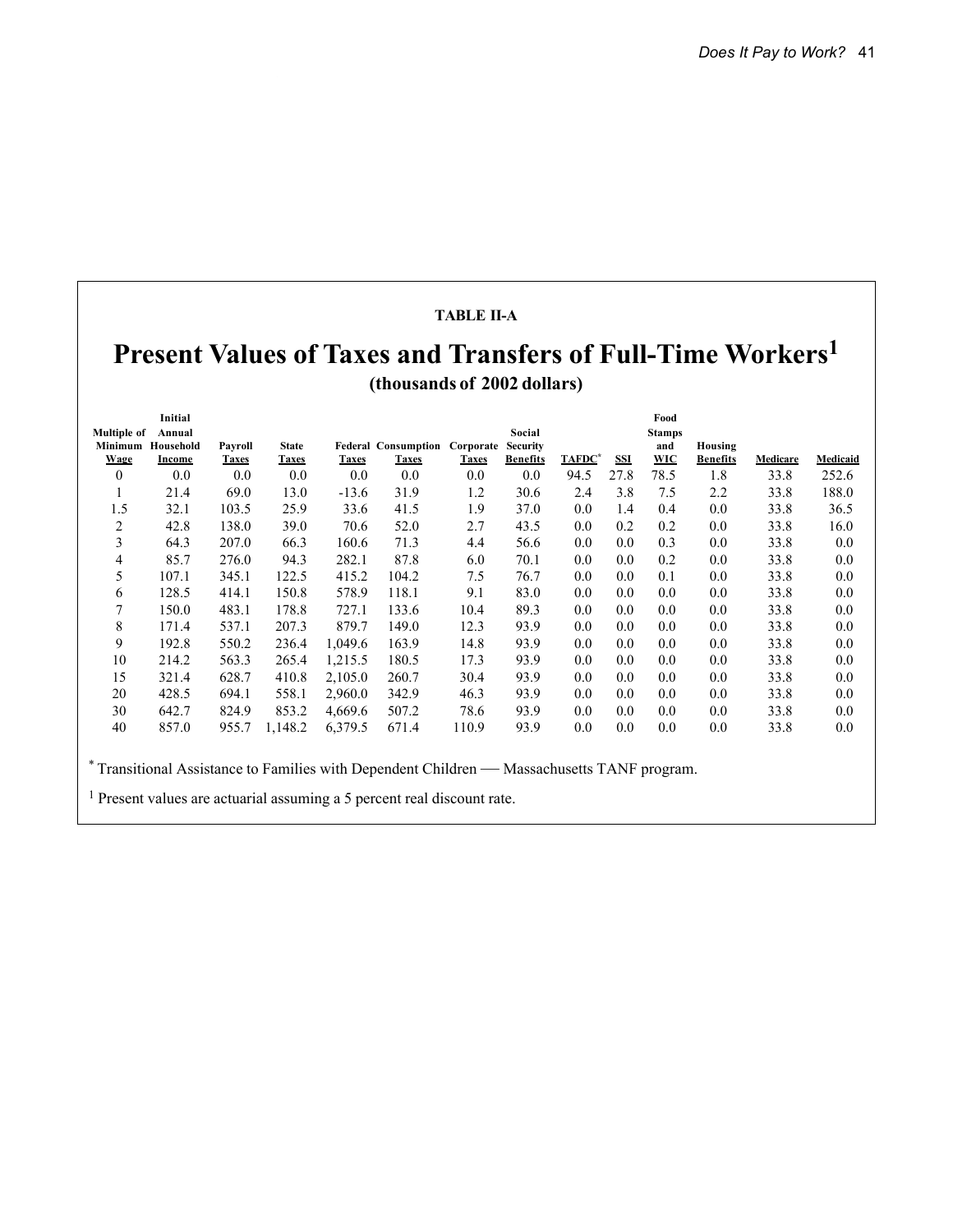#### **TABLE II-A**

# **Present Values of Taxes and Transfers of Full-Time Workers<sup>1</sup> (thousands of 2002 dollars)**

|                    | Initial           |              |              |              |                            |              |                 |        |            | Food          |                 |                 |          |
|--------------------|-------------------|--------------|--------------|--------------|----------------------------|--------------|-----------------|--------|------------|---------------|-----------------|-----------------|----------|
| <b>Multiple of</b> | Annual            |              |              |              |                            |              | Social          |        |            | <b>Stamps</b> |                 |                 |          |
|                    | Minimum Household | Payroll      | <b>State</b> |              | <b>Federal Consumption</b> | Corporate    | <b>Security</b> | TAFDC* |            | and           | Housing         |                 |          |
| <b>Wage</b>        | Income            | <b>Taxes</b> | <b>Taxes</b> | <b>Taxes</b> | <b>Taxes</b>               | <b>Taxes</b> | <b>Benefits</b> |        | <b>SSI</b> | <b>WIC</b>    | <b>Benefits</b> | <b>Medicare</b> | Medicaid |
| $\overline{0}$     | 0.0               | 0.0          | 0.0          | 0.0          | 0.0                        | $0.0\,$      | $0.0\,$         | 94.5   | 27.8       | 78.5          | 1.8             | 33.8            | 252.6    |
| 1                  | 21.4              | 69.0         | 13.0         | $-13.6$      | 31.9                       | 1.2          | 30.6            | 2.4    | 3.8        | 7.5           | 2.2             | 33.8            | 188.0    |
| 1.5                | 32.1              | 103.5        | 25.9         | 33.6         | 41.5                       | 1.9          | 37.0            | 0.0    | 1.4        | 0.4           | 0.0             | 33.8            | 36.5     |
| 2                  | 42.8              | 138.0        | 39.0         | 70.6         | 52.0                       | 2.7          | 43.5            | 0.0    | 0.2        | 0.2           | 0.0             | 33.8            | 16.0     |
| 3                  | 64.3              | 207.0        | 66.3         | 160.6        | 71.3                       | 4.4          | 56.6            | 0.0    | 0.0        | 0.3           | 0.0             | 33.8            | 0.0      |
| 4                  | 85.7              | 276.0        | 94.3         | 282.1        | 87.8                       | 6.0          | 70.1            | 0.0    | 0.0        | 0.2           | 0.0             | 33.8            | 0.0      |
| 5                  | 107.1             | 345.1        | 122.5        | 415.2        | 104.2                      | 7.5          | 76.7            | 0.0    | 0.0        | 0.1           | 0.0             | 33.8            | 0.0      |
| 6                  | 128.5             | 414.1        | 150.8        | 578.9        | 118.1                      | 9.1          | 83.0            | 0.0    | 0.0        | 0.0           | 0.0             | 33.8            | 0.0      |
| 7                  | 150.0             | 483.1        | 178.8        | 727.1        | 133.6                      | 10.4         | 89.3            | 0.0    | 0.0        | 0.0           | 0.0             | 33.8            | 0.0      |
| 8                  | 171.4             | 537.1        | 207.3        | 879.7        | 149.0                      | 12.3         | 93.9            | 0.0    | 0.0        | 0.0           | 0.0             | 33.8            | 0.0      |
| 9                  | 192.8             | 550.2        | 236.4        | 1,049.6      | 163.9                      | 14.8         | 93.9            | 0.0    | 0.0        | 0.0           | 0.0             | 33.8            | 0.0      |
| 10                 | 214.2             | 563.3        | 265.4        | 1,215.5      | 180.5                      | 17.3         | 93.9            | 0.0    | 0.0        | 0.0           | 0.0             | 33.8            | 0.0      |
| 15                 | 321.4             | 628.7        | 410.8        | 2,105.0      | 260.7                      | 30.4         | 93.9            | 0.0    | 0.0        | 0.0           | 0.0             | 33.8            | 0.0      |
| 20                 | 428.5             | 694.1        | 558.1        | 2,960.0      | 342.9                      | 46.3         | 93.9            | 0.0    | 0.0        | 0.0           | 0.0             | 33.8            | 0.0      |
| 30                 | 642.7             | 824.9        | 853.2        | 4,669.6      | 507.2                      | 78.6         | 93.9            | 0.0    | 0.0        | 0.0           | 0.0             | 33.8            | 0.0      |
| 40                 | 857.0             | 955.7        | 1,148.2      | 6,379.5      | 671.4                      | 110.9        | 93.9            | 0.0    | 0.0        | 0.0           | 0.0             | 33.8            | 0.0      |

\* Transitional Assistance to Families with Dependent Children — Massachusetts TANF program.

1 Present values are actuarial assuming a 5 percent real discount rate.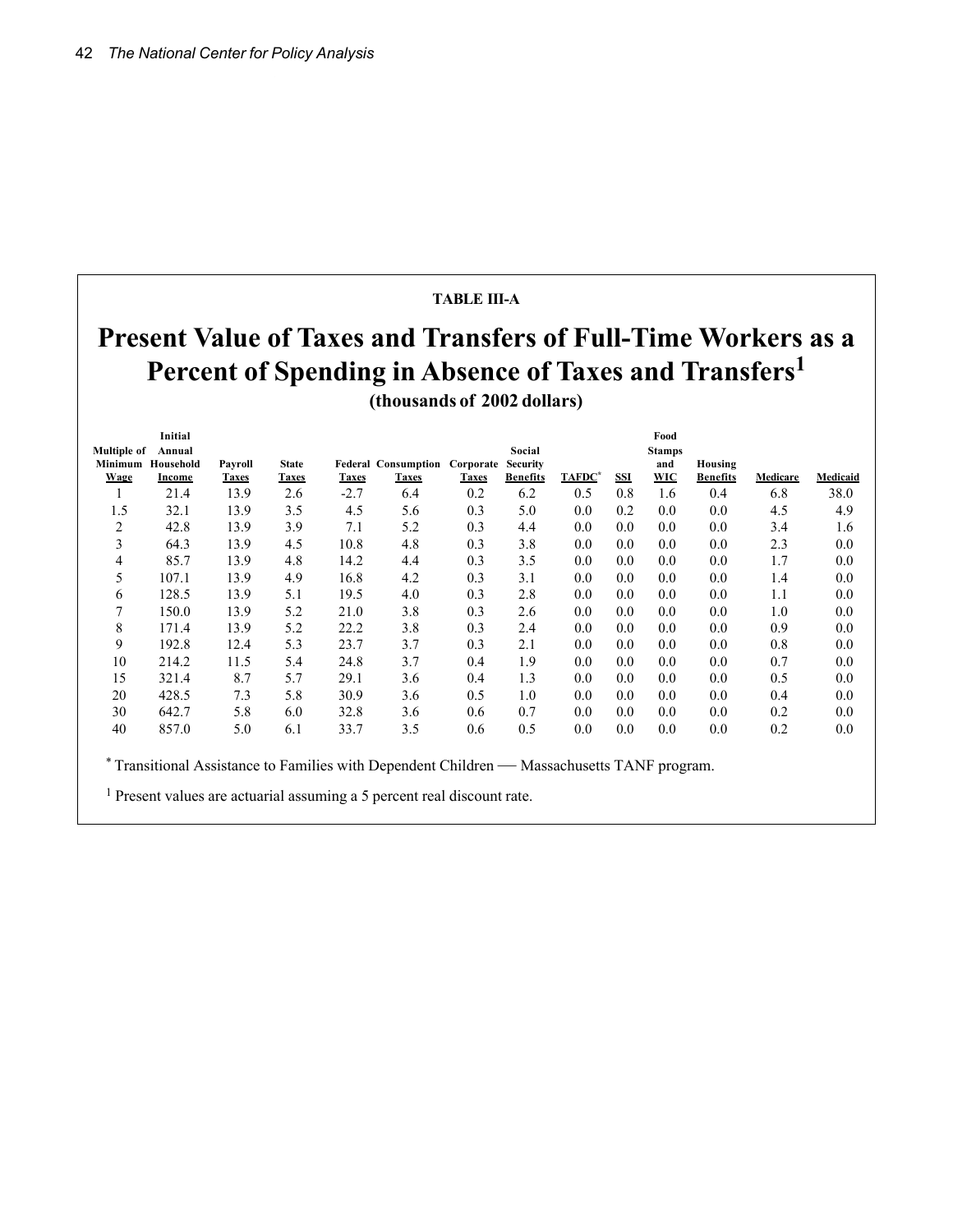#### **TABLE III-A**

# **Present Value of Taxes and Transfers of Full-Time Workers as a Percent of Spending in Absence of Taxes and Transfers<sup>1</sup> (thousands of 2002 dollars)**

|                    | Initial           |              |              |              |                                      |              |                 |        |            | Food          |                 |          |                 |
|--------------------|-------------------|--------------|--------------|--------------|--------------------------------------|--------------|-----------------|--------|------------|---------------|-----------------|----------|-----------------|
| <b>Multiple of</b> | Annual            |              |              |              |                                      |              | Social          |        |            | <b>Stamps</b> |                 |          |                 |
|                    | Minimum Household | Payroll      | <b>State</b> |              | <b>Federal Consumption Corporate</b> |              | <b>Security</b> |        |            | and           | Housing         |          |                 |
| <b>Wage</b>        | Income            | <b>Taxes</b> | <b>Taxes</b> | <b>Taxes</b> | <b>Taxes</b>                         | <b>Taxes</b> | <b>Benefits</b> | TAFDC* | <b>SSI</b> | <b>WIC</b>    | <b>Benefits</b> | Medicare | <b>Medicaid</b> |
| л.                 | 21.4              | 13.9         | 2.6          | $-2.7$       | 6.4                                  | 0.2          | 6.2             | 0.5    | 0.8        | 1.6           | 0.4             | 6.8      | 38.0            |
| 1.5                | 32.1              | 13.9         | 3.5          | 4.5          | 5.6                                  | 0.3          | 5.0             | 0.0    | 0.2        | 0.0           | 0.0             | 4.5      | 4.9             |
| 2                  | 42.8              | 13.9         | 3.9          | 7.1          | 5.2                                  | 0.3          | 4.4             | 0.0    | 0.0        | 0.0           | 0.0             | 3.4      | 1.6             |
| 3                  | 64.3              | 13.9         | 4.5          | 10.8         | 4.8                                  | 0.3          | 3.8             | 0.0    | 0.0        | 0.0           | 0.0             | 2.3      | 0.0             |
| 4                  | 85.7              | 13.9         | 4.8          | 14.2         | 4.4                                  | 0.3          | 3.5             | 0.0    | 0.0        | 0.0           | 0.0             | 1.7      | 0.0             |
| 5                  | 107.1             | 13.9         | 4.9          | 16.8         | 4.2                                  | 0.3          | 3.1             | 0.0    | 0.0        | 0.0           | $0.0\,$         | 1.4      | 0.0             |
| 6                  | 128.5             | 13.9         | 5.1          | 19.5         | 4.0                                  | 0.3          | 2.8             | 0.0    | 0.0        | 0.0           | 0.0             | 1.1      | 0.0             |
| 7                  | 150.0             | 13.9         | 5.2          | 21.0         | 3.8                                  | 0.3          | 2.6             | 0.0    | 0.0        | 0.0           | 0.0             | 1.0      | $0.0\,$         |
| 8                  | 171.4             | 13.9         | 5.2          | 22.2         | 3.8                                  | 0.3          | 2.4             | 0.0    | 0.0        | 0.0           | 0.0             | 0.9      | $0.0\,$         |
| 9                  | 192.8             | 12.4         | 5.3          | 23.7         | 3.7                                  | 0.3          | 2.1             | 0.0    | 0.0        | 0.0           | 0.0             | 0.8      | 0.0             |
| 10                 | 214.2             | 11.5         | 5.4          | 24.8         | 3.7                                  | 0.4          | 1.9             | 0.0    | 0.0        | 0.0           | 0.0             | 0.7      | 0.0             |
| 15                 | 321.4             | 8.7          | 5.7          | 29.1         | 3.6                                  | 0.4          | 1.3             | 0.0    | 0.0        | 0.0           | 0.0             | 0.5      | 0.0             |
| 20                 | 428.5             | 7.3          | 5.8          | 30.9         | 3.6                                  | 0.5          | 1.0             | 0.0    | 0.0        | 0.0           | 0.0             | 0.4      | 0.0             |
| 30                 | 642.7             | 5.8          | 6.0          | 32.8         | 3.6                                  | 0.6          | 0.7             | 0.0    | 0.0        | 0.0           | $0.0\,$         | 0.2      | $0.0\,$         |
| 40                 | 857.0             | 5.0          | 6.1          | 33.7         | 3.5                                  | 0.6          | 0.5             | 0.0    | 0.0        | 0.0           | $0.0\,$         | 0.2      | 0.0             |
|                    |                   |              |              |              |                                      |              |                 |        |            |               |                 |          |                 |

\* Transitional Assistance to Families with Dependent Children — Massachusetts TANF program.

1 Present values are actuarial assuming a 5 percent real discount rate.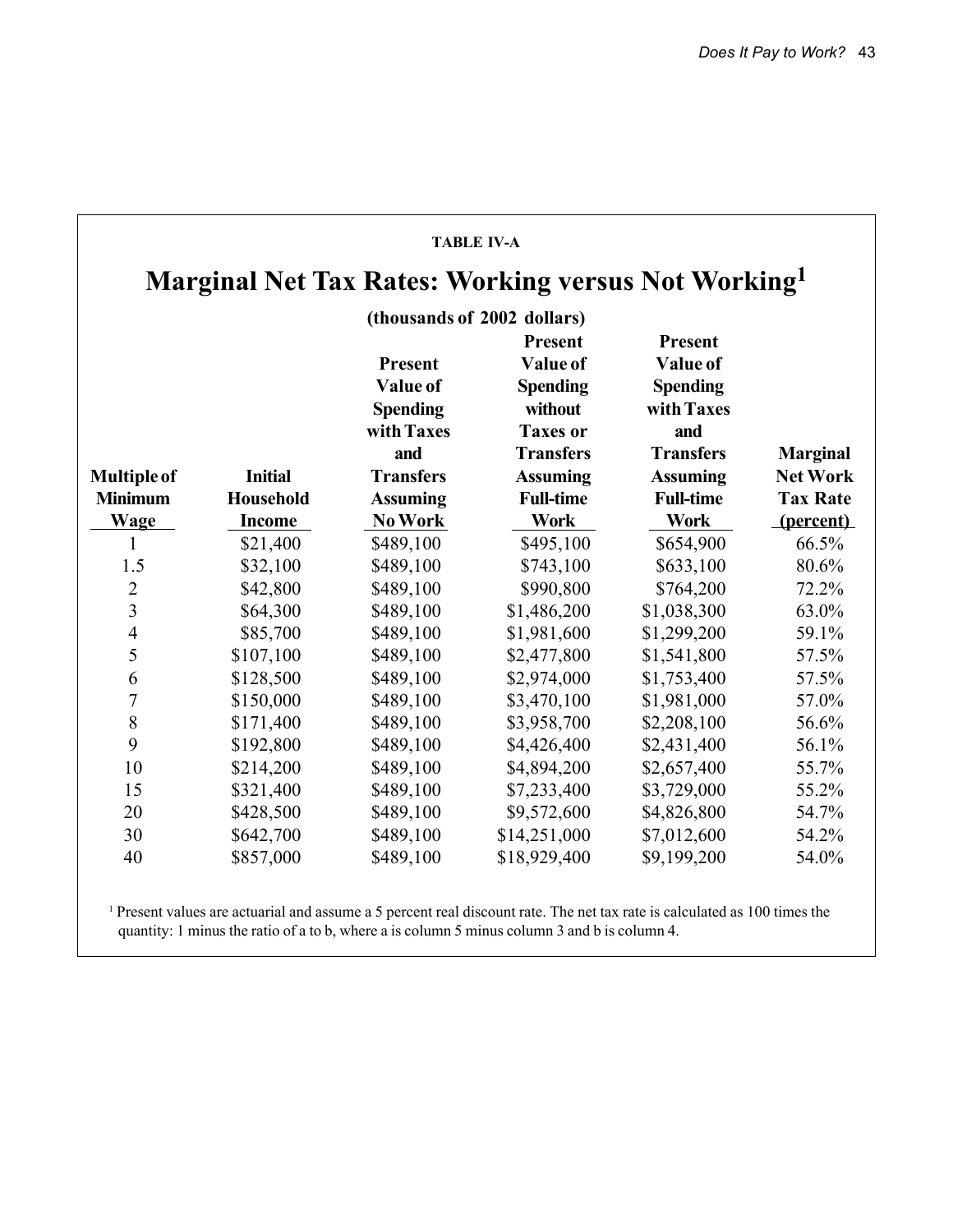|                    |                  |                                                                    | <b>TABLE IV-A</b>                                                                               |                                                                                        |                 |
|--------------------|------------------|--------------------------------------------------------------------|-------------------------------------------------------------------------------------------------|----------------------------------------------------------------------------------------|-----------------|
|                    |                  |                                                                    | <b>Marginal Net Tax Rates: Working versus Not Working</b>                                       |                                                                                        |                 |
|                    |                  |                                                                    | (thousands of 2002 dollars)                                                                     |                                                                                        |                 |
|                    |                  | <b>Present</b><br>Value of<br><b>Spending</b><br>with Taxes<br>and | <b>Present</b><br>Value of<br><b>Spending</b><br>without<br><b>Taxes or</b><br><b>Transfers</b> | <b>Present</b><br>Value of<br><b>Spending</b><br>with Taxes<br>and<br><b>Transfers</b> | <b>Marginal</b> |
| <b>Multiple of</b> | <b>Initial</b>   | <b>Transfers</b>                                                   | <b>Assuming</b>                                                                                 | <b>Assuming</b>                                                                        | <b>Net Work</b> |
| <b>Minimum</b>     | <b>Household</b> | <b>Assuming</b>                                                    | <b>Full-time</b>                                                                                | <b>Full-time</b>                                                                       | <b>Tax Rate</b> |
| Wage               | <b>Income</b>    | No Work                                                            | <b>Work</b>                                                                                     | <b>Work</b>                                                                            | (percent)       |
| 1                  | \$21,400         | \$489,100                                                          | \$495,100                                                                                       | \$654,900                                                                              | 66.5%           |
| 1.5                | \$32,100         | \$489,100                                                          | \$743,100                                                                                       | \$633,100                                                                              | 80.6%           |
| $\overline{2}$     | \$42,800         | \$489,100                                                          | \$990,800                                                                                       | \$764,200                                                                              | 72.2%           |
| $\overline{3}$     | \$64,300         | \$489,100                                                          | \$1,486,200                                                                                     | \$1,038,300                                                                            | 63.0%           |
| $\overline{4}$     | \$85,700         | \$489,100                                                          | \$1,981,600                                                                                     | \$1,299,200                                                                            | 59.1%           |
| 5                  | \$107,100        | \$489,100                                                          | \$2,477,800                                                                                     | \$1,541,800                                                                            | 57.5%           |
| 6                  | \$128,500        | \$489,100                                                          | \$2,974,000                                                                                     | \$1,753,400                                                                            | 57.5%           |
| 7                  | \$150,000        | \$489,100                                                          | \$3,470,100                                                                                     | \$1,981,000                                                                            | 57.0%           |
| 8                  | \$171,400        | \$489,100                                                          | \$3,958,700                                                                                     | \$2,208,100                                                                            | 56.6%           |
| 9                  | \$192,800        | \$489,100                                                          | \$4,426,400                                                                                     | \$2,431,400                                                                            | 56.1%           |
| 10                 | \$214,200        | \$489,100                                                          | \$4,894,200                                                                                     | \$2,657,400                                                                            | 55.7%           |
| 15                 | \$321,400        | \$489,100                                                          | \$7,233,400                                                                                     | \$3,729,000                                                                            | 55.2%           |
| 20                 | \$428,500        | \$489,100                                                          | \$9,572,600                                                                                     | \$4,826,800                                                                            | 54.7%           |
| 30                 | \$642,700        | \$489,100                                                          | \$14,251,000                                                                                    | \$7,012,600                                                                            | 54.2%           |
| 40                 | \$857,000        | \$489,100                                                          | \$18,929,400                                                                                    | \$9,199,200                                                                            | 54.0%           |

1 Present values are actuarial and assume a 5 percent real discount rate. The net tax rate is calculated as 100 times the quantity: 1 minus the ratio of a to b, where a is column 5 minus column 3 and b is column 4.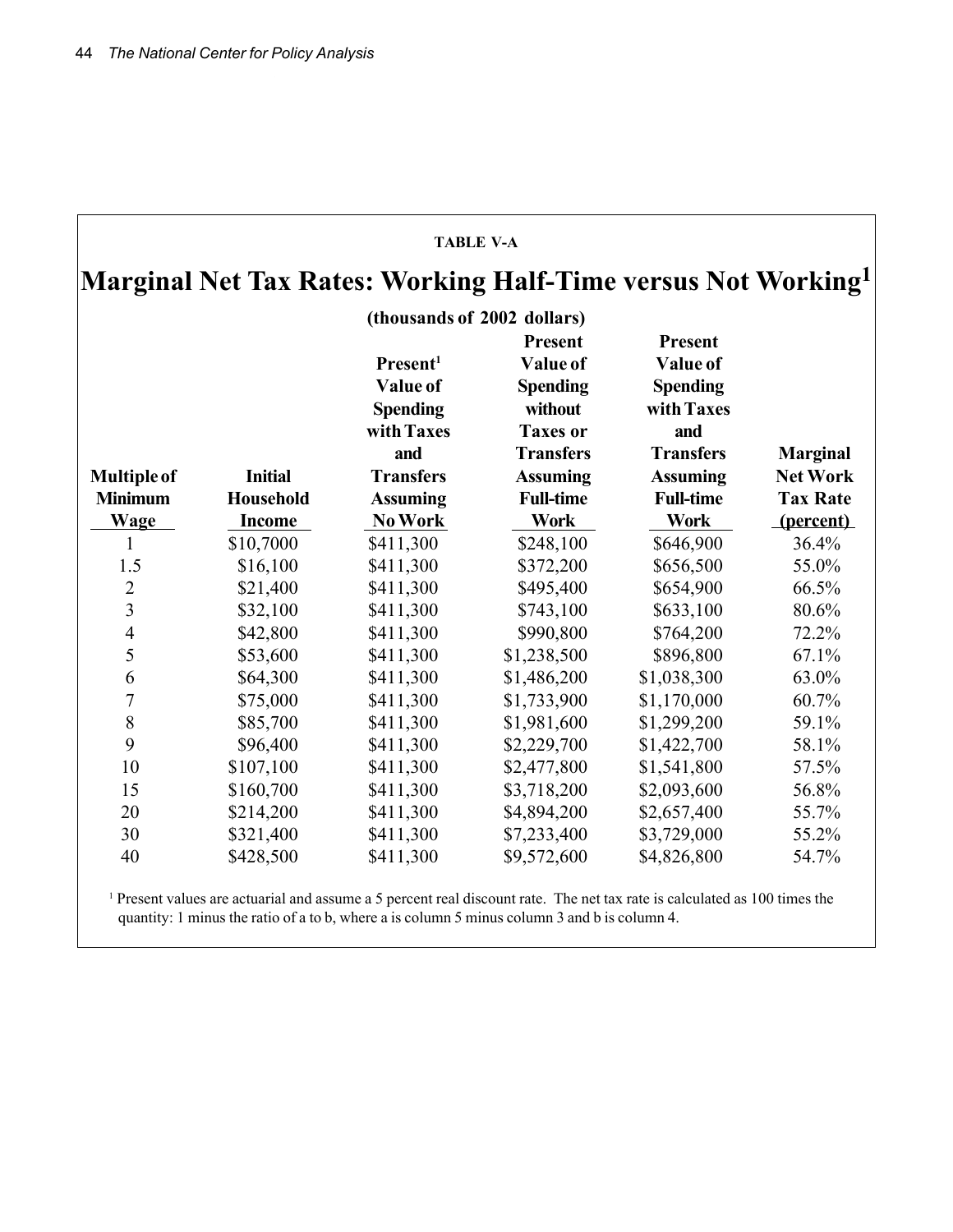|                    |                  | Marginal Net Tax Rates: Working Half-Time versus Not Working <sup>1</sup> |                                                                                                 |                                                                                        |                 |
|--------------------|------------------|---------------------------------------------------------------------------|-------------------------------------------------------------------------------------------------|----------------------------------------------------------------------------------------|-----------------|
|                    |                  | (thousands of 2002 dollars)                                               |                                                                                                 |                                                                                        |                 |
|                    |                  | Present <sup>1</sup><br>Value of<br><b>Spending</b><br>with Taxes<br>and  | <b>Present</b><br>Value of<br><b>Spending</b><br>without<br><b>Taxes or</b><br><b>Transfers</b> | <b>Present</b><br>Value of<br><b>Spending</b><br>with Taxes<br>and<br><b>Transfers</b> | <b>Marginal</b> |
| <b>Multiple of</b> | <b>Initial</b>   | <b>Transfers</b>                                                          | <b>Assuming</b>                                                                                 | <b>Assuming</b>                                                                        | <b>Net Work</b> |
| <b>Minimum</b>     | <b>Household</b> | <b>Assuming</b>                                                           | <b>Full-time</b>                                                                                | <b>Full-time</b>                                                                       | <b>Tax Rate</b> |
| <b>Wage</b>        | <b>Income</b>    | No Work                                                                   | <b>Work</b>                                                                                     | <b>Work</b>                                                                            | (percent)       |
| 1                  | \$10,7000        | \$411,300                                                                 | \$248,100                                                                                       | \$646,900                                                                              | 36.4%           |
| 1.5                | \$16,100         | \$411,300                                                                 | \$372,200                                                                                       | \$656,500                                                                              | 55.0%           |
| $\overline{2}$     | \$21,400         | \$411,300                                                                 | \$495,400                                                                                       | \$654,900                                                                              | 66.5%           |
| $\overline{3}$     | \$32,100         | \$411,300                                                                 | \$743,100                                                                                       | \$633,100                                                                              | 80.6%           |
| $\overline{4}$     | \$42,800         | \$411,300                                                                 | \$990,800                                                                                       | \$764,200                                                                              | 72.2%           |
| 5                  | \$53,600         | \$411,300                                                                 | \$1,238,500                                                                                     | \$896,800                                                                              | 67.1%           |
| 6                  | \$64,300         | \$411,300                                                                 | \$1,486,200                                                                                     | \$1,038,300                                                                            | 63.0%           |
| 7                  | \$75,000         | \$411,300                                                                 | \$1,733,900                                                                                     | \$1,170,000                                                                            | 60.7%           |
| 8                  | \$85,700         | \$411,300                                                                 | \$1,981,600                                                                                     | \$1,299,200                                                                            | 59.1%           |
| 9                  | \$96,400         | \$411,300                                                                 | \$2,229,700                                                                                     | \$1,422,700                                                                            | 58.1%           |
| 10                 | \$107,100        | \$411,300                                                                 | \$2,477,800                                                                                     | \$1,541,800                                                                            | 57.5%           |
| 15                 | \$160,700        | \$411,300                                                                 | \$3,718,200                                                                                     | \$2,093,600                                                                            | 56.8%           |
| 20                 | \$214,200        | \$411,300                                                                 | \$4,894,200                                                                                     | \$2,657,400                                                                            | 55.7%           |
| 30                 | \$321,400        | \$411,300                                                                 | \$7,233,400                                                                                     | \$3,729,000                                                                            | 55.2%           |
| 40                 | \$428,500        | \$411,300                                                                 | \$9,572,600                                                                                     | \$4,826,800                                                                            | 54.7%           |

<sup>1</sup> Present values are actuarial and assume a 5 percent real discount rate. The net tax rate is calculated as 100 times the quantity: 1 minus the ratio of a to b, where a is column 5 minus column 3 and b is column 4.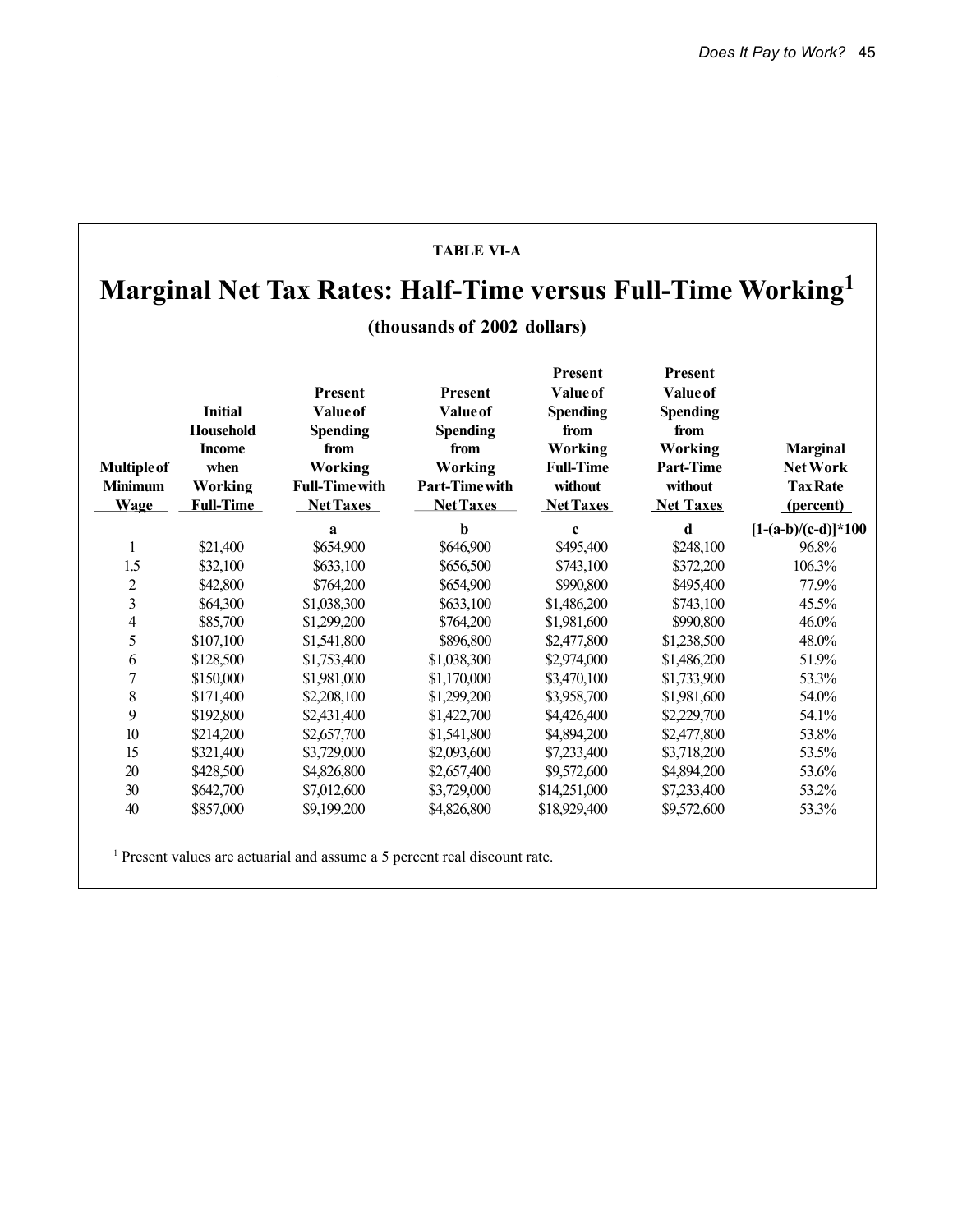#### **TABLE VI-A Marginal Net Tax Rates: Half-Time versus Full-Time Working1 (thousands of 2002 dollars) Present Present Present** Present Value of Value of **Initial Value of Value of Spending Spending Household Spending Spending from from Income from from Working Working Marginal Multiple of when Working Working Full-Time Part-Time Net Work Minimum Working Full-Time with Part-Time with without without Tax Rate Wage Full-Time Net Taxes Net Taxes Net Taxes Net Taxes (percent) a b c d**  $[1-(a-b)/(c-d)]^*100$ 1 \$21,400 \$654,900 \$646,900 \$495,400 \$248,100 96.8% 1.5 \$32,100 \$633,100 \$656,500 \$743,100 \$372,200 106.3% 2 \$42,800 \$764,200 \$654,900 \$990,800 \$495,400 77.9% 3 \$64,300 \$1,038,300 \$633,100 \$1,486,200 \$743,100 45.5% 4 \$85,700 \$1,299,200 \$764,200 \$1,981,600 \$990,800 46.0% 5 \$107,100 \$1,541,800 \$896,800 \$2,477,800 \$1,238,500 48.0% 6 \$128,500 \$1,753,400 \$1,038,300 \$2,974,000 \$1,486,200 51.9% 7 \$150,000 \$1,981,000 \$1,170,000 \$3,470,100 \$1,733,900 53.3% 8 \$171,400 \$2,208,100 \$1,299,200 \$3,958,700 \$1,981,600 54.0% 9 \$192,800 \$2,431,400 \$1,422,700 \$4,426,400 \$2,229,700 54.1% 10 \$214,200 \$2,657,700 \$1,541,800 \$4,894,200 \$2,477,800 53.8% 15 \$321,400 \$3,729,000 \$2,093,600 \$7,233,400 \$3,718,200 53.5% 20 \$428,500 \$4,826,800 \$2,657,400 \$9,572,600 \$4,894,200 53.6% 30 \$642,700 \$7,012,600 \$3,729,000 \$14,251,000 \$7,233,400 53.2% 40 \$857,000 \$9,199,200 \$4,826,800 \$18,929,400 \$9,572,600 53.3%

<sup>1</sup> Present values are actuarial and assume a 5 percent real discount rate.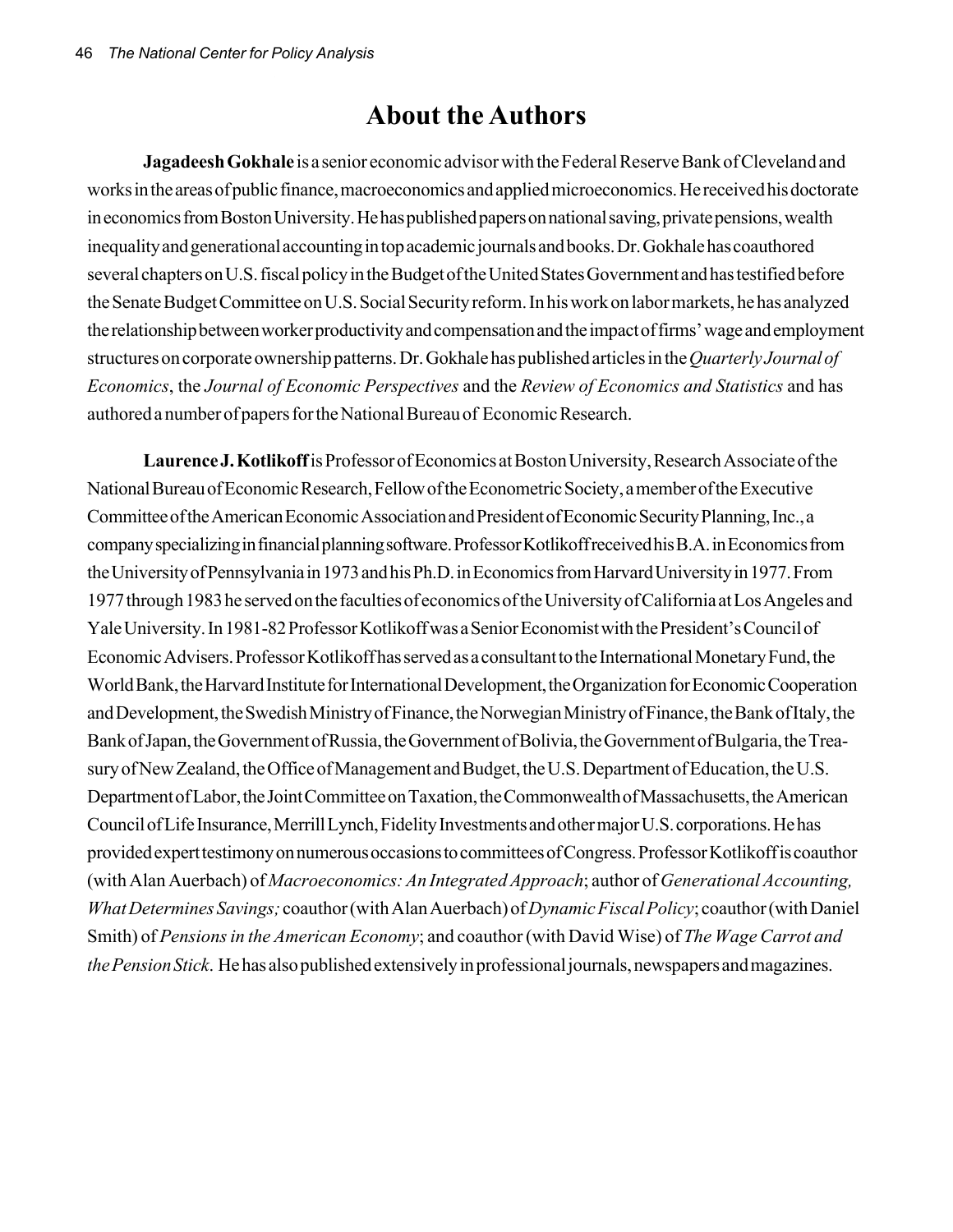# **About the Authors**

**Jagadeesh Gokhale** is a senior economic advisor with the Federal Reserve Bank of Cleveland and works in the areas of public finance, macroeconomics and applied microeconomics. He received his doctorate in economics from Boston University. He has published papers on national saving, private pensions, wealth inequality and generational accounting in top academic journals and books. Dr. Gokhale has coauthored several chapters on U.S. fiscal policy in the Budget of the United States Government and has testified before the Senate Budget Committee on U.S. Social Security reform. In his work on labor markets, he has analyzed the relationship between worker productivity and compensation and the impact of firms' wage and employment structures on corporate ownership patterns. Dr. Gokhale has published articles in the *Quarterly Journal of Economics*, the *Journal of Economic Perspectives* and the *Review of Economics and Statistics* and has authored a number of papers for the National Bureau of Economic Research.

**Laurence J. Kotlikoff** is Professor of Economics at Boston University, Research Associate of the National Bureau of Economic Research, Fellow of the Econometric Society, a member of the Executive Committee of the American Economic Association and President of Economic Security Planning, Inc., a company specializing in financial planning software. Professor Kotlikoff received his B.A. in Economics from the University of Pennsylvania in 1973 and his Ph.D. in Economics from Harvard University in 1977. From 1977 through 1983 he served on the faculties of economics of the University of California at Los Angeles and Yale University. In 1981-82 Professor Kotlikoff was a Senior Economist with the President's Council of Economic Advisers. Professor Kotlikoff has served as a consultant to the International Monetary Fund, the World Bank, the Harvard Institute for International Development, the Organization for Economic Cooperation and Development, the Swedish Ministry of Finance, the Norwegian Ministry of Finance, the Bank of Italy, the Bank of Japan, the Government of Russia, the Government of Bolivia, the Government of Bulgaria, the Treasury of New Zealand, the Office of Management and Budget, the U.S. Department of Education, the U.S. Department of Labor, the Joint Committee on Taxation, the Commonwealth of Massachusetts, the American Council of Life Insurance, Merrill Lynch, Fidelity Investments and other major U.S. corporations. He has provided expert testimony on numerous occasions to committees of Congress. Professor Kotlikoff is coauthor (with Alan Auerbach) of *Macroeconomics: An Integrated Approach*; author of *Generational Accounting, What Determines Savings;* coauthor (with Alan Auerbach) of *Dynamic Fiscal Policy*; coauthor (with Daniel Smith) of *Pensions in the American Economy*; and coauthor (with David Wise) of *The Wage Carrot and the Pension Stick*. He has also published extensively in professional journals, newspapers and magazines.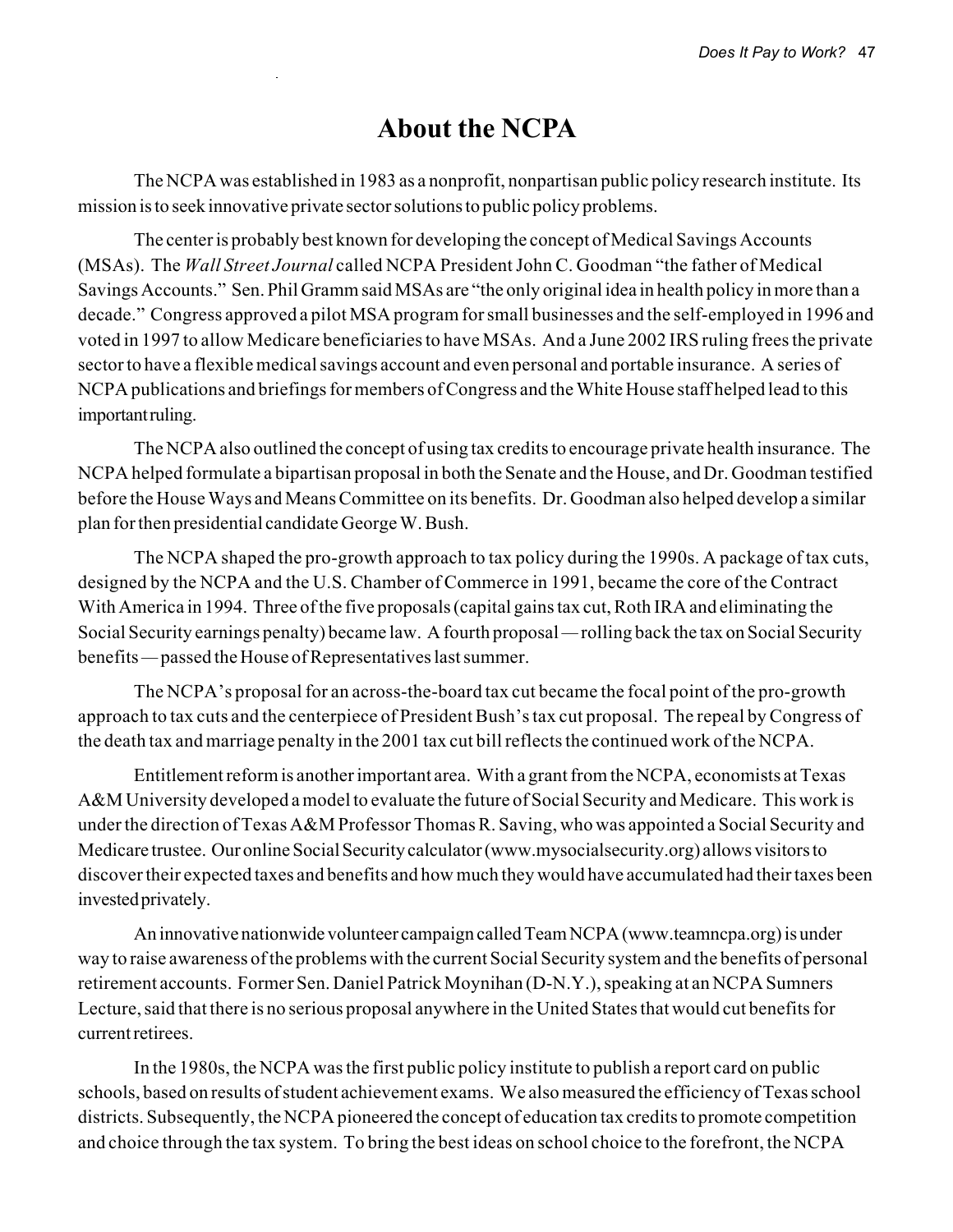# **About the NCPA**

The NCPA was established in 1983 as a nonprofit, nonpartisan public policy research institute. Its mission is to seek innovative private sector solutions to public policy problems.

The center is probably best known for developing the concept of Medical Savings Accounts (MSAs). The *Wall Street Journal* called NCPA President John C. Goodman "the father of Medical Savings Accounts." Sen. Phil Gramm said MSAs are "the only original idea in health policy in more than a decade." Congress approved a pilot MSA program for small businesses and the self-employed in 1996 and voted in 1997 to allow Medicare beneficiaries to have MSAs. And a June 2002 IRS ruling frees the private sector to have a flexible medical savings account and even personal and portable insurance. A series of NCPA publications and briefings for members of Congress and the White House staff helped lead to this important ruling.

The NCPA also outlined the concept of using tax credits to encourage private health insurance. The NCPA helped formulate a bipartisan proposal in both the Senate and the House, and Dr. Goodman testified before the House Ways and Means Committee on its benefits. Dr. Goodman also helped develop a similar plan for then presidential candidate George W. Bush.

The NCPA shaped the pro-growth approach to tax policy during the 1990s. A package of tax cuts, designed by the NCPA and the U.S. Chamber of Commerce in 1991, became the core of the Contract With America in 1994. Three of the five proposals (capital gains tax cut, Roth IRA and eliminating the Social Security earnings penalty) became law. A fourth proposal *—* rolling back the tax on Social Security benefits *—* passed the House of Representatives last summer.

The NCPA's proposal for an across-the-board tax cut became the focal point of the pro-growth approach to tax cuts and the centerpiece of President Bush's tax cut proposal. The repeal by Congress of the death tax and marriage penalty in the 2001 tax cut bill reflects the continued work of the NCPA.

Entitlement reform is another important area. With a grant from the NCPA, economists at Texas A&M University developed a model to evaluate the future of Social Security and Medicare. This work is under the direction of Texas A&M Professor Thomas R. Saving, who was appointed a Social Security and Medicare trustee. Our online Social Security calculator (www.mysocialsecurity.org) allows visitors to discover their expected taxes and benefits and how much they would have accumulated had their taxes been invested privately.

An innovative nationwide volunteer campaign called Team NCPA (www.teamncpa.org) is under way to raise awareness of the problems with the current Social Security system and the benefits of personal retirement accounts. Former Sen. Daniel Patrick Moynihan (D-N.Y.), speaking at an NCPA Sumners Lecture, said that there is no serious proposal anywhere in the United States that would cut benefits for current retirees.

In the 1980s, the NCPA was the first public policy institute to publish a report card on public schools, based on results of student achievement exams. We also measured the efficiency of Texas school districts. Subsequently, the NCPA pioneered the concept of education tax credits to promote competition and choice through the tax system. To bring the best ideas on school choice to the forefront, the NCPA